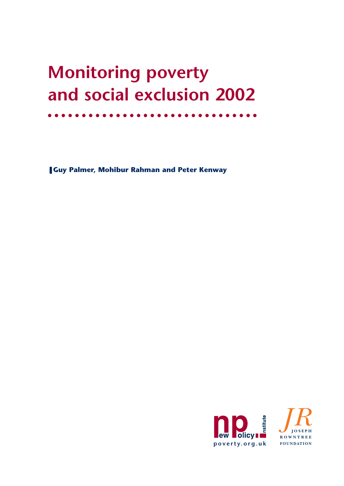# **Monitoring poverty and social exclusion 2002**

❚ **Guy Palmer, Mohibur Rahman and Peter Kenway** 

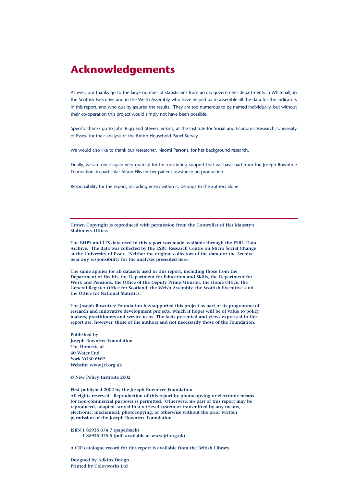### **Acknowledgements**

As ever, our thanks go to the large number of statisticians from across government departments in Whitehall, in the Scottish Executive and in the Welsh Assembly who have helped us to assemble all the data for the indicators in this report, and who quality assured the results. They are too numerous to be named individually, but without their co-operation this project would simply not have been possible.

Specific thanks go to John Rigg and Steven Jenkins, at the Institute for Social and Economic Research, University of Essex, for their analysis of the British Household Panel Survey.

We would also like to thank our researcher, Naomi Parsons, for her background research.

Finally, we are once again very grateful for the unstinting support that we have had from the Joseph Rowntree Foundation, in particular Alison Elks for her patient assistance on production.

Responsibility for the report, including errors within it, belongs to the authors alone.

**Crown Copyright is reproduced with permission from the Controller of Her Majesty's Stationery Office.**

**The BHPS and LFS data used in this report was made available through the ESRC Data Archive. The data was collected by the ESRC Research Centre on Micro Social Change at the University of Essex. Neither the original collectors of the data nor the Archive bear any responsibility for the analyses presented here.**

**The same applies for all datasets used in this report, including those from the Department of Health, the Department for Education and Skills, the Department for Work and Pensions, the Office of the Deputy Prime Minister, the Home Office, the General Register Office for Scotland, the Welsh Assembly, the Scottish Executive, and the Office for National Statistics.**

**The Joseph Rowntree Foundation has supported this project as part of its programme of research and innovative development projects, which it hopes will be of value to policy makers, practitioners and service users. The facts presented and views expressed in this report are, however, those of the authors and not necessarily those of the Foundation.**

**Published by Joseph Rowntree Foundation The Homestead 40 Water End York YO30 6WP Website: www.jrf.org.uk**

**© New Policy Institute 2002**

**First published 2002 by the Joseph Rowntree Foundation All rights reserved. Reproduction of this report by photocopying or electronic means for non-commercial purposes is permitted. Otherwise, no part of this report may be reproduced, adapted, stored in a retrieval system or transmitted by any means, electronic, mechanical, photocopying, or otherwise without the prior written permission of the Joseph Rowntree Foundation.**

**ISBN 1 85935 074 7 (paperback) 1 85935 075 5 (pdf: available at www.jrf.org.uk)**

**A CIP catalogue record for this report is available from the British Library.**

**Designed by Adkins Design Printed by Colorworks Ltd**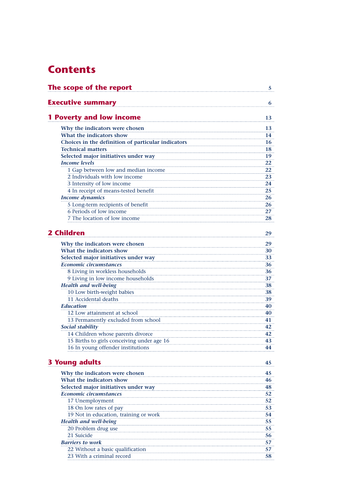### **Contents**

| The scope of the report                                                        | 5        |
|--------------------------------------------------------------------------------|----------|
| <b>Executive summary</b>                                                       | 6        |
| <b>1 Poverty and low income</b>                                                | 13       |
|                                                                                |          |
| Why the indicators were chosen                                                 | 13       |
| What the indicators show<br>Choices in the definition of particular indicators | 14       |
| <b>Technical matters</b>                                                       | 16       |
| Selected major initiatives under way                                           | 18<br>19 |
| <b>Income levels</b>                                                           | 22       |
| 1 Gap between low and median income                                            | 22       |
| 2 Individuals with low income                                                  | 23       |
| 3 Intensity of low income                                                      | 24       |
| 4 In receipt of means-tested benefit                                           | 25       |
| <b>Income dynamics</b>                                                         | 26       |
| 5 Long-term recipients of benefit                                              | 26       |
| 6 Periods of low income                                                        | 27       |
| 7 The location of low income                                                   | 28       |
|                                                                                |          |
| <b>2 Children</b>                                                              | 29       |
| Why the indicators were chosen                                                 | 29       |
| What the indicators show                                                       | 30       |
| Selected major initiatives under way                                           | 33       |
| Economic circumstances                                                         | 36       |
| 8 Living in workless households                                                | 36       |
| 9 Living in low income households                                              | 37       |
| <b>Health and well-being</b>                                                   | 38       |
| 10 Low birth-weight babies                                                     | 38       |
| 11 Accidental deaths                                                           | 39       |
| <b>Education</b>                                                               | 40       |
| 12 Low attainment at school                                                    | 40       |
| 13 Permanently excluded from school                                            | 41       |
| Social stability                                                               | 42       |
| 14 Children whose parents divorce                                              | 42       |
| 15 Births to girls conceiving under age 16                                     | 43       |
| 16 In young offender institutions                                              | 44       |
| <b>3 Young adults</b>                                                          | 45       |
| Why the indicators were chosen                                                 | 45       |
| What the indicators show                                                       | 46       |
| Selected major initiatives under way                                           | 48       |
| Economic circumstances                                                         | 52       |
| 17 Unemployment                                                                | 52       |
| 18 On low rates of pay                                                         | 53       |
| 19 Not in education, training or work                                          | 54       |
| <b>Health and well-being</b>                                                   | 55       |
| 20 Problem drug use                                                            | 55       |
| 21 Suicide                                                                     | 56       |
| <b>Barriers to work</b>                                                        | 57       |
| 22 Without a basic qualification                                               | 57       |
| 23 With a criminal record                                                      | 58       |
|                                                                                |          |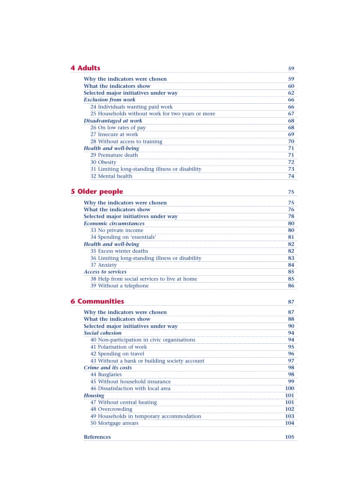### **4 Adults 59**

| Why the indicators were chosen                   |    |
|--------------------------------------------------|----|
| What the indicators show                         |    |
| Selected major initiatives under way             |    |
| <b>Exclusion from work</b>                       |    |
| 24 Individuals wanting paid work                 | 66 |
| 25 Households without work for two years or more |    |
| Disadvantaged at work                            |    |
| 26 On low rates of pay                           |    |
| 27 Insecure at work                              |    |
| 28 Without access to training                    |    |
| <b>Health and well-being</b>                     |    |
| 29 Premature death                               |    |
| 30 Obesity                                       | 72 |
| 31 Limiting long-standing illness or disability  |    |
| 32 Mental health                                 |    |

### **5 Older people 75**

| Why the indicators were chosen                  |  |
|-------------------------------------------------|--|
| What the indicators show                        |  |
| Selected major initiatives under way            |  |
| Economic circumstances                          |  |
| 33 No private income                            |  |
| 34 Spending on 'essentials'                     |  |
| <b>Health and well-being</b>                    |  |
| 35 Excess winter deaths                         |  |
| 36 Limiting long-standing illness or disability |  |
| 37 Anxiety                                      |  |
| <b>Access to services</b>                       |  |
| 38 Help from social services to live at home    |  |
| 39 Without a telephone                          |  |

| Communities                                   |  |
|-----------------------------------------------|--|
| Why the indicators were chosen                |  |
| What the indicators show                      |  |
| Selected major initiatives under way          |  |
| Social cohesion                               |  |
| 40 Non-participation in civic organisations   |  |
| 41 Polarisation of work                       |  |
| 42 Spending on travel                         |  |
| 43 Without a bank or building society account |  |
| Crime and its costs                           |  |
| 44 Burglaries                                 |  |
| 45 Without household insurance                |  |
| 46 Dissatisfaction with local area            |  |
| <b>Housing</b>                                |  |
| 47 Without central heating                    |  |
| 48 Overcrowding                               |  |
| 49 Households in temporary accommodation      |  |
| 50 Mortgage arrears                           |  |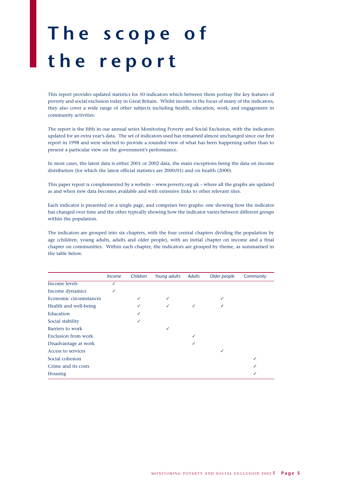# **The scope of the report**

This report provides updated statistics for 50 indicators which between them portray the key features of poverty and social exclusion today in Great Britain. Whilst income is the focus of many of the indicators, they also cover a wide range of other subjects including health, education, work, and engagement in community activities.

The report is the fifth in our annual series Monitoring Poverty and Social Exclusion, with the indicators updated for an extra year's data. The set of indicators used has remained almost unchanged since our first report in 1998 and were selected to provide a rounded view of what has been happening rather than to present a particular view on the government's performance.

In most cases, the latest data is either 2001 or 2002 data, the main exceptions being the data on income distribution (for which the latest official statistics are 2000/01) and on health (2000).

This paper report is complemented by a website – www.poverty.org.uk – where all the graphs are updated as and when new data becomes available and with extensive links to other relevant sites.

Each indicator is presented on a single page, and comprises two graphs: one showing how the indicator has changed over time and the other typically showing how the indicator varies between different groups within the population.

The indicators are grouped into six chapters, with the four central chapters dividing the population by age (children, young adults, adults and older people), with an initial chapter on income and a final chapter on communities. Within each chapter, the indicators are grouped by theme, as summarised in the table below.

|                        | <i>Income</i> | Children | Young adults | <b>Adults</b> | Older people | Community |
|------------------------|---------------|----------|--------------|---------------|--------------|-----------|
| <b>Income levels</b>   |               |          |              |               |              |           |
| Income dynamics        |               |          |              |               |              |           |
| Economic circumstances |               |          |              |               |              |           |
| Health and well-being  |               |          |              |               |              |           |
| Education              |               |          |              |               |              |           |
| Social stability       |               |          |              |               |              |           |
| Barriers to work       |               |          |              |               |              |           |
| Exclusion from work    |               |          |              |               |              |           |
| Disadvantage at work   |               |          |              |               |              |           |
| Access to services     |               |          |              |               |              |           |
| Social cohesion        |               |          |              |               |              |           |
| Crime and its costs    |               |          |              |               |              |           |
| Housing                |               |          |              |               |              |           |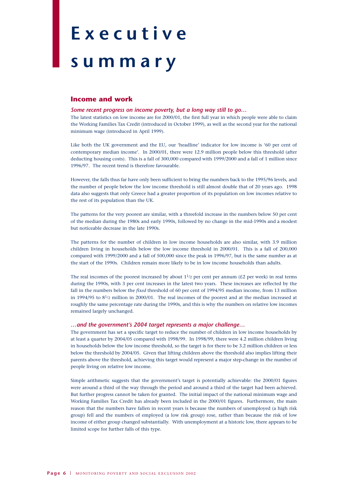# **Executive**

## **summary**

#### **Income and work**

#### *Some recent progress on income poverty, but a long way still to go…*

The latest statistics on low income are for 2000/01, the first full year in which people were able to claim the Working Families Tax Credit (introduced in October 1999), as well as the second year for the national minimum wage (introduced in April 1999).

Like both the UK government and the EU, our 'headline' indicator for low income is '60 per cent of contemporary median income'. In 2000/01, there were 12.9 million people below this threshold (after deducting housing costs). This is a fall of 300,000 compared with 1999/2000 and a fall of 1 million since 1996/97. The recent trend is therefore favourable.

However, the falls thus far have only been sufficient to bring the numbers back to the 1995/96 levels, and the number of people below the low income threshold is still almost double that of 20 years ago. 1998 data also suggests that only Greece had a greater proportion of its population on low incomes relative to the rest of its population than the UK.

The patterns for the very poorest are similar, with a threefold increase in the numbers below 50 per cent of the median during the 1980s and early 1990s, followed by no change in the mid-1990s and a modest but noticeable decrease in the late 1990s.

The patterns for the number of children in low income households are also similar, with 3.9 million children living in households below the low income threshold in 2000/01. This is a fall of 200,000 compared with 1999/2000 and a fall of 500,000 since the peak in 1996/97, but is the same number as at the start of the 1990s. Children remain more likely to be in low income households than adults.

The real incomes of the poorest increased by about  $11/2$  per cent per annum ( $£2$  per week) in real terms during the 1990s, with 3 per cent increases in the latest two years. These increases are reflected by the fall in the numbers below the *fixed* threshold of 60 per cent of 1994/95 median income, from 13 million in 1994/95 to 81/2 million in 2000/01. The real incomes of the poorest and at the median increased at roughly the same percentage rate during the 1990s, and this is why the numbers on relative low incomes remained largely unchanged.

#### *…and the government's 2004 target represents a major challenge…*

The government has set a specific target to reduce the number of children in low income households by at least a quarter by 2004/05 compared with 1998/99. In 1998/99, there were 4.2 million children living in households below the low income threshold, so the target is for there to be 3.2 million children or less below the threshold by 2004/05. Given that lifting children above the threshold also implies lifting their parents above the threshold, achieving this target would represent a major step-change in the number of people living on relative low income.

Simple arithmetic suggests that the government's target is potentially achievable: the 2000/01 figures were around a third of the way through the period and around a third of the target had been achieved. But further progress cannot be taken for granted. The initial impact of the national minimum wage and Working Families Tax Credit has already been included in the 2000/01 figures. Furthermore, the main reason that the numbers have fallen in recent years is because the numbers of unemployed (a high risk group) fell and the numbers of employed (a low risk group) rose, rather than because the risk of low income of either group changed substantially. With unemployment at a historic low, there appears to be limited scope for further falls of this type.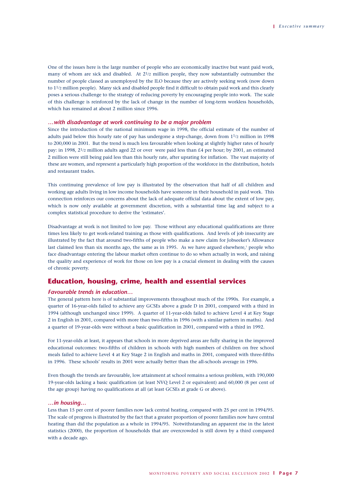One of the issues here is the large number of people who are economically inactive but want paid work, many of whom are sick and disabled. At 21/2 million people, they now substantially outnumber the number of people classed as unemployed by the ILO because they are actively seeking work (now down to 11/2 million people). Many sick and disabled people find it difficult to obtain paid work and this clearly poses a serious challenge to the strategy of reducing poverty by encouraging people into work. The scale of this challenge is reinforced by the lack of change in the number of long-term workless households, which has remained at about 2 million since 1996.

#### *…with disadvantage at work continuing to be a major problem*

Since the introduction of the national minimum wage in 1998, the official estimate of the number of adults paid below this hourly rate of pay has undergone a step-change, down from 11/2 million in 1998 to 200,000 in 2001. But the trend is much less favourable when looking at slightly higher rates of hourly pay: in 1998, 21/2 million adults aged 22 or over were paid less than £4 per hour; by 2001, an estimated 2 million were still being paid less than this hourly rate, after uprating for inflation. The vast majority of these are women, and represent a particularly high proportion of the workforce in the distribution, hotels and restaurant trades.

This continuing prevalence of low pay is illustrated by the observation that half of all children and working age adults living in low income households have someone in their household in paid work. This connection reinforces our concerns about the lack of adequate official data about the extent of low pay, which is now only available at government discretion, with a substantial time lag and subject to a complex statistical procedure to derive the 'estimates'.

Disadvantage at work is not limited to low pay. Those without any educational qualifications are three times less likely to get work-related training as those with qualifications. And levels of job insecurity are illustrated by the fact that around two-fifths of people who make a new claim for Jobseeker's Allowance last claimed less than six months ago, the same as in 1995. As we have argued elsewhere,<sup>1</sup> people who face disadvantage entering the labour market often continue to do so when actually in work, and raising the quality and experience of work for those on low pay is a crucial element in dealing with the causes of chronic poverty.

#### **Education, housing, crime, health and essential services**

#### *Favourable trends in education…*

The general pattern here is of substantial improvements throughout much of the 1990s. For example, a quarter of 16-year-olds failed to achieve any GCSEs above a grade D in 2001, compared with a third in 1994 (although unchanged since 1999). A quarter of 11-year-olds failed to achieve Level 4 at Key Stage 2 in English in 2001, compared with more than two-fifths in 1996 (with a similar pattern in maths). And a quarter of 19-year-olds were without a basic qualification in 2001, compared with a third in 1992.

For 11-year-olds at least, it appears that schools in more deprived areas are fully sharing in the improved educational outcomes: two-fifths of children in schools with high numbers of children on free school meals failed to achieve Level 4 at Key Stage 2 in English and maths in 2001, compared with three-fifths in 1996. These schools' results in 2001 were actually better than the all-schools average in 1996.

Even though the trends are favourable, low attainment at school remains a serious problem, with 190,000 19-year-olds lacking a basic qualification (at least NVQ Level 2 or equivalent) and 60,000 (8 per cent of the age group) having no qualifications at all (at least GCSEs at grade G or above).

#### *…in housing…*

Less than 15 per cent of poorer families now lack central heating, compared with 25 per cent in 1994/95. The scale of progress is illustrated by the fact that a greater proportion of poorer families now have central heating than did the population as a whole in 1994/95. Notwithstanding an apparent rise in the latest statistics (2000), the proportion of households that are overcrowded is still down by a third compared with a decade ago.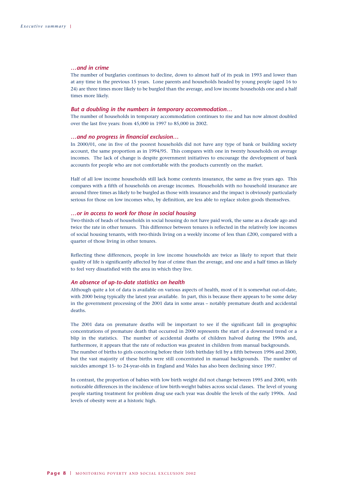#### *…and in crime*

The number of burglaries continues to decline, down to almost half of its peak in 1993 and lower than at any time in the previous 15 years. Lone parents and households headed by young people (aged 16 to 24) are three times more likely to be burgled than the average, and low income households one and a half times more likely.

#### *But a doubling in the numbers in temporary accommodation…*

The number of households in temporary accommodation continues to rise and has now almost doubled over the last five years: from 45,000 in 1997 to 85,000 in 2002.

#### *…and no progress in financial exclusion…*

In 2000/01, one in five of the poorest households did not have any type of bank or building society account, the same proportion as in 1994/95. This compares with one in twenty households on average incomes. The lack of change is despite government initiatives to encourage the development of bank accounts for people who are not comfortable with the products currently on the market.

Half of all low income households still lack home contents insurance, the same as five years ago. This compares with a fifth of households on average incomes. Households with no household insurance are around three times as likely to be burgled as those with insurance and the impact is obviously particularly serious for those on low incomes who, by definition, are less able to replace stolen goods themselves.

#### *…or in access to work for those in social housing*

Two-thirds of heads of households in social housing do not have paid work, the same as a decade ago and twice the rate in other tenures. This difference between tenures is reflected in the relatively low incomes of social housing tenants, with two-thirds living on a weekly income of less than £200, compared with a quarter of those living in other tenures.

Reflecting these differences, people in low income households are twice as likely to report that their quality of life is significantly affected by fear of crime than the average, and one and a half times as likely to feel very dissatisfied with the area in which they live.

#### *An absence of up-to-date statistics on health*

Although quite a lot of data is available on various aspects of health, most of it is somewhat out-of-date, with 2000 being typically the latest year available. In part, this is because there appears to be some delay in the government processing of the 2001 data in some areas – notably premature death and accidental deaths.

The 2001 data on premature deaths will be important to see if the significant fall in geographic concentrations of premature death that occurred in 2000 represents the start of a downward trend or a blip in the statistics. The number of accidental deaths of children halved during the 1990s and, furthermore, it appears that the rate of reduction was greatest in children from manual backgrounds. The number of births to girls conceiving before their 16th birthday fell by a fifth between 1996 and 2000, but the vast majority of these births were still concentrated in manual backgrounds. The number of suicides amongst 15- to 24-year-olds in England and Wales has also been declining since 1997.

In contrast, the proportion of babies with low birth weight did not change between 1995 and 2000, with noticeable differences in the incidence of low birth-weight babies across social classes. The level of young people starting treatment for problem drug use each year was double the levels of the early 1990s. And levels of obesity were at a historic high.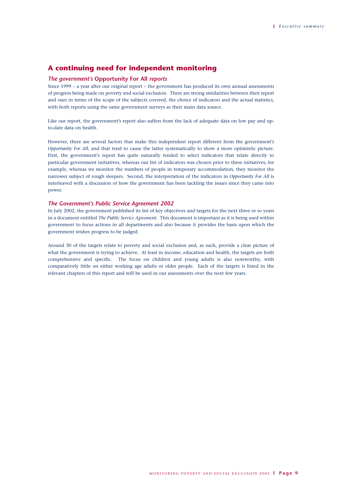#### **A continuing need for independent monitoring**

#### *The government's* **Opportunity For All** *reports*

Since 1999 – a year after our original report – the government has produced its own annual assessments of progress being made on poverty and social exclusion. There are strong similarities between their report and ours in terms of the scope of the subjects covered, the choice of indicators and the actual statistics, with both reports using the same government surveys as their main data source.

Like our report, the government's report also suffers from the lack of adequate data on low pay and upto-date data on health.

However, there are several factors that make this independent report different from the government's *Opportunity For All*, and that tend to cause the latter systematically to show a more optimistic picture. First, the government's report has quite naturally tended to select indicators that relate directly to particular government initiatives, whereas our list of indicators was chosen prior to these initiatives; for example, whereas we monitor the numbers of people in temporary accommodation, they monitor the narrower subject of rough sleepers. Second, the interpretation of the indicators in *Opportunity For All* is interleaved with a discussion of how the government has been tackling the issues since they came into power.

#### *The Government's Public Service Agreement 2002*

In July 2002, the government published its list of key objectives and targets for the next three or so years in a document entitled *The Public Service Agreement*. This document is important as it is being used within government to focus actions in all departments and also because it provides the basis upon which the government wishes progress to be judged.

Around 30 of the targets relate to poverty and social exclusion and, as such, provide a clear picture of what the government is trying to achieve. At least in income, education and health, the targets are both comprehensive and specific. The focus on children and young adults is also noteworthy, with comparatively little on either working age adults or older people. Each of the targets is listed in the relevant chapters of this report and will be used in our assessments over the next few years.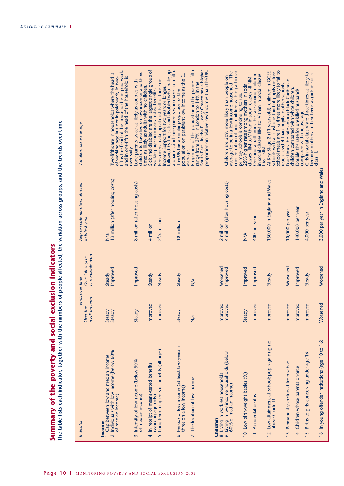| Indicator                                                                                                                                        | Trends over time        |                                       |                                                      | Variation across groups                                                                                                                                                                                       |
|--------------------------------------------------------------------------------------------------------------------------------------------------|-------------------------|---------------------------------------|------------------------------------------------------|---------------------------------------------------------------------------------------------------------------------------------------------------------------------------------------------------------------|
|                                                                                                                                                  | medium term<br>Over the | of available data<br>Over latest year | Approximate numbers affected<br>in latest year       |                                                                                                                                                                                                               |
| Individuals with low income (below 60%<br>Gap between low and median income<br>of median income)<br><b>Income</b><br>$\sim$                      | Steady<br>Steady        | Improved<br>Steady                    | 13 million (after housing costs)<br>$\overline{N}$ a | of working age but not in paid work, in two-<br>fifths the head of the household is in paid work,<br>Two-fifths are in households where the head is<br>and in one-fifth the head of the household is          |
| Intensity of low income (below 50%<br>of median income)<br>$\overline{m}$                                                                        | Steady                  | Improved                              | 8 million (after housing costs)                      | Lone parents twice as likely as couples with<br>children to have live on low incomes and three<br>over sixty.                                                                                                 |
| In receipt of means-tested benefits<br>4                                                                                                         | Improved                | Steady                                | 4 million                                            | Sick and disabled are the largest single group of<br>times as likely as adults with no children.                                                                                                              |
| Long-term recipients of benefits (all ages)<br>(working age only)<br>$\sqrt{2}$                                                                  | Improved                | Steady                                | $2^{3/4}$ million                                    | Pensioners make up almost half of those on<br>Income Support for two years or longer,<br>followed by the sick and disabled who make up<br>working age on means-tested benefits.                               |
| Periods of low income (at least two years in<br>three on a low income)<br>$\bullet$                                                              | Steady                  | Steady                                | 10 million                                           | a quarter, and lone parents who make up a fifth.<br>The UK has a similar proportion of the<br>population on persistent low income as the EU                                                                   |
| The location of low income<br>$\overline{\phantom{0}}$                                                                                           | N/a                     | N/a                                   |                                                      | Proportion of the population in the poorest fifth<br>range from 27% in London to 14% in the<br>South East. In the EU, only Greece has a higher<br>proportion on relative low incomes than the UK.<br>average. |
| Living in low income households (below<br>60% of median income)<br>8 Living in workless households<br>9 Living in low income househo<br>Children | Improved<br>Improved    | Worsened<br>Improved                  | 2 million<br>4 million (after housing costs)         | average to be in a low income household. The<br>concentration of poor children within particular<br>Children are 30% more likely than people on                                                               |
| 10 Low birth-weight babies (%)                                                                                                                   | Steady                  | Improved                              | $\frac{4}{2}$                                        | 25% higher rate among mothers in social<br>primary schools is continuing to rise.                                                                                                                             |
| Accidental deaths<br>$\equiv$                                                                                                                    | Improved                | Improved                              | 400 per year                                         | One and a half times the rate among children<br>in social classes IIIM to IV than in social classes<br>classes IIIM to V than in social classes I-IIINM.                                                      |
| Low attainment at school: pupils gaining no<br>above Grade D<br>$\overline{2}$                                                                   | Improved                | Steady                                | 150,000 in England and Wales                         | school meals are 1 <sup>1</sup> /2 times more likely to fail to<br>At Key Stage 2 (11 years old), children in GCSE<br>schools with at least one-third of pupils on free<br>I to IIINM.                        |
| Permanently excluded from school<br>$\frac{1}{2}$                                                                                                | Improved                | Worsened                              | 10,000 per year                                      | Four times the rate among black Caribbean<br>reach Level 4 than pupils in other schools.                                                                                                                      |
| Children whose parents divorce<br>$\overline{4}$                                                                                                 | Improved                | Improved                              | 140,000 per year                                     | children compared with white children.<br>Double the rate for unskilled husbands                                                                                                                              |
| Births to girls conceiving under age 16<br>15                                                                                                    | Improved                | Steady                                | 4,000 per year                                       | Cirls in social class V are three times as likely to<br>become mothers in their teens as girls in social<br>compared with the average.                                                                        |
| 16 In young offender institutions (age 10 to 16)                                                                                                 | Worsened                | Worsened                              | 3,000 per year in England and Wales                  | class III.                                                                                                                                                                                                    |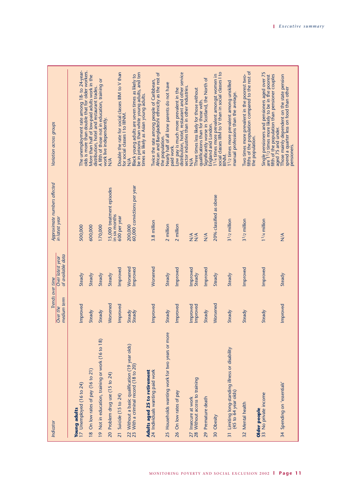| Indicator                                                                               | Trends over time        |                                       | Approximate numbers affected           | Variation across groups                                                                                                                              |
|-----------------------------------------------------------------------------------------|-------------------------|---------------------------------------|----------------------------------------|------------------------------------------------------------------------------------------------------------------------------------------------------|
|                                                                                         | medium term<br>Over the | of available data<br>Over latest year | in latest year                         |                                                                                                                                                      |
| 17 Unemployed (16 to 24)<br><b>Young adults</b>                                         | Improved                | Steady                                | 500,000                                | The unemployment rate among 18- to 24-year-                                                                                                          |
| 18 On low rates of pay (16 to 21)                                                       | Steady                  | Steady                                | 600,000                                | olds is more than double that for older workers.<br>More than half of low-paid adults work in the<br>distribution, hotel and restaurant trades.      |
| 19 Not in education, training or work (16 to 18)                                        | Steady                  | Steady                                | 170,000                                | A fifth of those not in education, training or                                                                                                       |
| 20 Problem drug use (15 to 24)                                                          | Worsened                | Steady                                | 15,000 treatment episodes              | work live independently.<br>$\frac{4}{2}$                                                                                                            |
| Suicide (15 to 24)                                                                      | Improved                | Improved                              | in six months<br>600 per year          | Double the rate for social classes IIIM to V than                                                                                                    |
| 22 Without a basic qualification (19 year olds)<br>23 With a criminal record (18 to 20) | Steady<br>Steady        | Worsened<br>Improved                  | 60,000 convictions per year<br>200,000 | be in prisons than white young adults, and ten<br>Black young adults are seven times as likely to<br>for social classes I to IIINM.<br>$\frac{4}{2}$ |
| 24 Individuals wanting paid work<br>Adults aged 25 to retirement                        | Improved                | Worsened                              | 3.8 million                            | Twice the rate among people of Caribbean,<br>African and Bangladeshi ethnicity as the rest of<br>times as likely as Asian young adults.              |
| 25 Households wanting work for two years or more                                        | Steady                  | Steady                                | 2 million                              | Nearly half of all lone parents do not have<br>the population.                                                                                       |
| On low rates of pay<br>26                                                               | Improved                | Improved                              | 2 million                              | distribution, hotel, restaurant and other service<br>ow pay is much more prevalent in the<br>paid work.                                              |
| 28 Without access to training<br>27 Insecure at work                                    | Improved<br>Improved    | Improved<br>Steady                    | $rac{4}{2}$                            | sector industries than in other industries.<br>Three times less likely for those without<br>$\frac{4}{2}$                                            |
| 29 Premature death                                                                      | Steady                  | Improved                              | $\frac{4}{2}$                          | Significantly worse in Scotland, the North of<br>qualifications than for those with.                                                                 |
| 30 Obesity                                                                              | Worsened                | Steady                                | 20% classified as obese                | social classes IIIM to V than in social classes I to<br>1 <sup>1</sup> /4 times more prevalent amongst women in<br>England and London.               |
| 31 Limiting long-standing illness or disability<br>(45 to 64 year olds)                 | Steady                  | Steady                                | $31/2$ million                         | 11/2 times more prevalent among unskilled<br>manual professions than the average.<br>IIINM.                                                          |
| Mental health<br>$\overline{32}$                                                        | Steady                  | Improved                              | $31/2$ million                         | fifths of the population compared to the rest of<br>Two times more prevalent in the poorest two-<br>the population.                                  |
| 33 No private income<br>Older people                                                    | Steady                  | Improved                              | $11$ /4 million                        | Single pensioners and pensioners aged over 75<br>are 11/2 times more likely to be in the poorest<br>fifth of the population than pensioner couples   |
| 34 Spending on 'essentials'                                                             | Improved                | Steady                                | $\frac{4}{\sqrt{2}}$                   | Those mainly dependent on the state pension<br>spend a quarter less on food than other<br>aged 75 and under.<br>pensioners.                          |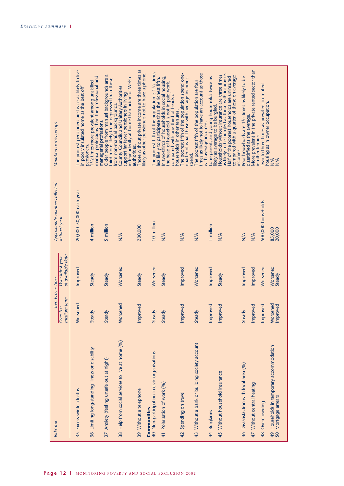| Indicator                                                          | Trends over time        |                                       | Approximate numbers affected | Variation across groups                                                                                                                                                                                            |
|--------------------------------------------------------------------|-------------------------|---------------------------------------|------------------------------|--------------------------------------------------------------------------------------------------------------------------------------------------------------------------------------------------------------------|
|                                                                    | medium term<br>Over the | of available data<br>Over latest year | in latest year               |                                                                                                                                                                                                                    |
| 35 Excess winter deaths                                            | Worsened                | Improved                              | 20,000-50,000 each year      | The poorest pensioners are twice as likely to live<br>in poorly insulated home as the best off<br>pensioners.                                                                                                      |
| 36 Limiting long-standing illness or disability                    | Steady                  | Steady                                | 4 million                    | manual professions than the professional and<br>1/2 times more prevalent among unskilled<br>managerial professions.                                                                                                |
| 37 Anxiety (feeling unsafe out at night)                           | Steady                  | Steady                                | 5 million                    | third more likely to be depressed than those<br>Older people from manual backgrounds are<br>from non-manual backgrounds.                                                                                           |
| 38 Help from social services to live at home (%)                   | Worsened                | Worsened                              | $\frac{4}{2}$                | independently at home than urban or Welsh<br>County Councils and Unitary Authorities<br>support far fewer pensioners in living<br>authorities.                                                                     |
| 39 Without a telephone<br><b>Communities</b>                       | Improved                | Steady                                | 200,000                      | Those without private income are three times as<br>likely as other pensioners not to have a phone.                                                                                                                 |
| 40 Non-participation in civic organisations                        | Steady                  | Worsened                              | 10 million                   | The poorest fifth of the population is 1 <sup>1</sup> / <sub>2</sub> times<br>less likely to participate than the richest fifth.                                                                                   |
| 41 Polarisation of work (%)                                        | Steady                  | Steady                                | $\frac{4}{\sqrt{2}}$         | In two-thirds of households in social housing,<br>the head of household is not in paid work,<br>compared with one-third of heads of<br>households in other tenures.                                                |
| 42 Spending on travel                                              | Improved                | Improved                              | $\frac{4}{2}$                | The poorest fifth of the population spend one-<br>quarter of what those with average incomes<br>spend.                                                                                                             |
| 43 Without a bank or building society account                      | Steady                  | Worsened                              | $\frac{4}{2}$                | times as likely not to have an account as those<br>The poorest fifth of the population are four<br>with average incomes.                                                                                           |
| 44 Burglaries                                                      | Improved                | Improved                              | 1 million                    | one parent, and young households twice as<br>ikely as average to be burgled.                                                                                                                                       |
| 45 Without household insurance                                     | Improved                | Steady                                | $\frac{4}{2}$                | as likely to be burgled as those with insurance.<br>Households without insurance are three times<br>compared with a quarter of those on average<br>Half of the poorest households are uninsured<br><b>INCOMES.</b> |
| 46 Dissatisfaction with local area (%)                             | Steady                  | Improved                              | $\frac{4}{2}$                | Poor households are 1 <sup>1</sup> /2 times as likely to be<br>dissatisfied as the average.                                                                                                                        |
| 47 Without central heating                                         | Improved                | Improved                              | $\frac{4}{\sqrt{2}}$         | More prevalent in the private rented sector than<br>in other tenures.                                                                                                                                              |
| Overcrowding<br>$\frac{48}{5}$                                     | Improved                | Worsened                              | 500,000 households           | Two to three times as prevalent in rented<br>nousing as in owner occupation.                                                                                                                                       |
| 49 Households in temporary accommodation<br>Mortgage arrears<br>50 | Worsened<br>Improved    | Worsened<br>Steady                    | 20,000<br>85,000             | $\frac{4}{2}$<br>$\frac{4}{2}$                                                                                                                                                                                     |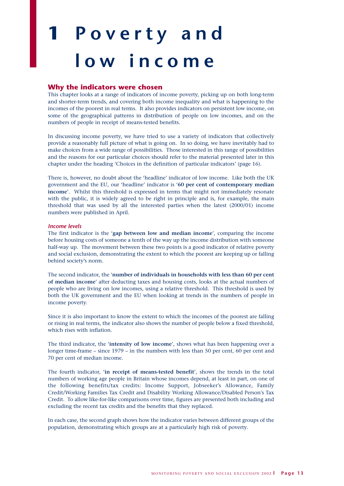# **1 Poverty and low income**

#### **Why the indicators were chosen**

This chapter looks at a range of indicators of income poverty, picking up on both long-term and shorter-term trends, and covering both income inequality and what is happening to the incomes of the poorest in real terms. It also provides indicators on persistent low income, on some of the geographical patterns in distribution of people on low incomes, and on the numbers of people in receipt of means-tested benefits.

In discussing income poverty, we have tried to use a variety of indicators that collectively provide a reasonably full picture of what is going on. In so doing, we have inevitably had to make choices from a wide range of possibilities. Those interested in this range of possibilities and the reasons for our particular choices should refer to the material presented later in this chapter under the heading 'Choices in the definition of particular indicators' (page 16).

There is, however, no doubt about the 'headline' indicator of low income. Like both the UK government and the EU, our 'headline' indicator is '**60 per cent of contemporary median income**'. Whilst this threshold is expressed in terms that might not immediately resonate with the public, it is widely agreed to be right in principle and is, for example, the main threshold that was used by all the interested parties when the latest (2000/01) income numbers were published in April.

#### *Income levels*

The first indicator is the '**gap between low and median income**', comparing the income before housing costs of someone a tenth of the way up the income distribution with someone half-way up. The movement between these two points is a good indicator of relative poverty and social exclusion, demonstrating the extent to which the poorest are keeping up or falling behind society's norm.

The second indicator, the '**number of individuals in households with less than 60 per cent of median income**' after deducting taxes and housing costs, looks at the actual numbers of people who are living on low incomes, using a relative threshold. This threshold is used by both the UK government and the EU when looking at trends in the numbers of people in income poverty.

Since it is also important to know the extent to which the incomes of the poorest are falling or rising in real terms, the indicator also shows the number of people below a fixed threshold, which rises with inflation.

The third indicator, the '**intensity of low income**', shows what has been happening over a longer time-frame – since 1979 – in the numbers with less than 50 per cent, 60 per cent and 70 per cent of median income.

The fourth indicator, '**in receipt of means-tested benefit**', shows the trends in the total numbers of working age people in Britain whose incomes depend, at least in part, on one of the following benefits/tax credits: Income Support, Jobseeker's Allowance, Family Credit/Working Families Tax Credit and Disability Working Allowance/Disabled Person's Tax Credit. To allow like-for-like comparisons over time, figures are presented both including and excluding the recent tax credits and the benefits that they replaced.

In each case, the second graph shows how the indicator varies between different groups of the population, demonstrating which groups are at a particularly high risk of poverty.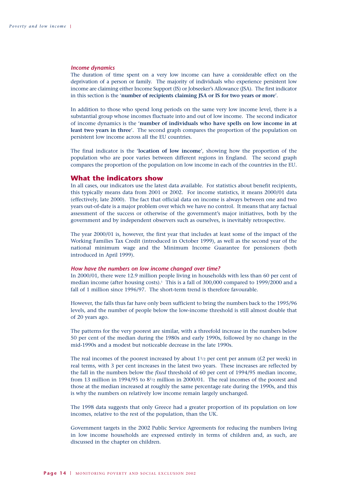#### *Income dynamics*

The duration of time spent on a very low income can have a considerable effect on the deprivation of a person or family. The majority of individuals who experience persistent low income are claiming either Income Support (IS) or Jobseeker's Allowance (JSA). The first indicator in this section is the '**number of recipients claiming JSA or IS for two years or more**'.

In addition to those who spend long periods on the same very low income level, there is a substantial group whose incomes fluctuate into and out of low income. The second indicator of income dynamics is the '**number of individuals who have spells on low income in at least two years in three**'. The second graph compares the proportion of the population on persistent low income across all the EU countries.

The final indicator is the '**location of low income**', showing how the proportion of the population who are poor varies between different regions in England. The second graph compares the proportion of the population on low income in each of the countries in the EU.

#### **What the indicators show**

In all cases, our indicators use the latest data available. For statistics about benefit recipients, this typically means data from 2001 or 2002. For income statistics, it means 2000/01 data (effectively, late 2000). The fact that official data on income is always between one and two years out-of-date is a major problem over which we have no control. It means that any factual assessment of the success or otherwise of the government's major initiatives, both by the government and by independent observers such as ourselves, is inevitably retrospective.

The year 2000/01 is, however, the first year that includes at least some of the impact of the Working Families Tax Credit (introduced in October 1999), as well as the second year of the national minimum wage and the Minimum Income Guarantee for pensioners (both introduced in April 1999).

#### *How have the numbers on low income changed over time?*

In 2000/01, there were 12.9 million people living in households with less than 60 per cent of median income (after housing costs).<sup>1</sup> This is a fall of 300,000 compared to 1999/2000 and a fall of 1 million since 1996/97. The short-term trend is therefore favourable.

However, the falls thus far have only been sufficient to bring the numbers back to the 1995/96 levels, and the number of people below the low-income threshold is still almost double that of 20 years ago.

The patterns for the very poorest are similar, with a threefold increase in the numbers below 50 per cent of the median during the 1980s and early 1990s, followed by no change in the mid-1990s and a modest but noticeable decrease in the late 1990s.

The real incomes of the poorest increased by about  $1\frac{1}{2}$  per cent per annum (£2 per week) in real terms, with 3 per cent increases in the latest two years. These increases are reflected by the fall in the numbers below the *fixed* threshold of 60 per cent of 1994/95 median income, from 13 million in 1994/95 to 81/2 million in 2000/01. The real incomes of the poorest and those at the median increased at roughly the same percentage rate during the 1990s, and this is why the numbers on relatively low income remain largely unchanged.

The 1998 data suggests that only Greece had a greater proportion of its population on low incomes, relative to the rest of the population, than the UK.

Government targets in the 2002 Public Service Agreements for reducing the numbers living in low income households are expressed entirely in terms of children and, as such, are discussed in the chapter on children.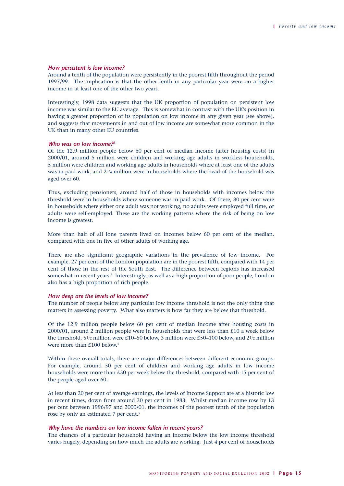#### *How persistent is low income?*

Around a tenth of the population were persistently in the poorest fifth throughout the period 1997/99. The implication is that the other tenth in any particular year were on a higher income in at least one of the other two years.

Interestingly, 1998 data suggests that the UK proportion of population on persistent low income was similar to the EU average. This is somewhat in contrast with the UK's position in having a greater proportion of its population on low income in any given year (see above), and suggests that movements in and out of low income are somewhat more common in the UK than in many other EU countries.

#### *Who was on low income?2*

Of the 12.9 million people below 60 per cent of median income (after housing costs) in 2000/01, around 5 million were children and working age adults in workless households, 5 million were children and working age adults in households where at least one of the adults was in paid work, and 23/4 million were in households where the head of the household was aged over 60.

Thus, excluding pensioners, around half of those in households with incomes below the threshold were in households where someone was in paid work. Of these, 80 per cent were in households where either one adult was not working, no adults were employed full time, or adults were self-employed. These are the working patterns where the risk of being on low income is greatest.

More than half of all lone parents lived on incomes below 60 per cent of the median, compared with one in five of other adults of working age.

There are also significant geographic variations in the prevalence of low income. For example, 27 per cent of the London population are in the poorest fifth, compared with 14 per cent of those in the rest of the South East. The difference between regions has increased somewhat in recent years.<sup>3</sup> Interestingly, as well as a high proportion of poor people, London also has a high proportion of rich people.

#### *How deep are the levels of low income?*

The number of people below any particular low income threshold is not the only thing that matters in assessing poverty. What also matters is how far they are below that threshold.

Of the 12.9 million people below 60 per cent of median income after housing costs in  $2000/01$ , around 2 million people were in households that were less than £10 a week below the threshold, 51/2 million were £10–50 below, 3 million were £50–100 below, and 21/2 million were more than £100 below.<sup>4</sup>

Within these overall totals, there are major differences between different economic groups. For example, around 50 per cent of children and working age adults in low income households were more than £50 per week below the threshold, compared with 15 per cent of the people aged over 60.

At less than 20 per cent of average earnings, the levels of Income Support are at a historic low in recent times, down from around 30 per cent in 1983. Whilst median income rose by 13 per cent between 1996/97 and 2000/01, the incomes of the poorest tenth of the population rose by only an estimated 7 per cent.<sup>5</sup>

#### *Why have the numbers on low income fallen in recent years?*

The chances of a particular household having an income below the low income threshold varies hugely, depending on how much the adults are working. Just 4 per cent of households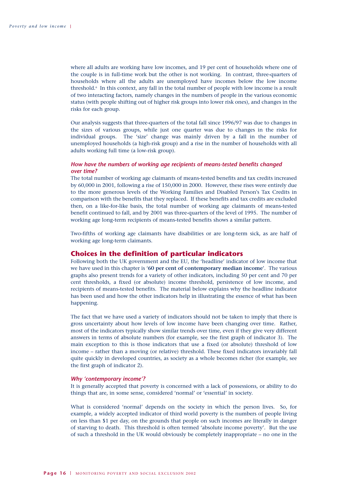where all adults are working have low incomes, and 19 per cent of households where one of the couple is in full-time work but the other is not working. In contrast, three-quarters of households where all the adults are unemployed have incomes below the low income threshold.6 In this context, any fall in the total number of people with low income is a result of two interacting factors, namely changes in the numbers of people in the various economic status (with people shifting out of higher risk groups into lower risk ones), and changes in the risks for each group.

Our analysis suggests that three-quarters of the total fall since 1996/97 was due to changes in the sizes of various groups, while just one quarter was due to changes in the risks for individual groups. The 'size' change was mainly driven by a fall in the number of unemployed households (a high-risk group) and a rise in the number of households with all adults working full time (a low-risk group).

#### *How have the numbers of working age recipients of means-tested benefits changed over time?*

The total number of working age claimants of means-tested benefits and tax credits increased by 60,000 in 2001, following a rise of 150,000 in 2000. However, these rises were entirely due to the more generous levels of the Working Families and Disabled Person's Tax Credits in comparison with the benefits that they replaced. If these benefits and tax credits are excluded then, on a like-for-like basis, the total number of working age claimants of means-tested benefit continued to fall, and by 2001 was three-quarters of the level of 1995. The number of working age long-term recipients of means-tested benefits shows a similar pattern.

Two-fifths of working age claimants have disabilities or are long-term sick, as are half of working age long-term claimants.

#### **Choices in the definition of particular indicators**

Following both the UK government and the EU, the 'headline' indicator of low income that we have used in this chapter is '**60 per cent of contemporary median income**'. The various graphs also present trends for a variety of other indicators, including 50 per cent and 70 per cent thresholds, a fixed (or absolute) income threshold, persistence of low income, and recipients of means-tested benefits. The material below explains why the headline indicator has been used and how the other indicators help in illustrating the essence of what has been happening.

The fact that we have used a variety of indicators should not be taken to imply that there is gross uncertainty about how levels of low income have been changing over time. Rather, most of the indicators typically show similar trends over time, even if they give very different answers in terms of absolute numbers (for example, see the first graph of indicator 3). The main exception to this is those indicators that use a fixed (or absolute) threshold of low income – rather than a moving (or relative) threshold. These fixed indicators invariably fall quite quickly in developed countries, as society as a whole becomes richer (for example, see the first graph of indicator 2).

#### *Why 'contemporary income'?*

It is generally accepted that poverty is concerned with a lack of possessions, or ability to do things that are, in some sense, considered 'normal' or 'essential' in society.

What is considered 'normal' depends on the society in which the person lives. So, for example, a widely accepted indicator of third world poverty is the numbers of people living on less than \$1 per day, on the grounds that people on such incomes are literally in danger of starving to death. This threshold is often termed 'absolute income poverty'. But the use of such a threshold in the UK would obviously be completely inappropriate – no one in the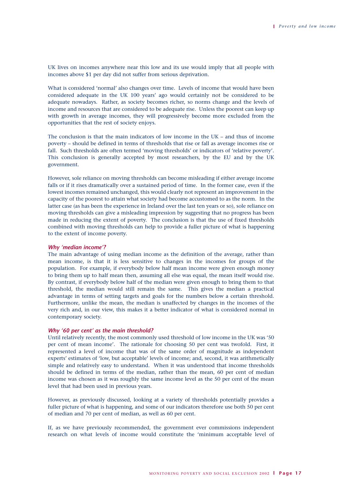UK lives on incomes anywhere near this low and its use would imply that all people with incomes above \$1 per day did not suffer from serious deprivation.

What is considered 'normal' also changes over time. Levels of income that would have been considered adequate in the UK 100 years' ago would certainly not be considered to be adequate nowadays. Rather, as society becomes richer, so norms change and the levels of income and resources that are considered to be adequate rise. Unless the poorest can keep up with growth in average incomes, they will progressively become more excluded from the opportunities that the rest of society enjoys.

The conclusion is that the main indicators of low income in the UK – and thus of income poverty – should be defined in terms of thresholds that rise or fall as average incomes rise or fall. Such thresholds are often termed 'moving thresholds' or indicators of 'relative poverty'. This conclusion is generally accepted by most researchers, by the EU and by the UK government.

However, sole reliance on moving thresholds can become misleading if either average income falls or if it rises dramatically over a sustained period of time. In the former case, even if the lowest incomes remained unchanged, this would clearly not represent an improvement in the capacity of the poorest to attain what society had become accustomed to as the norm. In the latter case (as has been the experience in Ireland over the last ten years or so), sole reliance on moving thresholds can give a misleading impression by suggesting that no progress has been made in reducing the extent of poverty. The conclusion is that the use of fixed thresholds combined with moving thresholds can help to provide a fuller picture of what is happening to the extent of income poverty.

#### *Why 'median income'?*

The main advantage of using median income as the definition of the average, rather than mean income, is that it is less sensitive to changes in the incomes for groups of the population. For example, if everybody below half mean income were given enough money to bring them up to half mean then, assuming all else was equal, the mean itself would rise. By contrast, if everybody below half of the median were given enough to bring them to that threshold, the median would still remain the same. This gives the median a practical advantage in terms of setting targets and goals for the numbers below a certain threshold. Furthermore, unlike the mean, the median is unaffected by changes in the incomes of the very rich and, in our view, this makes it a better indicator of what is considered normal in contemporary society.

#### *Why '60 per cent' as the main threshold?*

Until relatively recently, the most commonly used threshold of low income in the UK was '50 per cent of mean income'. The rationale for choosing 50 per cent was twofold. First, it represented a level of income that was of the same order of magnitude as independent experts' estimates of 'low, but acceptable' levels of income; and, second, it was arithmetically simple and relatively easy to understand. When it was understood that income thresholds should be defined in terms of the median, rather than the mean, 60 per cent of median income was chosen as it was roughly the same income level as the 50 per cent of the mean level that had been used in previous years.

However, as previously discussed, looking at a variety of thresholds potentially provides a fuller picture of what is happening, and some of our indicators therefore use both 50 per cent of median and 70 per cent of median, as well as 60 per cent.

If, as we have previously recommended, the government ever commissions independent research on what levels of income would constitute the 'minimum acceptable level of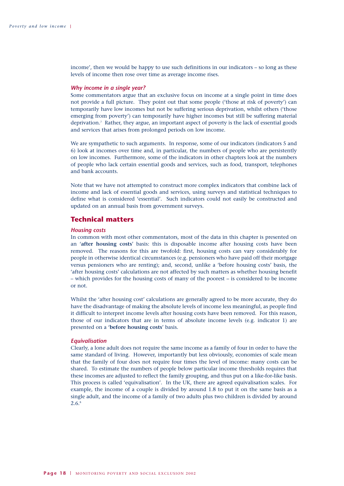income', then we would be happy to use such definitions in our indicators – so long as these levels of income then rose over time as average income rises.

#### *Why income in a single year?*

Some commentators argue that an exclusive focus on income at a single point in time does not provide a full picture. They point out that some people ('those at risk of poverty') can temporarily have low incomes but not be suffering serious deprivation, whilst others ('those emerging from poverty') can temporarily have higher incomes but still be suffering material deprivation.7 Rather, they argue, an important aspect of poverty is the lack of essential goods and services that arises from prolonged periods on low income.

We are sympathetic to such arguments. In response, some of our indicators (indicators 5 and 6) look at incomes over time and, in particular, the numbers of people who are persistently on low incomes. Furthermore, some of the indicators in other chapters look at the numbers of people who lack certain essential goods and services, such as food, transport, telephones and bank accounts.

Note that we have not attempted to construct more complex indicators that combine lack of income and lack of essential goods and services, using surveys and statistical techniques to define what is considered 'essential'. Such indicators could not easily be constructed and updated on an annual basis from government surveys.

#### **Technical matters**

#### *Housing costs*

In common with most other commentators, most of the data in this chapter is presented on an '**after housing costs**' basis: this is disposable income after housing costs have been removed. The reasons for this are twofold: first, housing costs can vary considerably for people in otherwise identical circumstances (e.g. pensioners who have paid off their mortgage versus pensioners who are renting); and, second, unlike a 'before housing costs' basis, the 'after housing costs' calculations are not affected by such matters as whether housing benefit – which provides for the housing costs of many of the poorest – is considered to be income or not.

Whilst the 'after housing cost' calculations are generally agreed to be more accurate, they do have the disadvantage of making the absolute levels of income less meaningful, as people find it difficult to interpret income levels after housing costs have been removed. For this reason, those of our indicators that are in terms of absolute income levels (e.g. indicator 1) are presented on a '**before housing costs**' basis.

#### *Equivalisation*

Clearly, a lone adult does not require the same income as a family of four in order to have the same standard of living. However, importantly but less obviously, economies of scale mean that the family of four does not require four times the level of income: many costs can be shared. To estimate the numbers of people below particular income thresholds requires that these incomes are adjusted to reflect the family grouping, and thus put on a like-for-like basis. This process is called 'equivalisation'. In the UK, there are agreed equivalisation scales. For example, the income of a couple is divided by around 1.8 to put it on the same basis as a single adult, and the income of a family of two adults plus two children is divided by around 2.6.8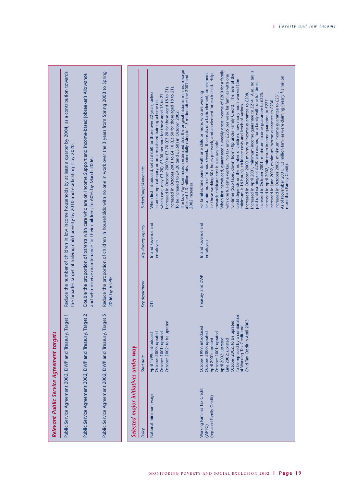| Relevant Public Service Agreement targets                         |                                                                                                                                                                                                                                                                                                 |                             |                                 |                                                                                                                                                                                                                                                                                                                                                                                                                                                                                                                                                                                                                                                                                                                                                                                                                                                                                                                                                                                                                                                                                                                                                                                                                                                                   |
|-------------------------------------------------------------------|-------------------------------------------------------------------------------------------------------------------------------------------------------------------------------------------------------------------------------------------------------------------------------------------------|-----------------------------|---------------------------------|-------------------------------------------------------------------------------------------------------------------------------------------------------------------------------------------------------------------------------------------------------------------------------------------------------------------------------------------------------------------------------------------------------------------------------------------------------------------------------------------------------------------------------------------------------------------------------------------------------------------------------------------------------------------------------------------------------------------------------------------------------------------------------------------------------------------------------------------------------------------------------------------------------------------------------------------------------------------------------------------------------------------------------------------------------------------------------------------------------------------------------------------------------------------------------------------------------------------------------------------------------------------|
|                                                                   | Public Service Agreement 2002, DWP and Treasury, Target 1                                                                                                                                                                                                                                       |                             |                                 | Reduce the number of children in low income households by at least a quarter by 2004, as a contribution towards<br>the broader target of halving child poverty by 2010 and eradicating it by 2020.                                                                                                                                                                                                                                                                                                                                                                                                                                                                                                                                                                                                                                                                                                                                                                                                                                                                                                                                                                                                                                                                |
|                                                                   | Public Service Agreement 2002, DWP and Treasury, Target 2                                                                                                                                                                                                                                       |                             |                                 | Double the proportion of parents with care who are on Income Support and income-based Jobseeker's Allowance<br>and who receive maintenance for their children, to 60% by March 2006.                                                                                                                                                                                                                                                                                                                                                                                                                                                                                                                                                                                                                                                                                                                                                                                                                                                                                                                                                                                                                                                                              |
|                                                                   | Public Service Agreement 2002, DWP and Treasury, Target 5                                                                                                                                                                                                                                       | 2006 by 6 <sup>1</sup> /2%. |                                 | Reduce the proportion of children in households with no one in work over the 3 years from Spring 2003 to Spring                                                                                                                                                                                                                                                                                                                                                                                                                                                                                                                                                                                                                                                                                                                                                                                                                                                                                                                                                                                                                                                                                                                                                   |
|                                                                   |                                                                                                                                                                                                                                                                                                 |                             |                                 |                                                                                                                                                                                                                                                                                                                                                                                                                                                                                                                                                                                                                                                                                                                                                                                                                                                                                                                                                                                                                                                                                                                                                                                                                                                                   |
| Selected major initiatives under way                              |                                                                                                                                                                                                                                                                                                 |                             |                                 |                                                                                                                                                                                                                                                                                                                                                                                                                                                                                                                                                                                                                                                                                                                                                                                                                                                                                                                                                                                                                                                                                                                                                                                                                                                                   |
| Policy                                                            | Start date                                                                                                                                                                                                                                                                                      | Key department              | Key delivery agency             | Budget/target/comments                                                                                                                                                                                                                                                                                                                                                                                                                                                                                                                                                                                                                                                                                                                                                                                                                                                                                                                                                                                                                                                                                                                                                                                                                                            |
| National minimum wage                                             | October 2002: to be uprated<br>October 2001: uprated<br>October 2000: uprated<br>April 1999: introduced                                                                                                                                                                                         | Б                           | Inland Revenue and<br>employers | The Low Pay Commission estimated that the original national minimum wage<br>affected 1.3 million jobs, potentially rising to 1.5 million after the 2001 and<br>Increased in October 2000 to £3.70 (£3.20 for those aged 18 to 21).<br>Increased in October 2001 to £4.10 (£3.50 for those aged 18 to 21).<br>When first introduced, set at £3.60 for those over 22 years, unless<br>which case, only £3.20). £3.00 per hour for those aged 18 to 21.<br>in an exempt category or on a registered training scheme (in<br>To be increased to £4.20 (and £3.60) in October 2002.<br>2002 increases.                                                                                                                                                                                                                                                                                                                                                                                                                                                                                                                                                                                                                                                                  |
| Working Families Tax Credit<br>(replaced Family Credit)<br>(WFTC) | To be replaced by a combination<br>$\overline{0}$<br>October 2002: to be uprated<br>Child Tax Credit in April 20<br>of Working Tax Credit and<br>October 1999: introduced<br>October 2000: uprated<br>October 2001: uprated<br>April 2002: uprated<br>April 2001: uprated<br>June 2002: uprated | Treasury and DWP            | Inland Revenue and<br>employers | When first introduced, guaranteed a weekly gross income of £200 for a family<br>Increased in April 2001, minimum income guarantee to £214. Also, no tax is<br>for a minimum of 16 hours/week. It consists of a basic element, an element<br>for those working 30+ hours per week, and an element for each child. Help<br>with one full-time worker. No tax until £235 per week for families with one<br>full-timer (55p taper, down from 70p under Family Credit). The level of the<br>As of November 2001, 1.3 million families were claiming (nearly 1/2 million<br>credit depends on the number of children, how many hours worked (the<br>paid until earnings of £250 are reached, for a family with one full-timer.<br>For families/lone parents with one child or more, who are working<br>Increased in October 2000, minimum income guarantee to £208.<br>Increased in October 2001, minimum income guarantee to £225.<br>Increased in October 2002, minimum income guarantee to £231<br>Increased in April 2002, minimum income guarantee to £227.<br>Increased in June 2002, minimum income guarantee to £230.<br>minimum is 16 hours), childcare costs and levels of savings.<br>towards childcare cost is also available.<br>more than Family Credit). |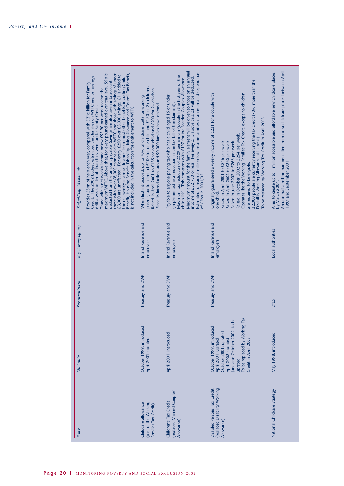| Budget/target/comments | Benefit, Housing Benefit, Disability Living Allowance and Council Tax Benefit,<br>is not included in the calculation for entitlement to WFTC.<br>maximum WFTC. Above that, for every pound earned over that level, 55p is<br>those with over £8,000 cannot claim WFTC and those with savings of under<br>£3,000 are unaffected. For every £250 over £3,000 savings, £1 is added to<br>Credit. The 2002 budget estimated that families on WFTC are, on average,<br>£40 a week better off than they were under Family Credit.<br>the net weekly income. Income from most other benefits, including Child<br>deducted from the amount payable. Savings are also taken into account:<br>Provides £5bn of help each year, compared with £3 <sup>1</sup> /2 billion for Family<br>Those with a net weekly income below £92.90 per week receive the | parents, up to a limit of £100 for one child and £150 for 2+ children.<br>Raised in April 2001 to £135 for one child and £200 for 2+ children.<br>When first introduced, up to 70% of childcare costs for working<br>Since its introduction, around 90,000 families have claimed | Maximum amount for the family element will be given to those on an annual<br>Estimated to reach 5 million low income families at an estimated expenditure<br>Maximum tax reduction of £529 per annum (double in the first year of the<br>child's life). This compares with £197 for the Married Couples' Allowance.<br>income of £32,750 or less. For every £15 above this, £1 will be deducted.<br>Payable to anyone paying tax who has a child aged 16 or under<br>(implemented as a reduction in the tax bill of the claimant).<br>of £2bn in 2001/02. | 32,000 people are currently receiving the tax credit (70% more than the<br>Operates like the Working Families Tax Credit, except no children<br>Originally guaranteed a weekly income of £231 for a couple with<br>To be replaced by Working Tax Credit in April 2003<br>Raised in October 2002 to £264 per week.<br>Disability Working Allowance at its peak).<br>Raised in April 2001 to £246 per week.<br>Raised in April 2002 to £260 per week.<br>Raised in June 2002 to £263 per week.<br>are required to be eligible.<br>one child. | Around half a million had benefited from extra childcare places between April<br>Aims to create up to 1 million accessible and affordable new childcare places<br>1997 and September 2001.<br>by March 2004. |
|------------------------|----------------------------------------------------------------------------------------------------------------------------------------------------------------------------------------------------------------------------------------------------------------------------------------------------------------------------------------------------------------------------------------------------------------------------------------------------------------------------------------------------------------------------------------------------------------------------------------------------------------------------------------------------------------------------------------------------------------------------------------------------------------------------------------------------------------------------------------------|----------------------------------------------------------------------------------------------------------------------------------------------------------------------------------------------------------------------------------------------------------------------------------|-----------------------------------------------------------------------------------------------------------------------------------------------------------------------------------------------------------------------------------------------------------------------------------------------------------------------------------------------------------------------------------------------------------------------------------------------------------------------------------------------------------------------------------------------------------|--------------------------------------------------------------------------------------------------------------------------------------------------------------------------------------------------------------------------------------------------------------------------------------------------------------------------------------------------------------------------------------------------------------------------------------------------------------------------------------------------------------------------------------------|--------------------------------------------------------------------------------------------------------------------------------------------------------------------------------------------------------------|
| Key delivery agency    |                                                                                                                                                                                                                                                                                                                                                                                                                                                                                                                                                                                                                                                                                                                                                                                                                                              | <b>Inland Revenue and</b><br>employers                                                                                                                                                                                                                                           | Inland Revenue and<br>employers                                                                                                                                                                                                                                                                                                                                                                                                                                                                                                                           | Inland Revenue and<br>employers                                                                                                                                                                                                                                                                                                                                                                                                                                                                                                            | Local authorities                                                                                                                                                                                            |
| Key department         |                                                                                                                                                                                                                                                                                                                                                                                                                                                                                                                                                                                                                                                                                                                                                                                                                                              | Treasury and DWP                                                                                                                                                                                                                                                                 | Treasury and DWP                                                                                                                                                                                                                                                                                                                                                                                                                                                                                                                                          | Treasury and DWP                                                                                                                                                                                                                                                                                                                                                                                                                                                                                                                           | <b>DfES</b>                                                                                                                                                                                                  |
| Start date             |                                                                                                                                                                                                                                                                                                                                                                                                                                                                                                                                                                                                                                                                                                                                                                                                                                              | October 1999: introduced<br>April 2001: uprated                                                                                                                                                                                                                                  | April 2001: introduced                                                                                                                                                                                                                                                                                                                                                                                                                                                                                                                                    | Tax<br>be<br>June and October 2002: to<br>To be replaced by Working<br>October 1999: introduced<br>October 2001: uprated<br>Credit in April 2003<br>April 2001: uprated<br>April 2002: uprated<br>uprated                                                                                                                                                                                                                                                                                                                                  | May 1998: introduced                                                                                                                                                                                         |
| Policy                 |                                                                                                                                                                                                                                                                                                                                                                                                                                                                                                                                                                                                                                                                                                                                                                                                                                              | (part of the Working<br>Childcare allowance<br>Families Tax Credit)                                                                                                                                                                                                              | (replaced Married Couples'<br>Children's Tax Credit<br>Allowance)                                                                                                                                                                                                                                                                                                                                                                                                                                                                                         | (replaced Disability Working<br>Disabled Persons Tax Credit<br>Allowance)                                                                                                                                                                                                                                                                                                                                                                                                                                                                  | National Childcare Strategy                                                                                                                                                                                  |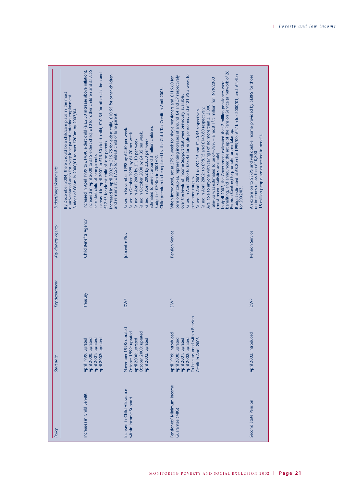| <b>Budget/target/comments</b> | By December 2004, there should be a childcare place in the most<br>disadvantaged areas for every lone parent entering employment.<br>Budget of £66m in 2000/01 to over £200m by 2003/04 | Increased in April 2000 to £15 eldest child, £10 for other children and £17.55<br>Increased in April 1999 to £14.40 eldest child (a £2.50 increase above inflation).<br>ncreased in April 2001 to £15.50 eldest child, £10.35 for other children and<br>Increased in April 2002 to £15.75 for eldest child, £10.55 for other children<br>and remains at £17.55 for eldest child of lone parent.<br>£17.55 for eldest child of lone parents.<br>for eldest child of lone parents. | Child premium to be replaced by the Child Tax Credit in April 2003.<br>Estimated to benefit around 3 million children.<br>Raised in November 1998 by £2.50 per week.<br>Raised in October 1999 by £4.70 per week.<br>Raised in October 2000 by £4.35 per week.<br>Raised in April 2000 by £1.10 per week.<br>Raised in April 2002 by £3.50 per week.<br>Budget of £700m in 2001/02. | benefiting, and announced the set up of the Pension Service (a network of 26<br>Raised in April 2000 to £78.45 for single pensioners and £121.95 a week for<br>Budget estimated at £3.8bn for 1999/00, £4.1bn for 2000/01, and £4.4bn<br>pensioner couples, representing increases of around £4 and £7 respectively<br>When introduced, set at £75 a week for single pensioners and £116.60 for<br>Take-up was estimated to be 64-78% - almost 1 <sup>1</sup> /2 million for 1999/2000<br>In April 2002, the Government estimated that 2 million pensioners were<br>over the levels of Income Support that were previously available.<br>Available to anyone with savings of no more than £12,000.<br>Raised in April 2002: to £98.15 and £149.80 respectively.<br>Raised in April 2001 to £92.15 and £140.55 respectively.<br>Pension Centres) to promote further take-up.<br>(most recent statistics available).<br>pensioner couples.<br>for 2002/03. | An extension to SERPS and will double income provided by SERPS for those<br>18 million people are expected to benefit.<br>on incomes of less than £10,800. |
|-------------------------------|-----------------------------------------------------------------------------------------------------------------------------------------------------------------------------------------|----------------------------------------------------------------------------------------------------------------------------------------------------------------------------------------------------------------------------------------------------------------------------------------------------------------------------------------------------------------------------------------------------------------------------------------------------------------------------------|-------------------------------------------------------------------------------------------------------------------------------------------------------------------------------------------------------------------------------------------------------------------------------------------------------------------------------------------------------------------------------------|----------------------------------------------------------------------------------------------------------------------------------------------------------------------------------------------------------------------------------------------------------------------------------------------------------------------------------------------------------------------------------------------------------------------------------------------------------------------------------------------------------------------------------------------------------------------------------------------------------------------------------------------------------------------------------------------------------------------------------------------------------------------------------------------------------------------------------------------------------------------------------------------------------------------------------------------------------|------------------------------------------------------------------------------------------------------------------------------------------------------------|
| Key delivery agency           |                                                                                                                                                                                         | Child Benefits Agency                                                                                                                                                                                                                                                                                                                                                                                                                                                            | Jobcentre Plus                                                                                                                                                                                                                                                                                                                                                                      | Pension Service                                                                                                                                                                                                                                                                                                                                                                                                                                                                                                                                                                                                                                                                                                                                                                                                                                                                                                                                          | Pension Service                                                                                                                                            |
| Key department                |                                                                                                                                                                                         | Treasury                                                                                                                                                                                                                                                                                                                                                                                                                                                                         | <b>DWP</b>                                                                                                                                                                                                                                                                                                                                                                          | <b>DWP</b>                                                                                                                                                                                                                                                                                                                                                                                                                                                                                                                                                                                                                                                                                                                                                                                                                                                                                                                                               | <b>DWP</b>                                                                                                                                                 |
| <b>Start</b> date             |                                                                                                                                                                                         | April 2001: uprated<br>April 2002: uprated<br>April 1999: uprated<br>April 2000: uprated                                                                                                                                                                                                                                                                                                                                                                                         | November 1998: uprated<br>October 1999: uprated<br>October 2000: uprated<br>April 2000: uprated<br>April 2002: uprated                                                                                                                                                                                                                                                              | To be subsumed within Pension<br>April 1999: introduced<br>Credit in April 2003<br>April 2000: uprated<br>April 2001: uprated<br>April 2002: uprated                                                                                                                                                                                                                                                                                                                                                                                                                                                                                                                                                                                                                                                                                                                                                                                                     | April 2002: introduced                                                                                                                                     |
| Policy                        |                                                                                                                                                                                         | Increases in Child Benefit                                                                                                                                                                                                                                                                                                                                                                                                                                                       | Increase in Child Allowance<br>within Income Support                                                                                                                                                                                                                                                                                                                                | Pensioners' Minimum Income<br><b>Cuarantee (MIC)</b>                                                                                                                                                                                                                                                                                                                                                                                                                                                                                                                                                                                                                                                                                                                                                                                                                                                                                                     | Second State Pension                                                                                                                                       |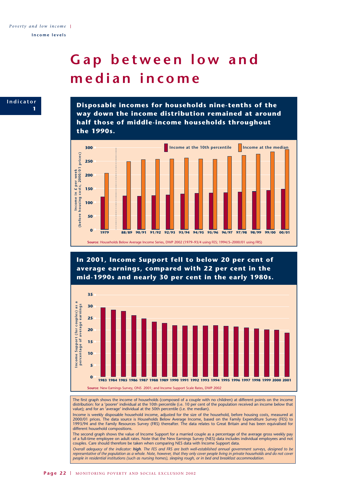## **Gap between low and median income**



**Disposable incomes for households nine-tenths of the way down the income distribution remained at around half those of middle-income households throughout the 1990s.**



**In 2001, Income Support fell to below 20 per cent of average earnings, compared with 22 per cent in the mid-1990s and nearly 30 per cent in the early 1980s.**



The first graph shows the income of households (composed of a couple with no children) at different points on the income distribution: for a 'poorer' individual at the 10th percentile (i.e. 10 per cent of the population received an income below that value); and for an 'average' individual at the 50th percentile (i.e. the median).

Income is weekly disposable household income, adjusted for the size of the household, before housing costs, measured at 2000/01 prices. The data source is Households Below Average Income, based on the Family Expenditure Survey (FES) to 1993/94 and the Family Resources Survey (FRS) thereafter. The data relates to Great Britain and has been equivalised for different household compositions.

The second graph shows the value of Income Support for a married couple as a percentage of the average gross weekly pay of a full-time employee on adult rates. Note that the New Earnings Survey (NES) data includes individual employees and not couples. Care should therefore be taken when comparing NES data with Income Support data.

*Overall adequacy of the indicator: high. The FES and FRS are both well-established annual government surveys, designed to be representative of the population as a whole. Note, however, that they only cover people living in private households and do not cover people in residential institutions (such as nursing homes), sleeping rough, or in bed and breakfast accommodation.*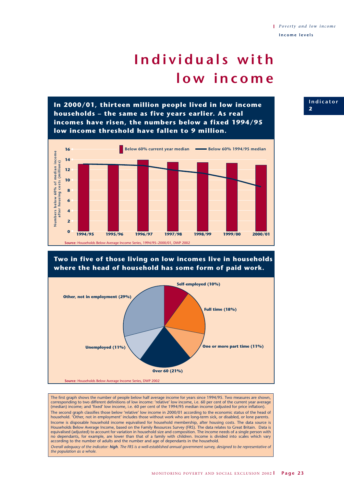## **Individuals with low income**

**In 2000/01, thirteen million people lived in low income households – the same as five years earlier. As real incomes have risen, the numbers below a fixed 1994/95 low income threshold have fallen to 9 million.**



#### **Two in five of those living on low incomes live in households where the head of household has some form of paid work.**



The first graph shows the number of people below half average income for years since 1994/95. Two measures are shown, corresponding to two different definitions of low income: 'relative' low income, i.e. 60 per cent of the current year average (median) income; and 'fixed' low income, i.e. 60 per cent of the 1994/95 median income (adjusted for price inflation). The second graph classifies those below 'relative' low income in 2000/01 according to the economic status of the head of household. 'Other, not in employment' includes those without work who are long-term sick, or disabled, or lone parents. Income is disposable household income equivalised for household membership, after housing costs. The data source is Households Below Average Income, based on the Family Resources Survey (FRS). The data relates to Great Britain. Data is equivalised (adjusted) to account for variation in household size and composition. The income needs of a single person with no dependants, for example, are lower than that of a family with children. Income is divided into scales which vary according to the number of adults and the number and age of dependants in the household. *Overall adequacy of the indicator: high. The FRS is a well-established annual government survey, designed to be representative of the population as a whole.*

#### **Indicator 2**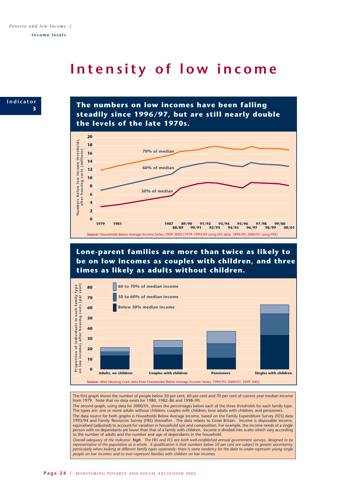### **Intensity of low income**



**The numbers on low incomes have been falling steadily since 1996/97, but are still nearly double the levels of the late 1970s.**



**Lone-parent families are more than twice as likely to be on low incomes as couples with children, and three times as likely as adults without children.**



The first graph shows the number of people below 50 per cent, 60 per cent and 70 per cent of current year median income from 1979. Note that no data exists for 1980, 1982–86 and 1998–90.

The second graph, using data for 2000/01, shows the percentages below each of the three thresholds for each family type. The types are: one or more adults without children; couples with children; lone adults with children; and pensioners. The data source for both graphs is Households Below Average Income, based on the Family Expenditure Survey (FES) data

1993/94 and Family Resources Survey (FRS) thereafter. The data relates to Great Britain. Income is disposable income, equivalised (adjusted) to account for variation in household size and composition. For example, the income needs of a single person with no dependants are lower than that of a family with children. Income is divided into scales which vary according to the number of adults and the number and age of dependants in the household.

*Overall adequacy of the indicator: high. The FRS and FES are both well-established annual government surveys, designed to be* representative of the population as a whole. A qualification is that numbers below 50 per cent are subject to greater uncertainty,<br>particularly when looking at different family types separately: there is some tendency for *people on low incomes and to over-represent families with children on low incomes.*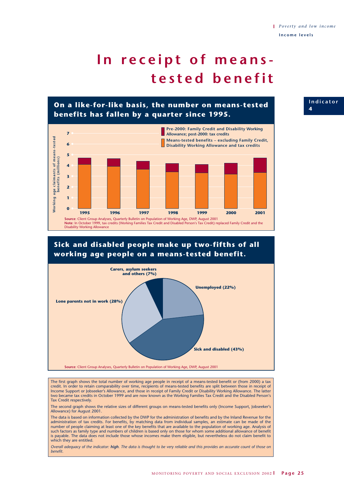**Indicator**

**4**

# **In receipt of meanstested benefit**

**On a like-for-like basis, the number on means-tested benefits has fallen by a quarter since 1995.**



### **Sick and disabled people make up two-fifths of all working age people on a means-tested benefit.**



The first graph shows the total number of working age people in receipt of a means-tested benefit or (from 2000) a tax credit. In order to retain comparability over time, recipients of means-tested benefits are split between those in receipt of Income Support or Jobseeker's Allowance, and those in receipt of Family Credit or Disability Working Allowance. The latter two became tax credits in October 1999 and are now known as the Working Families Tax Credit and the Disabled Person's Tax Credit respectively.

The second graph shows the relative sizes of different groups on means-tested benefits only (Income Support, Jobseeker's Allowance) for August 2001.

The data is based on information collected by the DWP for the administration of benefits and by the Inland Revenue for the administration of tax credits. For benefits, by matching data from individual samples, an estimate can be made of the number of people claiming at least one of the key benefits that are available to the population of working age. Analysis of such factors as family type and numbers of children is based only on those for whom some additional allowance of benefit is payable. The data does not include those whose incomes make them eligible, but nevertheless do not claim benefit to which they are entitled.

*Overall adequacy of the indicator: high. The data is thought to be very reliable and this provides an accurate count of those on benefit.*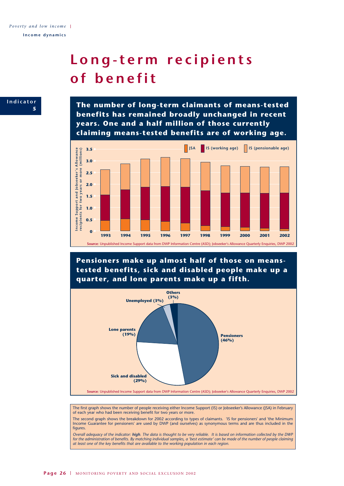## **Long-term recipients of benefit**



**The number of long-term claimants of means-tested benefits has remained broadly unchanged in recent years. One and a half million of those currently claiming means-tested benefits are of working age.**



**Pensioners make up almost half of those on meanstested benefits, sick and disabled people make up a quarter, and lone parents make up a fifth.**



The first graph shows the number of people receiving either Income Support (IS) or Jobseeker's Allowance (JSA) in February of each year who had been receiving benefit for two years or more.

The second graph shows the breakdown for 2002 according to types of claimants. 'IS for pensioners' and 'the Minimum Income Guarantee for pensioners' are used by DWP (and ourselves) as synonymous terms and are thus included in the figures.

*Overall adequacy of the indicator: high. The data is thought to be very reliable. It is based on information collected by the DWP for the administration of benefits. By matching individual samples, a 'best estimate' can be made of the number of people claiming at least one of the key benefits that are available to the working population in each region.*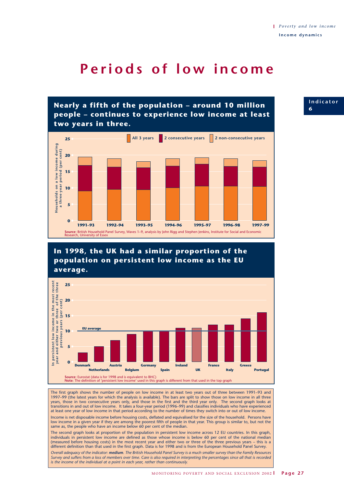### **Periods of low income**

**Nearly a fifth of the population – around 10 million people – continues to experience low income at least two years in three.**



### **In 1998, the UK had a similar proportion of the population on persistent low income as the EU average.**



The first graph shows the number of people on low income in at least two years out of three between 1991–93 and 1997–99 (the latest years for which the analysis is available). The bars are split to show those on low income in all three years, those in two consecutive years only, and those in the first and the third year only. The second graph looks at transitions in and out of low income. It takes a four-year period (1996–99) and classifies individuals who have experienced at least one year of low income in that period according to the number of times they switch into or out of low income. Income is net disposable income before housing costs, deflated and equivalised for the size of the household. Persons have

low income in a given year if they are among the poorest fifth of people in that year. This group is similar to, but not the same as, the people who have an income below 60 per cent of the median.

The second graph looks at proportion of the population in persistent low income across 12 EU countries. In this graph, individuals in persistent low income are defined as those whose income is below 60 per cent of the national median (measured before housing costs) in the most recent year and either two or three of the three previous years – this is a different definition than that used in the first graph. Data is for 1998 and is from the European Household Panel Survey.

*Overall adequacy of the indicator: medium. The British Household Panel Survey is a much smaller survey than the Family Resources Survey and suffers from a loss of members over time. Care is also required in interpreting the percentages since all that is recorded is the income of the individual at a point in each year, rather than continuously.*

**Indicator 6**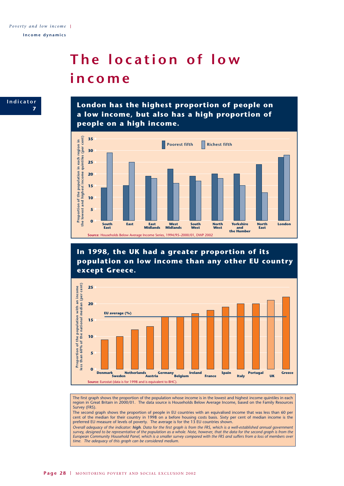## **The location of low income**



**London has the highest proportion of people on a low income, but also has a high proportion of people on a high income.**



**In 1998, the UK had a greater proportion of its population on low income than any other EU country except Greece.**



The first graph shows the proportion of the population whose income is in the lowest and highest income quintiles in each region in Great Britain in 2000/01. The data source is Households Below Average Income, based on the Family Resources Survey (FRS).

The second graph shows the proportion of people in EU countries with an equivalised income that was less than 60 per cent of the median for their country in 1998 on a before housing costs basis. Sixty per cent of median income is the preferred EU measure of levels of poverty. The average is for the 13 EU countries shown.

*Overall adequacy of the indicator: high. Data for the first graph is from the FRS, which is a well-established annual government survey, designed to be representative of the population as a whole. Note, however, that the data for the second graph is from the European Community Household Panel, which is a smaller survey compared with the FRS and suffers from a loss of members over time. The adequacy of this graph can be considered medium.*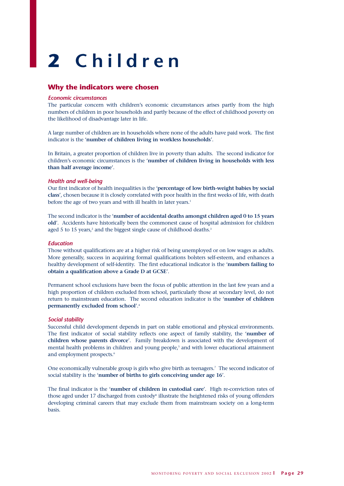# **2 Children**

#### **Why the indicators were chosen**

#### *Economic circumstances*

The particular concern with children's economic circumstances arises partly from the high numbers of children in poor households and partly because of the effect of childhood poverty on the likelihood of disadvantage later in life.

A large number of children are in households where none of the adults have paid work. The first indicator is the '**number of children living in workless households**'.

In Britain, a greater proportion of children live in poverty than adults. The second indicator for children's economic circumstances is the '**number of children living in households with less than half average income**'.

#### *Health and well-being*

Our first indicator of health inequalities is the '**percentage of low birth-weight babies by social class**', chosen because it is closely correlated with poor health in the first weeks of life, with death before the age of two years and with ill health in later years.<sup>1</sup>

The second indicator is the '**number of accidental deaths amongst children aged 0 to 15 years old**'. Accidents have historically been the commonest cause of hospital admission for children aged 5 to 15 years,<sup>2</sup> and the biggest single cause of childhood deaths.<sup>3</sup>

#### *Education*

Those without qualifications are at a higher risk of being unemployed or on low wages as adults. More generally, success in acquiring formal qualifications bolsters self-esteem, and enhances a healthy development of self-identity. The first educational indicator is the '**numbers failing to obtain a qualification above a Grade D at GCSE**'.

Permanent school exclusions have been the focus of public attention in the last few years and a high proportion of children excluded from school, particularly those at secondary level, do not return to mainstream education. The second education indicator is the '**number of children permanently excluded from school**'.4

#### *Social stability*

Successful child development depends in part on stable emotional and physical environments. The first indicator of social stability reflects one aspect of family stability, the '**number of children whose parents divorce**'. Family breakdown is associated with the development of mental health problems in children and young people,<sup>5</sup> and with lower educational attainment and employment prospects.<sup>6</sup>

One economically vulnerable group is girls who give birth as teenagers.7 The second indicator of social stability is the '**number of births to girls conceiving under age 16**'.

The final indicator is the '**number of children in custodial care**'. High re-conviction rates of those aged under 17 discharged from custody<sup>8</sup> illustrate the heightened risks of young offenders developing criminal careers that may exclude them from mainstream society on a long-term basis.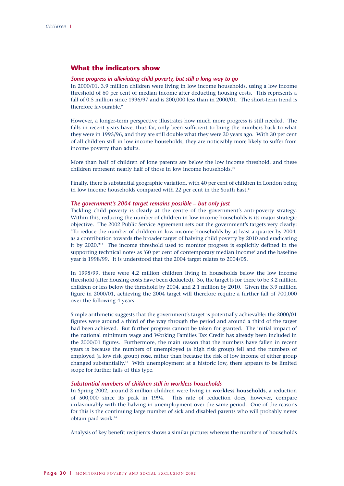#### **What the indicators show**

#### *Some progress in alleviating child poverty, but still a long way to go*

In 2000/01, 3.9 million children were living in low income households, using a low income threshold of 60 per cent of median income after deducting housing costs. This represents a fall of 0.5 million since 1996/97 and is 200,000 less than in 2000/01. The short-term trend is therefore favourable.<sup>9</sup>

However, a longer-term perspective illustrates how much more progress is still needed. The falls in recent years have, thus far, only been sufficient to bring the numbers back to what they were in 1995/96, and they are still double what they were 20 years ago. With 30 per cent of all children still in low income households, they are noticeably more likely to suffer from income poverty than adults.

More than half of children of lone parents are below the low income threshold, and these children represent nearly half of those in low income households.10

Finally, there is substantial geographic variation, with 40 per cent of children in London being in low income households compared with 22 per cent in the South East.<sup>11</sup>

#### *The government's 2004 target remains possible – but only just*

Tackling child poverty is clearly at the centre of the government's anti-poverty strategy. Within this, reducing the number of children in low income households is its major strategic objective. The 2002 Public Service Agreement sets out the government's targets very clearly: "To reduce the number of children in low-income households by at least a quarter by 2004, as a contribution towards the broader target of halving child poverty by 2010 and eradicating it by 2020."12 The income threshold used to monitor progress is explicitly defined in the supporting technical notes as '60 per cent of contemporary median income' and the baseline year is 1998/99. It is understood that the 2004 target relates to 2004/05.

In 1998/99, there were 4.2 million children living in households below the low income threshold (after housing costs have been deducted). So, the target is for there to be 3.2 million children or less below the threshold by 2004, and 2.1 million by 2010. Given the 3.9 million figure in 2000/01, achieving the 2004 target will therefore require a further fall of 700,000 over the following 4 years.

Simple arithmetic suggests that the government's target is potentially achievable: the 2000/01 figures were around a third of the way through the period and around a third of the target had been achieved. But further progress cannot be taken for granted. The initial impact of the national minimum wage and Working Families Tax Credit has already been included in the 2000/01 figures. Furthermore, the main reason that the numbers have fallen in recent years is because the numbers of unemployed (a high risk group) fell and the numbers of employed (a low risk group) rose, rather than because the risk of low income of either group changed substantially.13 With unemployment at a historic low, there appears to be limited scope for further falls of this type.

#### *Substantial numbers of children still in workless households*

In Spring 2002, around 2 million children were living in **workless households**, a reduction of 500,000 since its peak in 1994. This rate of reduction does, however, compare unfavourably with the halving in unemployment over the same period. One of the reasons for this is the continuing large number of sick and disabled parents who will probably never obtain paid work.14

Analysis of key benefit recipients shows a similar picture: whereas the numbers of households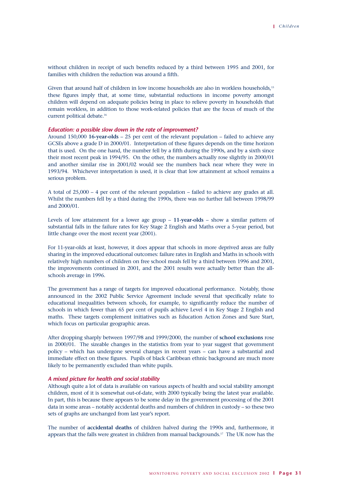without children in receipt of such benefits reduced by a third between 1995 and 2001, for families with children the reduction was around a fifth.

Given that around half of children in low income households are also in workless households,<sup>15</sup> these figures imply that, at some time, substantial reductions in income poverty amongst children will depend on adequate policies being in place to relieve poverty in households that remain workless, in addition to those work-related policies that are the focus of much of the current political debate.16

#### *Education: a possible slow down in the rate of improvement?*

Around 150,000 **16-year-olds** – 25 per cent of the relevant population – failed to achieve any GCSEs above a grade D in 2000/01. Interpretation of these figures depends on the time horizon that is used. On the one hand, the number fell by a fifth during the 1990s, and by a sixth since their most recent peak in 1994/95. On the other, the numbers actually rose slightly in 2000/01 and another similar rise in 2001/02 would see the numbers back near where they were in 1993/94. Whichever interpretation is used, it is clear that low attainment at school remains a serious problem.

A total of 25,000 – 4 per cent of the relevant population – failed to achieve any grades at all. Whilst the numbers fell by a third during the 1990s, there was no further fall between 1998/99 and 2000/01.

Levels of low attainment for a lower age group – **11-year-olds** – show a similar pattern of substantial falls in the failure rates for Key Stage 2 English and Maths over a 5-year period, but little change over the most recent year (2001).

For 11-year-olds at least, however, it does appear that schools in more deprived areas are fully sharing in the improved educational outcomes: failure rates in English and Maths in schools with relatively high numbers of children on free school meals fell by a third between 1996 and 2001, the improvements continued in 2001, and the 2001 results were actually better than the allschools average in 1996.

The government has a range of targets for improved educational performance. Notably, those announced in the 2002 Public Service Agreement include several that specifically relate to educational inequalities between schools, for example, to significantly reduce the number of schools in which fewer than 65 per cent of pupils achieve Level 4 in Key Stage 2 English and maths. These targets complement initiatives such as Education Action Zones and Sure Start, which focus on particular geographic areas.

After dropping sharply between 1997/98 and 1999/2000, the number of **school exclusions** rose in 2000/01. The sizeable changes in the statistics from year to year suggest that government policy – which has undergone several changes in recent years – can have a substantial and immediate effect on these figures. Pupils of black Caribbean ethnic background are much more likely to be permanently excluded than white pupils.

#### *A mixed picture for health and social stability*

Although quite a lot of data is available on various aspects of health and social stability amongst children, most of it is somewhat out-of-date, with 2000 typically being the latest year available. In part, this is because there appears to be some delay in the government processing of the 2001 data in some areas – notably accidental deaths and numbers of children in custody – so these two sets of graphs are unchanged from last year's report.

The number of **accidental deaths** of children halved during the 1990s and, furthermore, it appears that the falls were greatest in children from manual backgrounds.<sup>17</sup> The UK now has the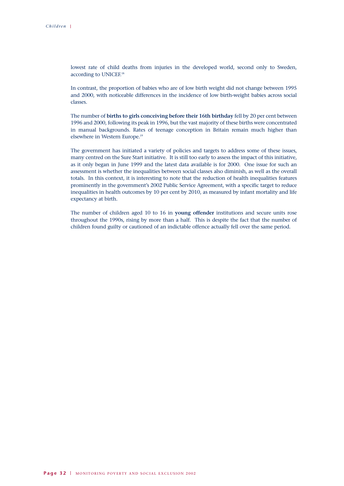lowest rate of child deaths from injuries in the developed world, second only to Sweden, according to UNICEF.<sup>18</sup>

In contrast, the proportion of babies who are of low birth weight did not change between 1995 and 2000, with noticeable differences in the incidence of low birth-weight babies across social classes.

The number of **births to girls conceiving before their 16th birthday** fell by 20 per cent between 1996 and 2000, following its peak in 1996, but the vast majority of these births were concentrated in manual backgrounds. Rates of teenage conception in Britain remain much higher than elsewhere in Western Europe.19

The government has initiated a variety of policies and targets to address some of these issues, many centred on the Sure Start initiative. It is still too early to assess the impact of this initiative, as it only began in June 1999 and the latest data available is for 2000. One issue for such an assessment is whether the inequalities between social classes also diminish, as well as the overall totals. In this context, it is interesting to note that the reduction of health inequalities features prominently in the government's 2002 Public Service Agreement, with a specific target to reduce inequalities in health outcomes by 10 per cent by 2010, as measured by infant mortality and life expectancy at birth.

The number of children aged 10 to 16 in **young offender** institutions and secure units rose throughout the 1990s, rising by more than a half. This is despite the fact that the number of children found guilty or cautioned of an indictable offence actually fell over the same period.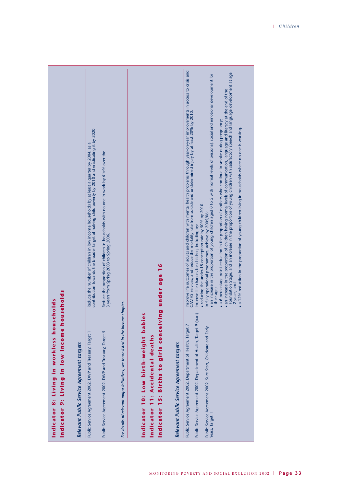| Indicator 9: Living in low income households<br>Indicator 8: Living in workless households                                                                                                                                                                                                                                                                                                                                                                                                                                                                                                                                                                                                                                                                                                                                                                                                                                                                                                                                                                                                                                                                                                                                                                                                                                    |  |
|-------------------------------------------------------------------------------------------------------------------------------------------------------------------------------------------------------------------------------------------------------------------------------------------------------------------------------------------------------------------------------------------------------------------------------------------------------------------------------------------------------------------------------------------------------------------------------------------------------------------------------------------------------------------------------------------------------------------------------------------------------------------------------------------------------------------------------------------------------------------------------------------------------------------------------------------------------------------------------------------------------------------------------------------------------------------------------------------------------------------------------------------------------------------------------------------------------------------------------------------------------------------------------------------------------------------------------|--|
| Relevant Public Service Agreement targets                                                                                                                                                                                                                                                                                                                                                                                                                                                                                                                                                                                                                                                                                                                                                                                                                                                                                                                                                                                                                                                                                                                                                                                                                                                                                     |  |
| contribution towards the broader target of halving child poverty by 2010 and eradicating it by 2020.<br>Reduce the number of children in low income households by at least a quarter by 2004, as a<br>Public Service Agreement 2002, DWP and Treasury, Target 1                                                                                                                                                                                                                                                                                                                                                                                                                                                                                                                                                                                                                                                                                                                                                                                                                                                                                                                                                                                                                                                               |  |
| Reduce the proportion of children in households with no one in work by 6 <sup>1</sup> /2% over the<br>3 years from Spring 2003 to Spring 2006.<br>Public Service Agreement 2002, DWP and Treasury, Target 5                                                                                                                                                                                                                                                                                                                                                                                                                                                                                                                                                                                                                                                                                                                                                                                                                                                                                                                                                                                                                                                                                                                   |  |
| me chapter.<br>For details of relevant major initiatives, see those listed in the inco                                                                                                                                                                                                                                                                                                                                                                                                                                                                                                                                                                                                                                                                                                                                                                                                                                                                                                                                                                                                                                                                                                                                                                                                                                        |  |
| Indicator 15: Births to girls conceiving under age 16<br>ies<br>Indicator 10: Low birth-weight bab<br>Indicator 11: Accidental deaths                                                                                                                                                                                                                                                                                                                                                                                                                                                                                                                                                                                                                                                                                                                                                                                                                                                                                                                                                                                                                                                                                                                                                                                         |  |
| Relevant Public Service Agreement targets                                                                                                                                                                                                                                                                                                                                                                                                                                                                                                                                                                                                                                                                                                                                                                                                                                                                                                                                                                                                                                                                                                                                                                                                                                                                                     |  |
| improve life outcomes of adults and children with mental health problems through year-on-year improvements in access to crisis and<br>Foundation Stage, and an increase in the proportion of young children with satisfactory speech and language development at age<br>$\bullet$ an increase in the proportion of young children aged 0 to 5 with normal levels of personal, social and emotional development for<br>$\bullet$ an increase in the proportion of children having normal levels of communication, language and literacy at the end of the<br>CAMHS services, and reduce the mortality rate from suicide and undetermined injury by at least 20% by 2010.<br>• a 6 percentage point reduction in the proportion of mothers who continue to smoke during pregnancy;<br>a 12% reduction in the proportion of young children living in households where no one is working.<br>· reducing the under-18 conception rate by 50% by 2010.<br>In fully operational programmes, achieve by 2005/06:<br>Improve life chances for children, including by:<br>2 years; and<br>their age;<br>(part)<br>Public Service Agreement 2002, Department of Health, Target 9 (<br>Public Service Agreement 2002, Department of Health, Target 7<br>Public Service Agreement 2002, Sure Start, Childcare and Early<br>Years, Target 1 |  |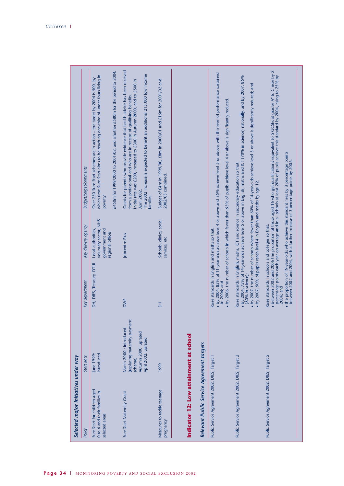| Selected major initiatives under way                                                |                                                                                                                   |                                                                                                     |                                                                                    |                                                                                                                                                                                                                                                                                                                                                                                                               |
|-------------------------------------------------------------------------------------|-------------------------------------------------------------------------------------------------------------------|-----------------------------------------------------------------------------------------------------|------------------------------------------------------------------------------------|---------------------------------------------------------------------------------------------------------------------------------------------------------------------------------------------------------------------------------------------------------------------------------------------------------------------------------------------------------------------------------------------------------------|
| Policy                                                                              | Start date                                                                                                        | Key department                                                                                      | Key delivery agency                                                                | <b>Budget/target/comments</b>                                                                                                                                                                                                                                                                                                                                                                                 |
| Sure Start for children aged<br>0 to 4 and their families in<br>selected areas      | introduced<br>June 1999:                                                                                          | DH, DfES, Treasury, DTLR                                                                            | voluntary sector, NHS,<br>government and<br>Local authorities,<br>regional offices | £450m for 1999/2000 to 2001/02, and a further £580m for the period to 2004.<br>which time Sure Start aims to be reaching one-third of under fours living in<br>Over 250 Sure Start schemes are in action - the target by 2004 is 500, by<br>poverty.                                                                                                                                                          |
| Sure Start Maternity Grant                                                          | (replacing maternity payment<br>March 2000 : introduced<br>Autumn 2000: uprated<br>April 2002: uprated<br>scheme) | <b>DWP</b>                                                                                          | Jobcentre Plus                                                                     | Grants for parents who provide evidence that health advice has been received<br>The 2002 increase is expected to benefit an additional 215,000 low income<br>Initial rate was £200, increased to £300 in Autumn 2000, and to £500 in<br>from a professional and who are in receipt of qualifying benefits.<br>April 2002.<br>families.                                                                        |
| Measures to tackle teenage<br>pregnancy                                             | 1999                                                                                                              | H                                                                                                   | Schools, clinics, social<br>services, etc                                          | Budget of £4m in 1999/00, £8m in 2000/01 and £16m for 2001/02 and<br>2002/03 combined.                                                                                                                                                                                                                                                                                                                        |
| Indicator 12: Low attainment at school<br>Relevant Public Service Agreement targets |                                                                                                                   |                                                                                                     |                                                                                    |                                                                                                                                                                                                                                                                                                                                                                                                               |
| Public Service Agreement 2002, DfES, Target 1                                       |                                                                                                                   | Raise standards in English and maths so that:<br>to 2006; and                                       |                                                                                    | • by 2004, 85% of 11-year-olds achieve level 4 or above and 35% achieve level 5 or above, with this level of performance sustained<br>• by 2006, the number of schools in which fewer than 65% of pupils achieve level 4 or above is significantly reduced                                                                                                                                                    |
| Public Service Agreement 2002, DfES, Target 2                                       |                                                                                                                   | $\bullet$ by 2007, 90% of pupils reach level 4 in English and maths by age 12.<br>(80% in science); |                                                                                    | $\bullet$ by 2004, 75% of 14-year-olds achieve level 5 or above in English, maths and ICT (70% in science) nationally, and by 2007, 85%<br>• by 2007, the number of schools where fewer than 60% of 14-year-olds achieve level 5 or above is significantly reduced; and<br>Raise standards in English, maths, ICT and science in secondary education so that:                                                 |
| Public Service Agreement 2002, DfES, Target 5                                       |                                                                                                                   | Raise standards in schools and colleges so that:<br>2006; and                                       |                                                                                    | • between 2002 and 2006 the proportion of those aged 16 who get qualifications equivalent to 5 GCSEs at grades A* to C rises by<br>percentage points each year on average and in all schools at least 20% of pupils achieve this<br>• the proportion of 19-year-olds who achieve this standard rises by 3 percentage points<br>between 2002 and 2004, with a further increase of 3 percentage points by 2006. |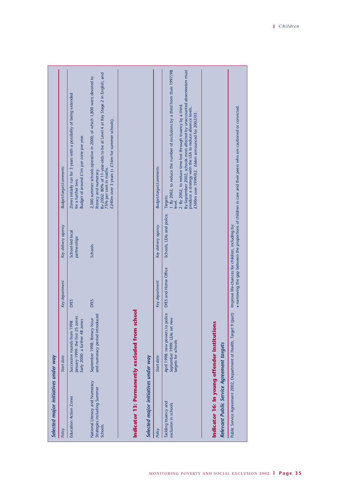| Selected major initiatives under way                                                      |                                                                                                   |                                                  |                                  |                                                                                                                                                                                                                                                                                                                                                               |
|-------------------------------------------------------------------------------------------|---------------------------------------------------------------------------------------------------|--------------------------------------------------|----------------------------------|---------------------------------------------------------------------------------------------------------------------------------------------------------------------------------------------------------------------------------------------------------------------------------------------------------------------------------------------------------------|
| Policy                                                                                    | Start date                                                                                        | Key department                                   | Key delivery agency              | <b>Budget/target/comments</b>                                                                                                                                                                                                                                                                                                                                 |
| <b>Education Action Zones</b>                                                             | January 1999: the first 25 zones<br>Early 2000: a further 48 zones<br>Successive rounds from 1998 | <b>DfES</b>                                      | School-led local<br>partnerships | Zones initially run for 3 years with a possibility of being extended<br>Budget of around £1m per zone per year.<br>for a further two.                                                                                                                                                                                                                         |
| National Literacy and Numeracy<br>Strategies including Summer<br><b>Schools</b>           | and numeracy period introduced<br>September 1998: literacy hour                                   | <b>DfES</b>                                      | Schools                          | By 2002: 80% of 11-year-olds to be at Level 4 at Key Stage 2 in English, and<br>2,300 summer schools operative in 2000, of which 1,800 were devoted to<br>£240m over 3 years (+ $£16m$ for summer schools).<br>75% per cent in maths.<br>literacy and numeracy.                                                                                               |
|                                                                                           | Indicator 13: Permanently excluded from school                                                    |                                                  |                                  |                                                                                                                                                                                                                                                                                                                                                               |
| Selected major initiatives under way                                                      |                                                                                                   |                                                  |                                  |                                                                                                                                                                                                                                                                                                                                                               |
| Policy                                                                                    | Start date                                                                                        | Key department                                   | Key delivery agency              | <b>Budget/target/comments</b>                                                                                                                                                                                                                                                                                                                                 |
| Tackling truancy and<br>exclusion in schools                                              | April 1998: new powers to police<br>September 1999: LEAs set new<br>targets for schools           | DfES and Home Office                             | Schools, LEAs and police.        | 1. By 2002, to reduce the number of exclusions by a third from their 1997/98<br>By September 2002, schools most affected by unaccounted absenteeism must<br>2. By 2002, to reduce time lost through truancy by a third.<br>produce a strategy with the LEA to reduce absence levels.<br>£500m over 1999/02. £66m announced for 2002/03.<br>Targets:<br>level. |
| Indicator 16: In young offender institutions<br>Relevant Public Service Agreement targets |                                                                                                   |                                                  |                                  |                                                                                                                                                                                                                                                                                                                                                               |
| Public Service Agreement 2002, Department of Health, Target 9                             | (part)                                                                                            | Improve life-chances for children, including by: |                                  | • narrowing the gap between the proportions of children in care and their peers who are cautioned or convicted.                                                                                                                                                                                                                                               |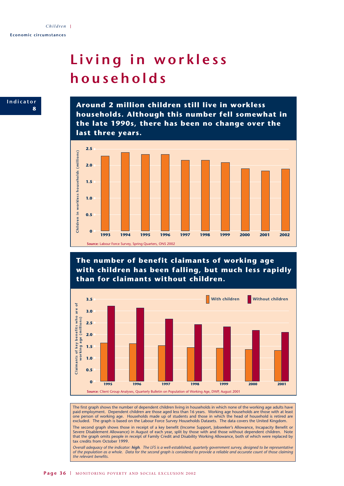## **Living in workless households**



**Around 2 million children still live in workless households. Although this number fell somewhat in the late 1990s, there has been no change over the last three years.**



**The number of benefit claimants of working age with children has been falling, but much less rapidly than for claimants without children.**



The first graph shows the number of dependent children living in households in which none of the working age adults have paid employment. Dependent children are those aged less than 16 years. Working age households are those with at least one person of working age. Households made up of students and those in which the head of household is retired are excluded. The graph is based on the Labour Force Survey Households Datasets. The data covers the United Kingdom.

The second graph shows those in receipt of a key benefit (Income Support, Jobseeker's Allowance, Incapacity Benefit or Severe Disablement Allowance) in August of each year, split by those with and those without dependent children. Note that the graph omits people in receipt of Family Credit and Disability Working Allowance, both of which were replaced by tax credits from October 1999.

*Overall adequacy of the indicator: high. The LFS is a well-established, quarterly government survey, designed to be representative of the population as a whole. Data for the second graph is considered to provide a reliable and accurate count of those claiming the relevant benefits.*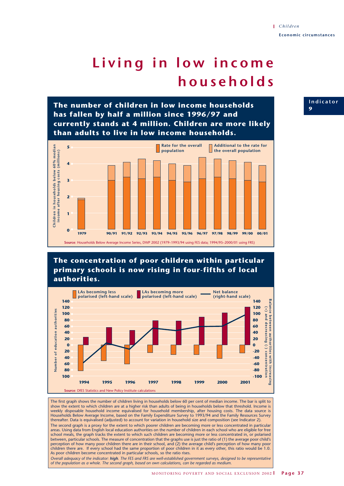# **Living in low income households**

**The number of children in low income households has fallen by half a million since 1996/97 and currently stands at 4 million. Children are more likely than adults to live in low income households.**



## **The concentration of poor children within particular primary schools is now rising in four-fifths of local authorities.**



The first graph shows the number of children living in households below 60 per cent of median income. The bar is split to show the extent to which children are at a higher risk than adults of being in households below that threshold. Income is weekly disposable household income equivalised for household membership, after housing costs. The data source is<br>Households Below Average Income, based on the Family Expenditure Survey to 1993/94 and the Family Resources S thereafter. Data is equivalised (adjusted) to account for variation in household size and composition (see Indicator 2). The second graph is a proxy for the extent to which poorer children are becoming more or less concentrated in particular areas. Using data from English local education authorities on the number of children in each school who are eligible for free school meals, the graph tracks the extent to which such children are becoming more or less concentrated in, or polarised between, particular schools. The measure of concentration that the graphs use is just the ratio of (1) the average poor child's perception of how many poor children there are in their school, and (2) the average child's perception of how many poor children there are. If every school had the same proportion of poor children in it as every other, this ratio would be 1.0. As poor children become concentrated in particular schools, so the ratio rises. *Overall adequacy of the indicator: high. The FES and FRS are well-established government surveys, designed to be representative of the population as a whole. The second graph, based on own calculations, can be regarded as medium.*

**Indicator 9**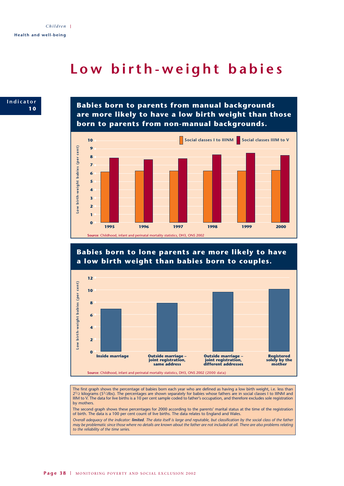## **Low birth-weight babies**



**Babies born to parents from manual backgrounds are more likely to have a low birth weight than those born to parents from non-manual backgrounds.**





## .ow birth-weight babies (per cent) **Low birth-weight babies (per cent) 6 4 2 0 Outside marriage – Inside marriage Outside marriage – joint registration, Registered solely by the mother joint registration, different addresses same address Source**: Childhood, infant and perinatal mortality statistics, DH3, ONS 2002 (2000 data)

The first graph shows the percentage of babies born each year who are defined as having a low birth weight, i.e. less than 21/2 kilograms (51/2lbs). The percentages are shown separately for babies whose fathers are in social classes I to IIINM and IIIM to V. The data for live births is a 10 per cent sample coded to father's occupation, and therefore excludes sole registration by mothers.

The second graph shows these percentages for 2000 according to the parents' marital status at the time of the registration of birth. The data is a 100 per cent count of live births. The data relates to England and Wales.

*Overall adequacy of the indicator: limited. The data itself is large and reputable, but classification by the social class of the father may be problematic since those where no details are known about the father are not included at all. There are also problems relating to the reliability of the time series.*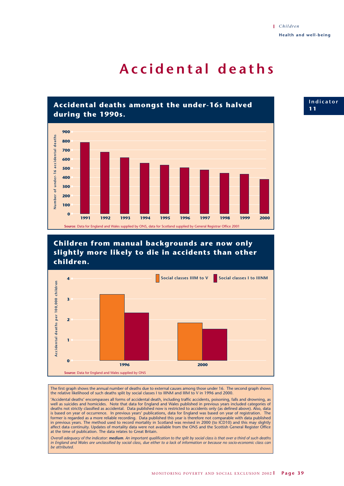## **Accidental deaths**



**Children from manual backgrounds are now only slightly more likely to die in accidents than other children.**



The first graph shows the annual number of deaths due to external causes among those under 16. The second graph shows the relative likelihood of such deaths split by social classes I to IIINM and IIIM to V in 1996 and 2000.

'Accidental deaths' encompasses all forms of accidental death, including traffic accidents, poisoning, falls and drowning, as well as suicides and homicides. Note that data for England and Wales published in previous years included categories of deaths not strictly classified as accidental. Data published now is restricted to accidents only (as defined above). Also, data is based on year of occurrence. In previous years' publications, data for England was based on year of registration. The former is regarded as a more reliable recording. Data published this year is therefore not comparable with data published in previous years. The method used to record mortality in Scotland was revised in 2000 (to ICD10) and this may slightly affect data continuity. Updates of mortality data were not available from the ONS and the Scottish General Register Office at the time of publication. The data relates to Great Britain.

*Overall adequacy of the indicator: medium. An important qualification to the split by social class is that over a third of such deaths in England and Wales are unclassified by social class, due either to a lack of information or because no socio-economic class can be attributed.*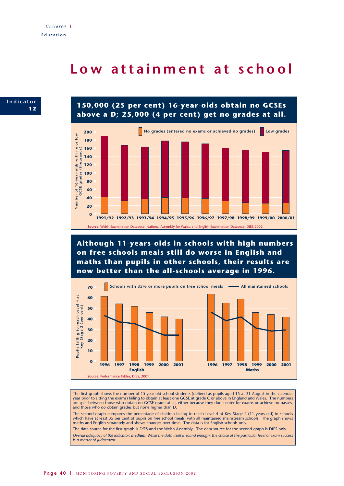## **Low attainment at school**







**Although 11-years-olds in schools with high numbers on free schools meals still do worse in English and maths than pupils in other schools, their results are now better than the all-schools average in 1996.**



The first graph shows the number of 15-year-old school students (defined as pupils aged 15 at 31 August in the calendar year prior to sitting the exams) failing to obtain at least one GCSE at grade C or above in England and Wales. The numbers are split between those who obtain no GCSE grade at all, either because they don't enter for exams or achieve no passes, and those who do obtain grades but none higher than D.

The second graph compares the percentage of children failing to reach Level 4 at Key Stage 2 (11 years old) in schools which have at least 35 per cent of pupils on free school meals, with all maintained mainstream schools. The graph shows maths and English separately and shows changes over time. The data is for English schools only.

The data source for the first graph is DfES and the Welsh Assembly. The data source for the second graph is DfES only. *Overall adequacy of the indicator: medium. While the data itself is sound enough, the choice of the particular level of exam success is a matter of judgement.*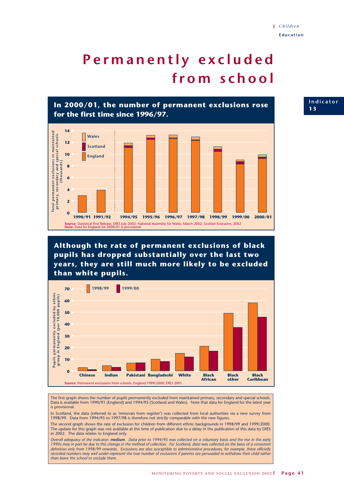# **Permanently excluded from school**



**Although the rate of permanent exclusions of black pupils has dropped substantially over the last two years, they are still much more likely to be excluded than white pupils.**



The first graph shows the number of pupils permanently excluded from maintained primary, secondary and special schools. Data is available from 1990/91 (England) and 1994/95 (Scotland and Wales). Note that data for England for the latest year is provisional.

In Scotland, the data (referred to as 'removals from register') was collected from local authorities via a new survey from 1998/99. Data from 1994/95 to 1997/98 is therefore not strictly comparable with the new figures.

The second graph shows the rate of exclusion for children from different ethnic backgrounds in 1998/99 and 1999/2000. The update for this graph was not available at the time of publication due to a delay in the publication of this data by DfES in 2002. The data relates to England only.

*Overall adequacy of the indicator: medium. Data prior to 1994/95 was collected on a voluntary basis and the rise in the early 1990s may in part be due to this change in the method of collection. For Scotland, data was collected on the basis of a consistent definition only from 1998/99 onwards. Exclusions are also susceptible to administrative procedures; for example, these officially recorded numbers may well under-represent the true number of exclusions if parents are persuaded to withdraw their child rather than leave the school to exclude them.*

**Indicator 1 3**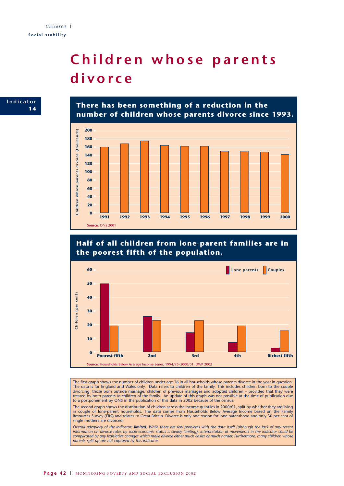## **Children whose parents divorce**



**There has been something of a reduction in the number of children whose parents divorce since 1993.**



**Half of all children from lone-parent families are in the poorest fifth of the population.**



The first graph shows the number of children under age 16 in all households whose parents divorce in the year in question. The data is for England and Wales only. Data refers to children of the family. This includes children born to the couple divorcing, those born outside marriage, children of previous marriages and adopted children – provided that they were treated by both parents as children of the family. An update of this graph was not possible at the time of publication due to a postponement by ONS in the publication of this data in 2002 because of the census.

The second graph shows the distribution of children across the income quintiles in 2000/01, split by whether they are living in couple or lone-parent households. The data comes from Households Below Average Income based on the Family Resources Survey (FRS) and relates to Great Britain. Divorce is only one reason for lone parenthood and only 30 per cent of single mothers are divorced.

*Overall adequacy of the indicator: limited. While there are few problems with the data itself (although the lack of any recent information on divorce rates by socio-economic status is clearly limiting), interpretation of movements in the indicator could be complicated by any legislative changes which make divorce either much easier or much harder. Furthermore, many children whose parents split up are not captured by this indicator.*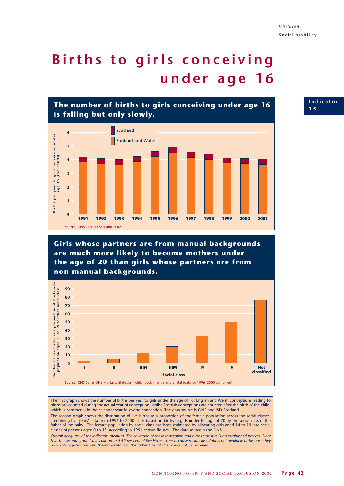# **Births to girls conceiving under age 16**





**Girls whose partners are from manual backgrounds are much more likely to become mothers under the age of 20 than girls whose partners are from non-manual backgrounds.**



The first graph shows the number of births per year to girls under the age of 16. English and Welsh conceptions leading to births are counted during the actual year of conception, whilst Scottish conceptions are counted after the birth of the child, which is commonly in the calendar year following conception. The data source is ONS and ISD Scotland.

The second graph shows the distribution of live births as a proportion of the female population across the social classes, combining five years' data from 1996 to 2000. It is based on births to girls under the age of 20 by the social class of the father of the baby. The female population by social class has been estimated by allocating girls aged 14 to 19 into social classes of persons aged 0 to 15, according to 1991 census figures. The data source is the ONS.

*Overall adequacy of the indicator: medium. The collection of these conception and births statistics is an established process. Note that the second graph leaves out around 40 per cent of live births either because social class data is not available or because they were sole registrations and therefore details of the father's social class could not be recorded.*

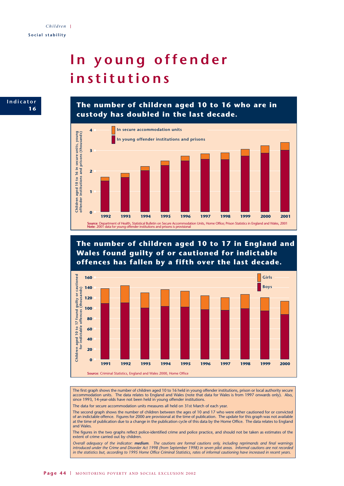# **In young offender institutions**



**The number of children aged 10 to 16 who are in custody has doubled in the last decade.**



**The number of children aged 10 to 17 in England and Wales found guilty of or cautioned for indictable offences has fallen by a fifth over the last decade.**



The first graph shows the number of children aged 10 to 16 held in young offender institutions, prison or local authority secure accommodation units. The data relates to England and Wales (note that data for Wales is from 1997 onwards only). Also, since 1993, 14-year-olds have not been held in young offender institutions.

The data for secure accommodation units measures all held on 31st March of each year.

The second graph shows the number of children between the ages of 10 and 17 who were either cautioned for or convicted of an indictable offence. Figures for 2000 are provisional at the time of publication. The update for this graph was not available at the time of publication due to a change in the publication cycle of this data by the Home Office. The data relates to England and Wales.

The figures in the two graphs reflect police-identified crime and police practice, and should not be taken as estimates of the extent of crime carried out by children.

*Overall adequacy of the indicator: medium. The cautions are formal cautions only, including reprimands and final warnings introduced under the Crime and Disorder Act 1998 (from September 1998) in seven pilot areas. Informal cautions are not recorded in the statistics but, according to 1995 Home Office Criminal Statistics, rates of informal cautioning have increased in recent years.*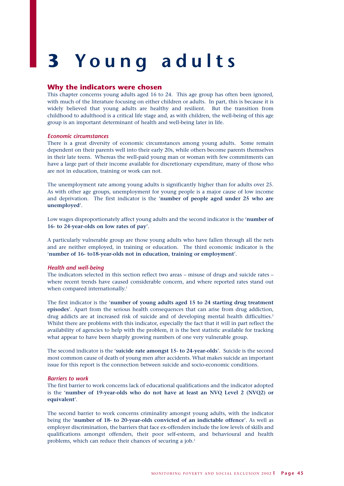# **3 Y oung adults**

### **Why the indicators were chosen**

This chapter concerns young adults aged 16 to 24. This age group has often been ignored, with much of the literature focusing on either children or adults. In part, this is because it is widely believed that young adults are healthy and resilient. But the transition from childhood to adulthood is a critical life stage and, as with children, the well-being of this age group is an important determinant of health and well-being later in life.

#### *Economic circumstances*

There is a great diversity of economic circumstances among young adults. Some remain dependent on their parents well into their early 20s, while others become parents themselves in their late teens. Whereas the well-paid young man or woman with few commitments can have a large part of their income available for discretionary expenditure, many of those who are not in education, training or work can not.

The unemployment rate among young adults is significantly higher than for adults over 25. As with other age groups, unemployment for young people is a major cause of low income and deprivation. The first indicator is the '**number of people aged under 25 who are unemployed**'.

Low wages disproportionately affect young adults and the second indicator is the '**number of 16- to 24-year-olds on low rates of pay**'.

A particularly vulnerable group are those young adults who have fallen through all the nets and are neither employed, in training or education. The third economic indicator is the '**number of 16- to18-year-olds not in education, training or employment**'.

#### *Health and well-being*

The indicators selected in this section reflect two areas – misuse of drugs and suicide rates – where recent trends have caused considerable concern, and where reported rates stand out when compared internationally.<sup>1</sup>

The first indicator is the '**number of young adults aged 15 to 24 starting drug treatment episodes**'. Apart from the serious health consequences that can arise from drug addiction, drug addicts are at increased risk of suicide and of developing mental health difficulties.<sup>2</sup> Whilst there are problems with this indicator, especially the fact that it will in part reflect the availability of agencies to help with the problem, it is the best statistic available for tracking what appear to have been sharply growing numbers of one very vulnerable group.

The second indicator is the '**suicide rate amongst 15- to 24-year-olds**'. Suicide is the second most common cause of death of young men after accidents. What makes suicide an important issue for this report is the connection between suicide and socio-economic conditions.

#### *Barriers to work*

The first barrier to work concerns lack of educational qualifications and the indicator adopted is the '**number of 19-year-olds who do not have at least an NVQ Level 2 (NVQ2) or equivalent**'.

The second barrier to work concerns criminality amongst young adults, with the indicator being the '**number of 18- to 20-year-olds convicted of an indictable offence**'. As well as employer discrimination, the barriers that face ex-offenders include the low levels of skills and qualifications amongst offenders, their poor self-esteem, and behavioural and health problems, which can reduce their chances of securing a job.3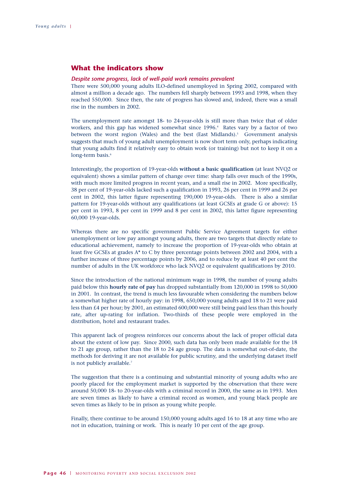## **What the indicators show**

#### *Despite some progress, lack of well-paid work remains prevalent*

There were 500,000 young adults ILO-defined unemployed in Spring 2002, compared with almost a million a decade ago. The numbers fell sharply between 1993 and 1998, when they reached 550,000. Since then, the rate of progress has slowed and, indeed, there was a small rise in the numbers in 2002.

The unemployment rate amongst 18- to 24-year-olds is still more than twice that of older workers, and this gap has widened somewhat since 1996.<sup>4</sup> Rates vary by a factor of two between the worst region (Wales) and the best (East Midlands).<sup>5</sup> Government analysis suggests that much of young adult unemployment is now short term only, perhaps indicating that young adults find it relatively easy to obtain work (or training) but not to keep it on a long-term basis.<sup>6</sup>

Interestingly, the proportion of 19-year-olds **without a basic qualification** (at least NVQ2 or equivalent) shows a similar pattern of change over time: sharp falls over much of the 1990s, with much more limited progress in recent years, and a small rise in 2002. More specifically, 38 per cent of 19-year-olds lacked such a qualification in 1993, 26 per cent in 1999 and 26 per cent in 2002, this latter figure representing 190,000 19-year-olds. There is also a similar pattern for 19-year-olds without any qualifications (at least GCSEs at grade G or above): 15 per cent in 1993, 8 per cent in 1999 and 8 per cent in 2002, this latter figure representing 60,000 19-year-olds.

Whereas there are no specific government Public Service Agreement targets for either unemployment or low pay amongst young adults, there are two targets that directly relate to educational achievement, namely to increase the proportion of 19-year-olds who obtain at least five GCSEs at grades A\* to C by three percentage points between 2002 and 2004, with a further increase of three percentage points by 2006, and to reduce by at least 40 per cent the number of adults in the UK workforce who lack NVQ2 or equivalent qualifications by 2010.

Since the introduction of the national minimum wage in 1998, the number of young adults paid below this **hourly rate of pay** has dropped substantially from 120,000 in 1998 to 50,000 in 2001. In contrast, the trend is much less favourable when considering the numbers below a somewhat higher rate of hourly pay: in 1998, 650,000 young adults aged 18 to 21 were paid less than £4 per hour; by 2001, an estimated 600,000 were still being paid less than this hourly rate, after up-rating for inflation. Two-thirds of these people were employed in the distribution, hotel and restaurant trades.

This apparent lack of progress reinforces our concerns about the lack of proper official data about the extent of low pay. Since 2000, such data has only been made available for the 18 to 21 age group, rather than the 18 to 24 age group. The data is somewhat out-of-date, the methods for deriving it are not available for public scrutiny, and the underlying dataset itself is not publicly available.<sup>7</sup>

The suggestion that there is a continuing and substantial minority of young adults who are poorly placed for the employment market is supported by the observation that there were around 50,000 18- to 20-year-olds with a criminal record in 2000, the same as in 1993. Men are seven times as likely to have a criminal record as women, and young black people are seven times as likely to be in prison as young white people.

Finally, there continue to be around 150,000 young adults aged 16 to 18 at any time who are not in education, training or work. This is nearly 10 per cent of the age group.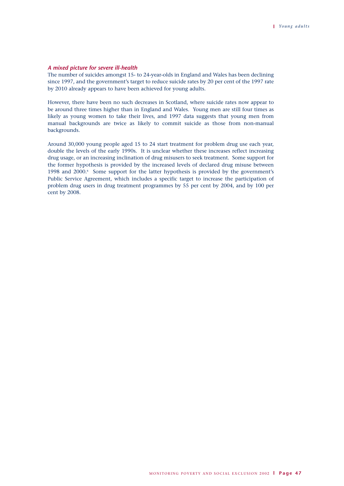#### *A mixed picture for severe ill-health*

The number of suicides amongst 15- to 24-year-olds in England and Wales has been declining since 1997, and the government's target to reduce suicide rates by 20 per cent of the 1997 rate by 2010 already appears to have been achieved for young adults.

However, there have been no such decreases in Scotland, where suicide rates now appear to be around three times higher than in England and Wales. Young men are still four times as likely as young women to take their lives, and 1997 data suggests that young men from manual backgrounds are twice as likely to commit suicide as those from non-manual backgrounds.

Around 30,000 young people aged 15 to 24 start treatment for problem drug use each year, double the levels of the early 1990s. It is unclear whether these increases reflect increasing drug usage, or an increasing inclination of drug misusers to seek treatment. Some support for the former hypothesis is provided by the increased levels of declared drug misuse between 1998 and 2000.<sup>8</sup> Some support for the latter hypothesis is provided by the government's Public Service Agreement, which includes a specific target to increase the participation of problem drug users in drug treatment programmes by 55 per cent by 2004, and by 100 per cent by 2008.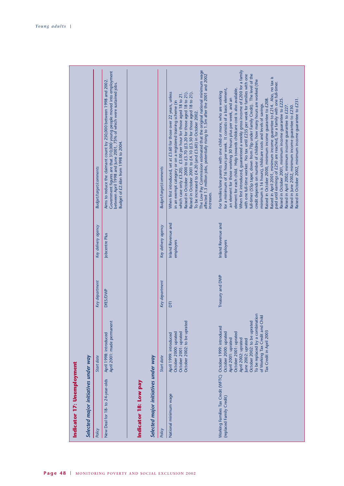| Selected major initiatives under way | Budget/target/comments<br>Key delivery agency<br>Key department<br>Start date<br>Policy | Government figures are that 310,000 young people moved into employment<br>between April 1998 and June 2001, 75% of which were sustained jobs.<br>Aims to reduce the claimant count by 250,000 between 1998 and 2002<br>Budget of £2.6bn from 1998 to 2004.<br>Jobcentre Plus<br>DfES/DWP<br>April 2001: made permanent<br>April 1998: introduced<br>New Deal for 18- to 24-year-olds<br>Indicator 18: Low pay | Selected major initiatives under way | <b>Budget/target/comments</b><br>Key delivery agency<br>Key department<br>Start date<br>Policy | The Low Pay Commission estimated that the original national minimum wage<br>affected 1.3 million jobs, potentially rising to 1.5m after the 2001 and 2002<br>Raised in October 2000 to £3.70 (£3.20 for those aged 18 to 21).<br>When first introduced, set at £3.60 for those over 22 years, unless<br>which case only £3.20). £3.00 per hour for those aged 18 to 21.<br>Raised in October 2001 to £4.10 (£3.50 for those aged 18 to 21)<br>in an exempt category or on a registered training scheme (in<br>To be increased to £4.20 (and £3.60) in October 2002.<br>increases.<br>Inland Revenue and<br>employers<br>Б<br>October 2002: to be uprated<br>October 2001: uprated<br>October 2000: uprated<br>April 1999: introduced<br>National minimum wage | When first introduced, guaranteed a weekly gross income of £200 for a family<br>full-timer (55p taper, down from 70p under Family Credit). The level of the<br>with one full-time worker. No tax until £235 per week for families with one<br>Raised in April 2001, minimum income guarantee to £214. Also, no tax is<br>paid until earnings of £250 are reached, for a family with one full-timer.<br>credit depends on number of children, how many hours are worked (the<br>element for each child. Help towards childcare cost is also available.<br>for a minimum of 16 hours per week. It consists of a basic element,<br>For families/lone parents with one child or more, who are working<br>an element for those working 30 hours plus per week, and an<br>Raised in October 2000, minimum income guarantee to £208.<br>Raised in October 2001, minimum income guarantee to £225.<br>minimum is 16 hours), childcare costs and levels of savings.<br>Raised in April 2002, minimum income guarantee to £227<br>Raised in June 2002, minimum income guarantee to £230.<br>Inland Revenue and<br>employers<br>Treasury and DWP<br>To be replaced by a combination<br>Child<br>October 2002: to be uprated<br>of Working Tax Credit and<br>Working Families Tax Credit (WFTC) October 1999: introduced<br>Tax Credit in April 2003<br>October 2000: uprated<br>October 2001: uprated<br>April 2002: uprated<br>April 2001: uprated<br>une 2002: uprated<br>(replaced Family Credit) |  |  |  |  |  |
|--------------------------------------|-----------------------------------------------------------------------------------------|---------------------------------------------------------------------------------------------------------------------------------------------------------------------------------------------------------------------------------------------------------------------------------------------------------------------------------------------------------------------------------------------------------------|--------------------------------------|------------------------------------------------------------------------------------------------|---------------------------------------------------------------------------------------------------------------------------------------------------------------------------------------------------------------------------------------------------------------------------------------------------------------------------------------------------------------------------------------------------------------------------------------------------------------------------------------------------------------------------------------------------------------------------------------------------------------------------------------------------------------------------------------------------------------------------------------------------------------|-------------------------------------------------------------------------------------------------------------------------------------------------------------------------------------------------------------------------------------------------------------------------------------------------------------------------------------------------------------------------------------------------------------------------------------------------------------------------------------------------------------------------------------------------------------------------------------------------------------------------------------------------------------------------------------------------------------------------------------------------------------------------------------------------------------------------------------------------------------------------------------------------------------------------------------------------------------------------------------------------------------------------------------------------------------------------------------------------------------------------------------------------------------------------------------------------------------------------------------------------------------------------------------------------------------------------------------------------------------------------------------------------------------------------------------------------------------------------------------------|--|--|--|--|--|
|--------------------------------------|-----------------------------------------------------------------------------------------|---------------------------------------------------------------------------------------------------------------------------------------------------------------------------------------------------------------------------------------------------------------------------------------------------------------------------------------------------------------------------------------------------------------|--------------------------------------|------------------------------------------------------------------------------------------------|---------------------------------------------------------------------------------------------------------------------------------------------------------------------------------------------------------------------------------------------------------------------------------------------------------------------------------------------------------------------------------------------------------------------------------------------------------------------------------------------------------------------------------------------------------------------------------------------------------------------------------------------------------------------------------------------------------------------------------------------------------------|-------------------------------------------------------------------------------------------------------------------------------------------------------------------------------------------------------------------------------------------------------------------------------------------------------------------------------------------------------------------------------------------------------------------------------------------------------------------------------------------------------------------------------------------------------------------------------------------------------------------------------------------------------------------------------------------------------------------------------------------------------------------------------------------------------------------------------------------------------------------------------------------------------------------------------------------------------------------------------------------------------------------------------------------------------------------------------------------------------------------------------------------------------------------------------------------------------------------------------------------------------------------------------------------------------------------------------------------------------------------------------------------------------------------------------------------------------------------------------------------|--|--|--|--|--|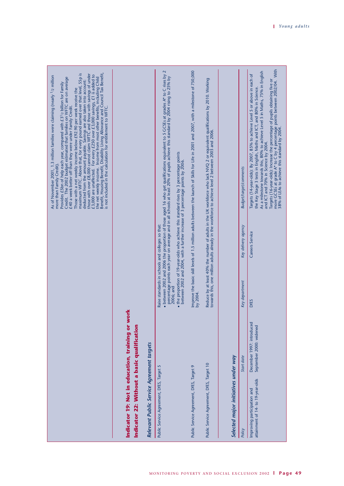|                                                                                                                                         |                                                      |                                                               |                     | Benefit, Housing Benefit, Disability Living Allowance and Council Tax Benefit,<br>is not included in the calculation for entitlement to WFTC.<br>maximum WFTC. Above that, for every pound earned over that level, 55p is<br>those with over £8,000 cannot claim WFTC and those with savings of under<br>£3,000 are unaffected. For every £250 over £3,000 savings, £1 is added to<br>As of November 2001, 1.3 million families were claiming (nearly <sup>1</sup> /2 million<br>Credit. The 2002 budget estimated that families on WFTC are on average<br>the net weekly income. Income from most other benefits, including Child<br>deducted from the amount payable. Savings are also taken into account:<br>Provides £5bn of help each year, compared with £31/2 billion for Family<br>Those with a net weekly income below £92.90 per week receive the<br>£40 a week better off than they were under Family Credit.<br>more than Family Credit). |
|-----------------------------------------------------------------------------------------------------------------------------------------|------------------------------------------------------|---------------------------------------------------------------|---------------------|-------------------------------------------------------------------------------------------------------------------------------------------------------------------------------------------------------------------------------------------------------------------------------------------------------------------------------------------------------------------------------------------------------------------------------------------------------------------------------------------------------------------------------------------------------------------------------------------------------------------------------------------------------------------------------------------------------------------------------------------------------------------------------------------------------------------------------------------------------------------------------------------------------------------------------------------------------|
| Indicator 22: Without a basic qualification<br>Indicator 19: Not in education, training or<br>Relevant Public Service Agreement targets | work                                                 |                                                               |                     |                                                                                                                                                                                                                                                                                                                                                                                                                                                                                                                                                                                                                                                                                                                                                                                                                                                                                                                                                       |
| Public Service Agreement, DfES, Target 5                                                                                                |                                                      | Raise standards in schools and colleges so that:<br>2006; and |                     | 2<br>• between 2002 and 2006 the proportion of those aged 16 who get qualifications equivalent to 5 GCSEs at grades A* to C rises by<br>percentage points each year on average and in all schools at least 20% of pupils achieve this<br>• the proportion of 19-year-olds who achieve this standard rises by 3 percentage points<br>between 2002 and 2004, with a further increase of 3 percentage points by 2006.                                                                                                                                                                                                                                                                                                                                                                                                                                                                                                                                    |
| Public Service Agreement, DfES, Target 9                                                                                                |                                                      | by 2004                                                       |                     | Improve the basic skill levels of 1.5 million adults between the launch of Skills for Life in 2001 and 2007, with a milestone of 750,000                                                                                                                                                                                                                                                                                                                                                                                                                                                                                                                                                                                                                                                                                                                                                                                                              |
| Public Service Agreement, DfES, Target 10                                                                                               |                                                      |                                                               |                     | Reduce by at least 40% the number of adults in the UK workforce who lack NVQ 2 or equivalent qualifications by 2010. Working<br>towards this, one million adults already in the workforce to achieve level 2 between 2003 and 2006.                                                                                                                                                                                                                                                                                                                                                                                                                                                                                                                                                                                                                                                                                                                   |
| Selected major initiatives under way                                                                                                    |                                                      |                                                               |                     |                                                                                                                                                                                                                                                                                                                                                                                                                                                                                                                                                                                                                                                                                                                                                                                                                                                                                                                                                       |
| Policy                                                                                                                                  | Start date                                           | Key department                                                | Key delivery agency | <b>Budget/target/comments</b>                                                                                                                                                                                                                                                                                                                                                                                                                                                                                                                                                                                                                                                                                                                                                                                                                                                                                                                         |
| attainment of 14- to 19-year-olds<br>Improving participation and                                                                        | December 1997: introduced<br>September 2000: widened | <b>DfES</b>                                                   | Careers Service     | more GCSEs at grade A* to C by 4 percentage points between 2002/04. With<br>38% of LEAs to achieve this standard by 2004.<br>As a milestone towards this, 80% to achieve Level 5 in Maths, 75% in English<br>Targets (14-year-olds): By 2007, 85% to achieve Level 5 or above in each of<br>Targets (16-year-olds): Increase the percentage of pupils obtaining five or<br>the Key Stage 3 tests in English, Maths and ICT, and 80% in Science.<br>and ICT and 70% in Science by 2004.                                                                                                                                                                                                                                                                                                                                                                                                                                                                |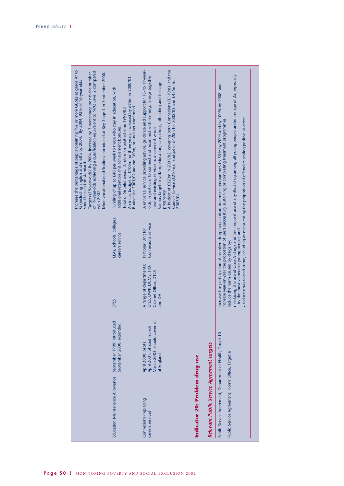|                                                                                                              |                                                                                               |                                                                                   |                                                | Increase the percentage of pupils obtaining five or more GCSEs at grade A* to<br>G (including English and maths by 2004. By 2004, 92% of 16-year-olds<br>of 19-year-olds achieving a qualification equivalent to NVQ Level 2 compared<br>More vocational qualifications introduced at Key Stage 4 in September 2000.<br>Targets (19-year-olds): By 2004, increase by 3 percentage points the number<br>should reach this standard.<br>with 2002.                                        |
|--------------------------------------------------------------------------------------------------------------|-----------------------------------------------------------------------------------------------|-----------------------------------------------------------------------------------|------------------------------------------------|-----------------------------------------------------------------------------------------------------------------------------------------------------------------------------------------------------------------------------------------------------------------------------------------------------------------------------------------------------------------------------------------------------------------------------------------------------------------------------------------|
| Education Maintenance Allowance                                                                              | September 1999: introduced<br>September 2000: extended                                        | <b>DfES</b>                                                                       | LEAs, schools, colleges,<br>careers service    | An initial budget of £100m for three years, increased by £93m in 2000/01.<br>Funding of up to £40 per week to those who stay in education, with<br>Budget for 2001/02 around 160m, but not yet confirmed.<br>Total of 56 pilot areas. £160m for pilot scheme 1999/02<br>additional retention and achievement bonuses.                                                                                                                                                                   |
| Connexions (replacing<br>careers service)                                                                    | March 2003: should cover al<br>April 2001: phased launch<br>April 2000: pilots<br>of England. | A range of departments:<br>DFES, DWP, DCMS, HO,<br>Cabinet Office, DTLR<br>and DH | <b>Connexions Service</b><br>National Unit for | A budget of £320m in 2001/02, covering both Connexions (£110m) and the Careers Service (£210m). Budget of £420m for 2002/03 and £455m for<br>A universal service providing advice, guidance and support for 13- to 19-year-<br>olds, in particular to connect and reconnect with learning. Brings together<br>Various targets involving education, care, drugs, offending and teenage<br>new and existing services to a coherent whole.<br>pregnancy.<br>2003/04.                       |
| Indicator 20: Problem drug use                                                                               |                                                                                               |                                                                                   |                                                |                                                                                                                                                                                                                                                                                                                                                                                                                                                                                         |
| Relevant Public Service Agreement targets                                                                    |                                                                                               |                                                                                   |                                                |                                                                                                                                                                                                                                                                                                                                                                                                                                                                                         |
| Public Service Agreement, Department of Health, Target 10<br>Public Service Agreement, Home Office, Target 6 |                                                                                               | by the most vulnerable young people; and<br>Reduce the harm caused by drugs by:   |                                                | • reducing the use of Class A drugs and the frequent use of any illicit drug among all young people under the age of 25, especially<br>Increase the participation of problem drug users in drug treatment programmes by 55% by 2004 and by 100% by 2008, and<br>increase year-on-year the proportion of users successfully sustaining or completing treatment programmes<br>reduce drug-related crime, including as measured by the proportion of offenders testing positive at arrest. |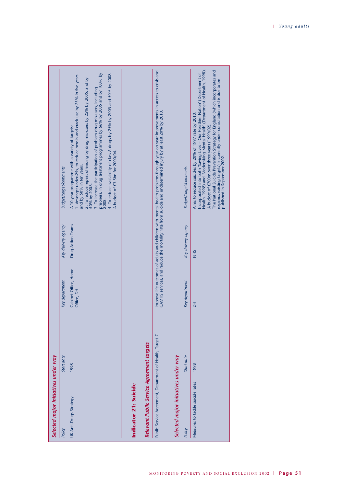|                                      | <b>Budget/target/comments</b><br>Key delivery agency<br>Key department<br>Start date | 4. To reduce availability of class A drugs by 25% by 2005 and 50% by 2008.<br>3. To increase the participation of problem drug mis-users, including<br>prisoners, in drug treatment programmes by 66% by 2005 and by 100% by<br>1. Amongst under-25s, to reduce heroin and crack use by 25% in five years<br>2. To reduce repeat offending by drug mis-users by 25% by 2005, and by<br>A 10-year programme with a variety of targets:<br>A budget of £3.5bn for 2000/04.<br>and by 50% in ten years.<br>50% by 2008.<br>2008.<br>Drug Action Teams<br>Cabinet Office, Home<br>Office, DH<br>1998 |                       |                                           | Improve life outcomes of adults and children with mental health problems through year on year improvements in access to crisis and<br>CAMHS services, and reduce the mortality rate from suicide and undetermined injury by at least 20% by 2010. | <b>Budget/target/comments</b><br>Key delivery agency<br>Key department<br>Start date | Health, 1998) and 'Modernising Mental Health' (Department of Health, 1998).<br>The National Suicide Prevention Strategy for England (which incorporates and<br>Incorporated into both 'Saving Lives - Our Healthier Nation' (Department of<br>expands existing targets) is currently under consultation and is due to be<br>Aims to reduce suicides by 20% of 1997 rate by 2010.<br>A budget of £700m over three years (1999/02).<br><b>NHS</b><br>$\overline{a}$<br>1998 |
|--------------------------------------|--------------------------------------------------------------------------------------|--------------------------------------------------------------------------------------------------------------------------------------------------------------------------------------------------------------------------------------------------------------------------------------------------------------------------------------------------------------------------------------------------------------------------------------------------------------------------------------------------------------------------------------------------------------------------------------------------|-----------------------|-------------------------------------------|---------------------------------------------------------------------------------------------------------------------------------------------------------------------------------------------------------------------------------------------------|--------------------------------------------------------------------------------------|---------------------------------------------------------------------------------------------------------------------------------------------------------------------------------------------------------------------------------------------------------------------------------------------------------------------------------------------------------------------------------------------------------------------------------------------------------------------------|
|                                      |                                                                                      |                                                                                                                                                                                                                                                                                                                                                                                                                                                                                                                                                                                                  |                       |                                           |                                                                                                                                                                                                                                                   |                                                                                      |                                                                                                                                                                                                                                                                                                                                                                                                                                                                           |
| Selected major initiatives under way | Policy                                                                               | UK Anti-Drugs Strategy                                                                                                                                                                                                                                                                                                                                                                                                                                                                                                                                                                           | Indicator 21: Suicide | Relevant Public Service Agreement targets | Public Service Agreement, Department of Health, Target 7<br>Selected major initiatives under way                                                                                                                                                  | Policy                                                                               | Measures to tackle suicide rates                                                                                                                                                                                                                                                                                                                                                                                                                                          |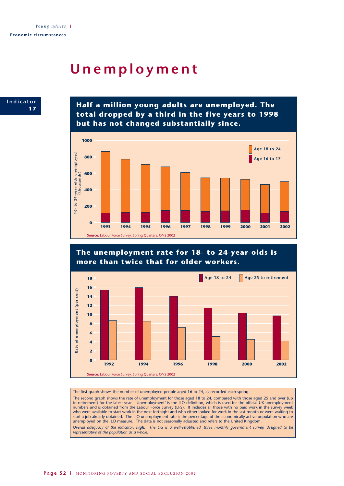## **1 7Unemployment**



**Half a million young adults are unemployed. The total dropped by a third in the five years to 1998 but has not changed substantially since.**



## **The unemployment rate for 18- to 24-year-olds is more than twice that for older workers.**



The first graph shows the number of unemployed people aged 16 to 24, as recorded each spring.

The second graph shows the rate of unemployment for those aged 18 to 24, compared with those aged 25 and over (up to retirement) for the latest year. 'Unemployment' is the ILO definition, which is used for the official UK unemployment numbers and is obtained from the Labour Force Survey (LFS). It includes all those with no paid work in the survey week who were available to start work in the next fortnight and who either looked for work in the last month or were waiting to start a job already obtained. The ILO unemployment rate is the percentage of the economically active population who are unemployed on the ILO measure. The data is not seasonally adjusted and refers to the United Kingdom. *Overall adequacy of the indicator: high. The LFS is a well-established, three monthly government survey, designed to be*

*representative of the population as a whole.*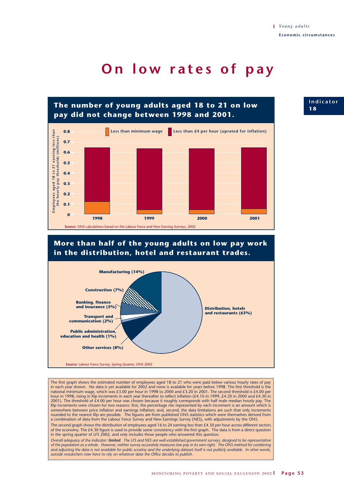## **On low rates of pay**





The first graph shows the estimated number of employees aged 18 to 21 who were paid below various hourly rates of pay in each year shown. No data is yet available for 2002 and none is available for years before 1998. The first threshold is the national minimum wage, which was £3.00 per hour in 1998 to 2000 and £3.20 in 2001. The second threshold is £4.00 per hour in 1998, rising in l0p increments in each year thereafter to reflect inflation (£4.10 in 1999, £4.20 in 2000 and £4.30 in 2001). The threshold of £4.00 per hour was chosen because it roughly corresponds with half male median hourly pay. The l0p increments were chosen for two reasons: first, the percentage rise represented by each increment is an amount which is somewhere between price inflation and earnings inflation; and, second, the data limitations are such that only increments rounded to the nearest l0p are possible. The figures are from published ONS statistics which were themselves derived from a combination of data from the Labour Force Survey and New Earnings Survey (NES), with adjustments by the ONS.

The second graph shows the distribution of employees aged 16 to 24 earning less than £4.30 per hour across different sectors of the economy. The £4.30 figure is used to provide some consistency with the first graph. The data is from a direct question in the spring quarter of LFS 2002, and only includes those people who answered this question.

*Overall adequacy of the indicator: limited. The LFS and NES are well-established government surveys, designed to be representative of the population as a whole. However, neither survey accurately measures low pay in its own right. The ONS method for combining and adjusting the data is not available for public scrutiny and the underlying dataset itself is not publicly available. In other words, outside researchers now have to rely on whatever data the Office decides to publish.* 

**Indicator X1 8**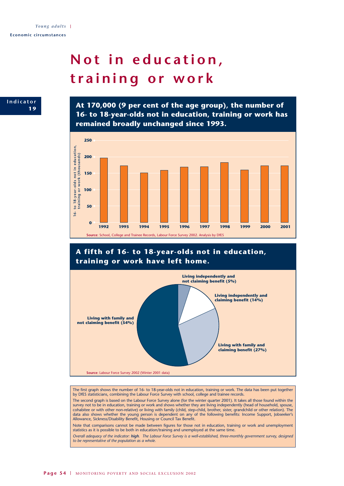# **Not in education, training or work**

**Indicator 1 9**

**At 170,000 (9 per cent of the age group), the number of 16- to 18-year-olds not in education, training or work has remained broadly unchanged since 1993.**



## **A fifth of 16- to 18-year-olds not in education, training or work have left home.**



The first graph shows the number of 16- to 18-year-olds not in education, training or work. The data has been put together by DfES statisticians, combining the Labour Force Survey with school, college and trainee records.

The second graph is based on the Labour Force Survey alone (for the winter quarter 2001). It takes all those found within the survey not to be in education, training or work and shows whether they are living independently (head of household, spouse, cohabitee or with other non-relative) or living with family (child, step-child, brother, sister, grandchild or other relation). The data also shows whether the young person is dependent on any of the following benefits: Income Support, Jobseeker's Allowance, Sickness/Disability Benefit, Housing or Council Tax Benefit.

Note that comparisons cannot be made between figures for those not in education, training or work and unemployment statistics as it is possible to be both in education/training and unemployed at the same time.

*Overall adequacy of the indicator: high. The Labour Force Survey is a well-established, three-monthly government survey, designed to be representative of the population as a whole.*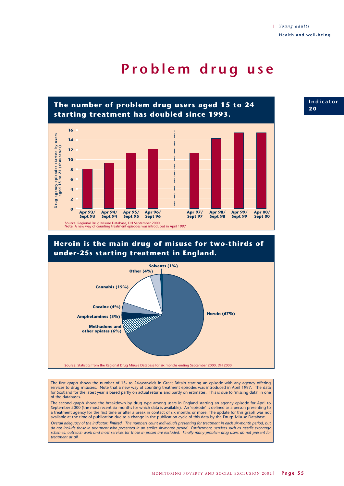## **Problem drug use**



## **Heroin is the main drug of misuse for two-thirds of under-25s starting treatment in England.**



The first graph shows the number of 15- to 24-year-olds in Great Britain starting an episode with any agency offering services to drug misusers. Note that a new way of counting treatment episodes was introduced in April 1997. The data for Scotland for the latest year is based partly on actual returns and partly on estimates. This is due to 'missing data' in one of the databases.

The second graph shows the breakdown by drug type among users in England starting an agency episode for April to September 2000 (the most recent six months for which data is available). An 'episode' is defined as a person presenting to a treatment agency for the first time or after a break in contact of six months or more. The update for this graph was not available at the time of publication due to a change in the publication cycle of this data by the Drugs Misuse Database.

*Overall adequacy of the indicator: limited. The numbers count individuals presenting for treatment in each six-month period, but do not include those in treatment who presented in an earlier six-month period. Furthermore, services such as needle exchange schemes, outreach work and most services for those in prison are excluded. Finally many problem drug users do not present for treatment at all.*

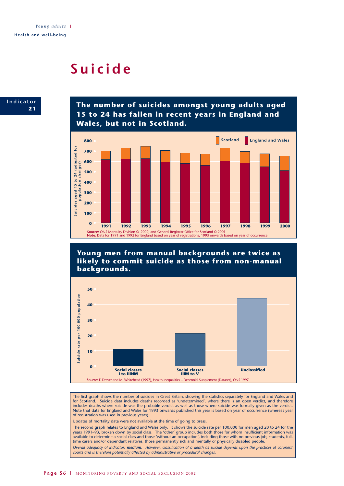## **Suicide**



**The number of suicides amongst young adults aged 15 to 24 has fallen in recent years in England and Wales, but not in Scotland.**



**Young men from manual backgrounds are twice as likely to commit suicide as those from non-manual backgrounds.**



The first graph shows the number of suicides in Great Britain, showing the statistics separately for England and Wales and for Scotland. Suicide data includes deaths recorded as 'undetermined', where there is an open verdict, and therefore includes deaths where suicide was the probable verdict as well as those where suicide was formally given as the verdict. Note that data for England and Wales for 1993 onwards published this year is based on year of occurrence (whereas year of registration was used in previous years).

Updates of mortality data were not available at the time of going to press.

The second graph relates to England and Wales only. It shows the suicide rate per 100,000 for men aged 20 to 24 for the years 1991–93, broken down by social class. The 'other' group includes both those for whom insufficient information was available to determine a social class and those 'without an occupation', including those with no previous job, students, fulltime carers and/or dependant relatives, those permanently sick and mentally or physically disabled people.

*Overall adequacy of indicator: medium. However, classification of a death as suicide depends upon the practices of coroners' courts and is therefore potentially affected by administrative or procedural changes.*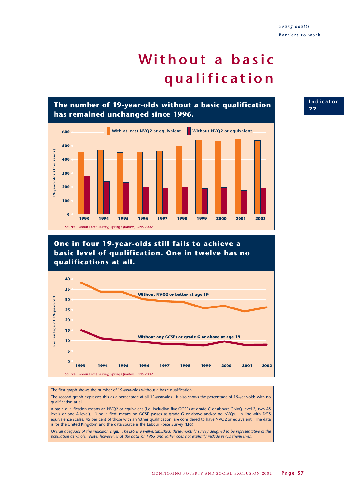# **Without a basic qualification**

**The number of 19-year-olds without a basic qualification has remained unchanged since 1996.**



**One in four 19-year-olds still fails to achieve a basic level of qualification. One in twelve has no qualifications at all.**



The first graph shows the number of 19-year-olds without a basic qualification.

The second graph expresses this as a percentage of all 19-year-olds. It also shows the percentage of 19-year-olds with no qualification at all.

A basic qualification means an NVQ2 or equivalent (i.e. including five GCSEs at grade C or above; GNVQ level 2; two AS levels or one A level). 'Unqualified' means no GCSE passes at grade G or above and/or no NVQs. In line with DfES equivalence scales, 45 per cent of those with an 'other qualification' are considered to have NVQ2 or equivalent. The data is for the United Kingdom and the data source is the Labour Force Survey (LFS).

*Overall adequacy of the indicator: high. The LFS is a well-established, three-monthly survey designed to be representative of the population as whole. Note, however, that the data for 1995 and earlier does not explicitly include NVQs themselves.*

**Indicator X2 2**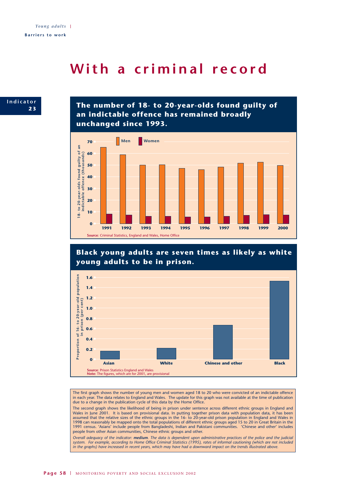## **With a criminal record**



**The number of 18- to 20-year-olds found guilty of an indictable offence has remained broadly unchanged since 1993.**







The first graph shows the number of young men and women aged 18 to 20 who were convicted of an indictable offence in each year. The data relates to England and Wales. The update for this graph was not available at the time of publication due to a change in the publication cycle of this data by the Home Office.

The second graph shows the likelihood of being in prison under sentence across different ethnic groups in England and Wales in June 2001. It is based on provisional data. In putting together prison data with population data, it has been assumed that the relative sizes of the ethnic groups in the 16- to 20-year-old prison population in England and Wales in 1998 can reasonably be mapped onto the total populations of different ethnic groups aged 15 to 20 in Great Britain in the 1991 census. 'Asians' include people from Bangladeshi, Indian and Pakistani communities. 'Chinese and other' includes people from other Asian communities, Chinese ethnic groups and other.

*Overall adequacy of the indicator: medium. The data is dependent upon administrative practices of the police and the judicial system. For example, according to Home Office Criminal Statistics (1995), rates of informal cautioning (which are not included in the graphs) have increased in recent years, which may have had a downward impact on the trends illustrated above.*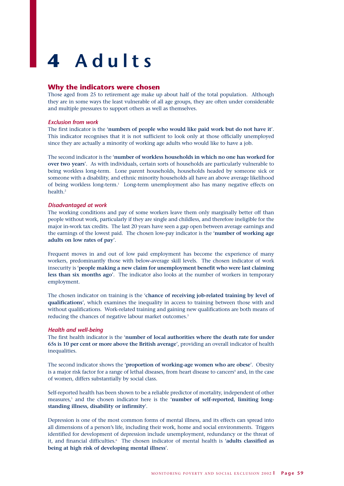# **4 Adults**

## **Why the indicators were chosen**

Those aged from 25 to retirement age make up about half of the total population. Although they are in some ways the least vulnerable of all age groups, they are often under considerable and multiple pressures to support others as well as themselves.

#### *Exclusion from work*

The first indicator is the '**numbers of people who would like paid work but do not have it**'. This indicator recognises that it is not sufficient to look only at those officially unemployed since they are actually a minority of working age adults who would like to have a job.

The second indicator is the '**number of workless households in which no one has worked for over two years**'. As with individuals, certain sorts of households are particularly vulnerable to being workless long-term. Lone parent households, households headed by someone sick or someone with a disability, and ethnic minority households all have an above average likelihood of being workless long-term.1 Long-term unemployment also has many negative effects on health.2

#### *Disadvantaged at work*

The working conditions and pay of some workers leave them only marginally better off than people without work, particularly if they are single and childless, and therefore ineligible for the major in-work tax credits. The last 20 years have seen a gap open between average earnings and the earnings of the lowest paid. The chosen low-pay indicator is the '**number of working age adults on low rates of pay**'.

Frequent moves in and out of low paid employment has become the experience of many workers, predominantly those with below-average skill levels. The chosen indicator of work insecurity is '**people making a new claim for unemployment benefit who were last claiming less than six months ago**'. The indicator also looks at the number of workers in temporary employment.

The chosen indicator on training is the '**chance of receiving job-related training by level of qualifications**', which examines the inequality in access to training between those with and without qualifications. Work-related training and gaining new qualifications are both means of reducing the chances of negative labour market outcomes.<sup>3</sup>

#### *Health and well-being*

The first health indicator is the '**number of local authorities where the death rate for under 65s is 10 per cent or more above the British average**', providing an overall indicator of health inequalities.

The second indicator shows the '**proportion of working-age women who are obese**'. Obesity is a major risk factor for a range of lethal diseases, from heart disease to cancers<sup>4</sup> and, in the case of women, differs substantially by social class.

Self-reported health has been shown to be a reliable predictor of mortality, independent of other measures,<sup>5</sup> and the chosen indicator here is the 'number of self-reported, limiting long**standing illness, disability or infirmity**'.

Depression is one of the most common forms of mental illness, and its effects can spread into all dimensions of a person's life, including their work, home and social environments. Triggers identified for development of depression include unemployment, redundancy or the threat of it, and financial difficulties.<sup>6</sup> The chosen indicator of mental health is 'adults classified as **being at high risk of developing mental illness**'.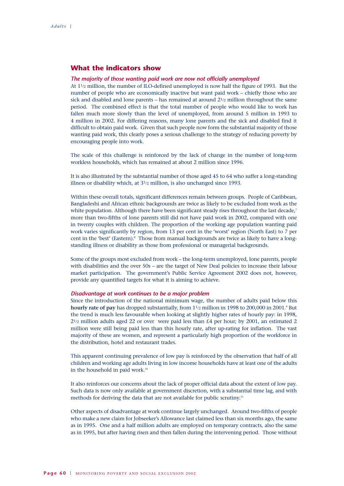## **What the indicators show**

#### *The majority of those wanting paid work are now not officially unemployed*

At 11/2 million, the number of ILO-defined unemployed is now half the figure of 1993. But the number of people who are economically inactive but want paid work – chiefly those who are sick and disabled and lone parents – has remained at around  $2^{1/2}$  million throughout the same period. The combined effect is that the total number of people who would like to work has fallen much more slowly than the level of unemployed, from around 5 million in 1993 to 4 million in 2002. For differing reasons, many lone parents and the sick and disabled find it difficult to obtain paid work. Given that such people now form the substantial majority of those wanting paid work, this clearly poses a serious challenge to the strategy of reducing poverty by encouraging people into work.

The scale of this challenge is reinforced by the lack of change in the number of long-term workless households, which has remained at about 2 million since 1996.

It is also illustrated by the substantial number of those aged 45 to 64 who suffer a long-standing illness or disability which, at 31/2 million, is also unchanged since 1993.

Within these overall totals, significant differences remain between groups. People of Caribbean, Bangladeshi and African ethnic backgrounds are twice as likely to be excluded from work as the white population. Although there have been significant steady rises throughout the last decade,<sup>7</sup> more than two-fifths of lone parents still did not have paid work in 2002, compared with one in twenty couples with children. The proportion of the working age population wanting paid work varies significantly by region, from 13 per cent in the 'worst' region (North East) to 7 per cent in the 'best' (Eastern).<sup>8</sup> Those from manual backgrounds are twice as likely to have a longstanding illness or disability as those from professional or managerial backgrounds.

Some of the groups most excluded from work – the long-term unemployed, lone parents, people with disabilities and the over 50s – are the target of New Deal policies to increase their labour market participation. The government's Public Service Agreement 2002 does not, however, provide any quantified targets for what it is aiming to achieve.

#### *Disadvantage at work continues to be a major problem*

Since the introduction of the national minimum wage, the number of adults paid below this **hourly rate of pay** has dropped substantially, from  $1\frac{1}{2}$  million in 1998 to 200,000 in 2001.<sup>9</sup> But the trend is much less favourable when looking at slightly higher rates of hourly pay: in 1998,  $2^{1/2}$  million adults aged 22 or over were paid less than £4 per hour; by 2001, an estimated 2 million were still being paid less than this hourly rate, after up-rating for inflation. The vast majority of these are women, and represent a particularly high proportion of the workforce in the distribution, hotel and restaurant trades.

This apparent continuing prevalence of low pay is reinforced by the observation that half of all children and working age adults living in low income households have at least one of the adults in the household in paid work.<sup>10</sup>

It also reinforces our concerns about the lack of proper official data about the extent of low pay. Such data is now only available at government discretion, with a substantial time lag, and with methods for deriving the data that are not available for public scrutiny.<sup>11</sup>

Other aspects of disadvantage at work continue largely unchanged. Around two-fifths of people who make a new claim for Jobseeker's Allowance last claimed less than six months ago, the same as in 1995. One and a half million adults are employed on temporary contracts, also the same as in 1995, but after having risen and then fallen during the intervening period. Those without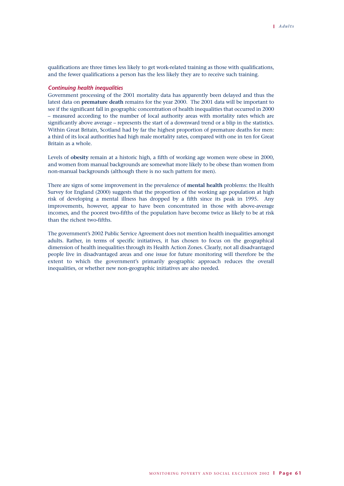qualifications are three times less likely to get work-related training as those with qualifications, and the fewer qualifications a person has the less likely they are to receive such training.

#### *Continuing health inequalities*

Government processing of the 2001 mortality data has apparently been delayed and thus the latest data on **premature death** remains for the year 2000. The 2001 data will be important to see if the significant fall in geographic concentration of health inequalities that occurred in 2000 – measured according to the number of local authority areas with mortality rates which are significantly above average – represents the start of a downward trend or a blip in the statistics. Within Great Britain, Scotland had by far the highest proportion of premature deaths for men: a third of its local authorities had high male mortality rates, compared with one in ten for Great Britain as a whole.

Levels of **obesity** remain at a historic high, a fifth of working age women were obese in 2000, and women from manual backgrounds are somewhat more likely to be obese than women from non-manual backgrounds (although there is no such pattern for men).

There are signs of some improvement in the prevalence of **mental health** problems: the Health Survey for England (2000) suggests that the proportion of the working age population at high risk of developing a mental illness has dropped by a fifth since its peak in 1995. Any improvements, however, appear to have been concentrated in those with above-average incomes, and the poorest two-fifths of the population have become twice as likely to be at risk than the richest two-fifths.

The government's 2002 Public Service Agreement does not mention health inequalities amongst adults. Rather, in terms of specific initiatives, it has chosen to focus on the geographical dimension of health inequalities through its Health Action Zones. Clearly, not all disadvantaged people live in disadvantaged areas and one issue for future monitoring will therefore be the extent to which the government's primarily geographic approach reduces the overall inequalities, or whether new non-geographic initiatives are also needed.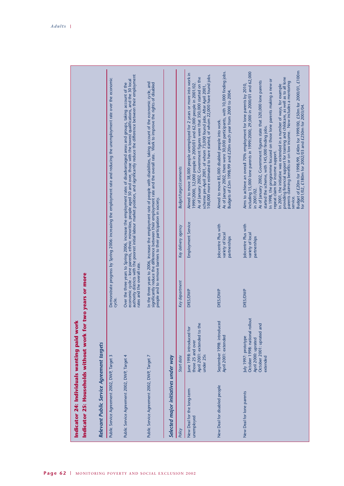|                                                                                                               |                                           | Demonstrate progress by Spring 2006: increasing the employment rate and reducing the unemployment rate over the economic | Over the three years to Spring 2006, increase the employment rates of disadvantaged areas and groups, taking account of the<br>economic cycle – lone parents, ethnic minorities, people aged 50 and over, those with the lowest q | In the three years to 2006, increase the employment rate of people with disabilities, taking account of the economic cycle, and<br>significantly reduce the difference between their employment rate and the overall rate. Work t<br>people and to remove barriers to their participation in society. |                                      | <b>Budget/target/comments</b><br>Key delivery agency | Aimed to move 38,000 people unemployed for 2 years or more into work in<br>scheme pre-April 2001, of whom 73,000 found jobs. After April 2001,<br>100,000 more estimated to have started, of whom 22,000 have found jobs.<br>As of January 2002, Government figures were that 350,000 started on the<br>1999/2000, 32,000 people in 2000/01 and 62,000 people in 2001/02.<br>Employment Service | As of January 2002, there were 30,000 participants, with 10,000 finding jobs.<br>Budgets of £5m 1998/99 and £20m each year from 2000 to 2004.<br>Aimed to move 85,000 disabled people into work.<br>Jobcentre Plus with<br>variety of local<br>partnerships | Budget of £20m for 1998/99, £40m for 1999/00, £50m for 2000/01, £100m<br>for 2001/02, £180m for 2002/03 and £250m for 2003/04.<br>including 15,000 lone parents in 1999/2000, 29,000 in 2000/01 and 62,000<br>providing financial support for training and childcare, as well as to all lone<br>In 1998, the programme focused on those lone parents making a new or<br>As of January 2002, Government figures state that 320,000 lone parents<br>parents claiming benefits or on low income. Now includes a mentoring<br>Aims to achieve an overall 70% employment for lone parents by 2010,<br>In 2001, the initiative was extended in a number of ways, for example<br>started the scheme, with 145,000 finding jobs.<br>repeat claim for income support.<br>in 2001/02.<br>service.<br>Jobcentre Plus with<br>variety of local<br>partnerships |
|---------------------------------------------------------------------------------------------------------------|-------------------------------------------|--------------------------------------------------------------------------------------------------------------------------|-----------------------------------------------------------------------------------------------------------------------------------------------------------------------------------------------------------------------------------|-------------------------------------------------------------------------------------------------------------------------------------------------------------------------------------------------------------------------------------------------------------------------------------------------------|--------------------------------------|------------------------------------------------------|-------------------------------------------------------------------------------------------------------------------------------------------------------------------------------------------------------------------------------------------------------------------------------------------------------------------------------------------------------------------------------------------------|-------------------------------------------------------------------------------------------------------------------------------------------------------------------------------------------------------------------------------------------------------------|----------------------------------------------------------------------------------------------------------------------------------------------------------------------------------------------------------------------------------------------------------------------------------------------------------------------------------------------------------------------------------------------------------------------------------------------------------------------------------------------------------------------------------------------------------------------------------------------------------------------------------------------------------------------------------------------------------------------------------------------------------------------------------------------------------------------------------------------------|
| two years or more<br>Indicator 24: Individuals wanting paid worl<br>Indicator 25: Households without work for |                                           | cycle.                                                                                                                   | rates and the overall rate.                                                                                                                                                                                                       |                                                                                                                                                                                                                                                                                                       |                                      | Key department                                       | DfES/DWP                                                                                                                                                                                                                                                                                                                                                                                        | DfES/DWP                                                                                                                                                                                                                                                    | DfES/DWP                                                                                                                                                                                                                                                                                                                                                                                                                                                                                                                                                                                                                                                                                                                                                                                                                                           |
|                                                                                                               |                                           |                                                                                                                          |                                                                                                                                                                                                                                   |                                                                                                                                                                                                                                                                                                       |                                      | Start date                                           | April 2001: extended to the<br>lune 1998: introduced for<br>those 25 and over<br>under 25s                                                                                                                                                                                                                                                                                                      | September 1998: introduced<br>April 2001: extended                                                                                                                                                                                                          | October 1998: national rollout<br>October 2001: uprated and<br>July 1997: prototype<br>April 2000: uprated<br>extended                                                                                                                                                                                                                                                                                                                                                                                                                                                                                                                                                                                                                                                                                                                             |
|                                                                                                               | Relevant Public Service Agreement targets | Public Service Agreement 2002, DWP, Target 3                                                                             | Public Service Agreement 2002, DWP, Target 4                                                                                                                                                                                      | Public Service Agreement 2002, DWP, Target 7                                                                                                                                                                                                                                                          | Selected major initiatives under way | Policy                                               | New Deal for the long-term<br>unemployed                                                                                                                                                                                                                                                                                                                                                        | New Deal for disabled people                                                                                                                                                                                                                                | New Deal for lone parents                                                                                                                                                                                                                                                                                                                                                                                                                                                                                                                                                                                                                                                                                                                                                                                                                          |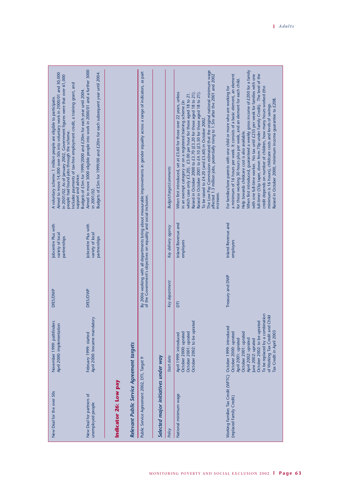| Aimed to move 3000 eligible people into work in 2000/01 and a further 3000<br>Budgets of £5m for 1999/00 and £20m for each subsequent year until 2004.<br>Aimed to move 14,000 over-50s into voluntary work in 2000/01 and 30,000<br>in 2001/02. As of January 2002, Government figures were that over 61,000<br>people had found jobs through the scheme.<br>includes payments of tax-free employment credit, a training grant, and<br>Budgets of £5m for 1999/2000 and £20m for each year until 2004<br>A voluntary scheme: 1 million people are eligible to participate. |                                                                    | By 2006 working with all departments bring about measurable improvements in gender equality across a range of indicators, as part<br>of the Government's objectives on equality and social inclusion. | <b>Budget/target/comments</b> | The Low Pay Commission estimated that the original national minimum wage<br>affected 1.3 million jobs, potentially rising to 1.5m after the 2001 and 2002<br>Raised in October 2000 to £3.70 (£3.20 for those aged 18 to 21).<br>When first introduced, set at £3.60 for those over 22 years, unless<br>which case only £3.20). £3.00 per hour for those aged 18 to 21.<br>Raised in October 2001 to £4.10 (£3.50 for those aged 18 to 21)<br>in an exempt category or on a registered training scheme (in<br>To be raised to £4.20 (and £3.60) in October 2002. | When first introduced, guaranteed a weekly gross income of £200 for a family<br>a minimum of 16 hours per week. It consists of a basic element, an element<br>full-timer (55p taper, down from 70p under Family Credit). The level of the<br>with one full-time worker. No tax until £235 per week for families with one<br>for those working 30 hours plus per week, and an element for each child.<br>credit depends on number of children, how many hours worked (the<br>For families/lone parents with one child or more who are working for<br>Raised in October 2000, minimum income guarantee to £208<br>minimum is 16 hours), childcare costs and levels of savings.<br>Help towards childcare cost is also available. |
|-----------------------------------------------------------------------------------------------------------------------------------------------------------------------------------------------------------------------------------------------------------------------------------------------------------------------------------------------------------------------------------------------------------------------------------------------------------------------------------------------------------------------------------------------------------------------------|--------------------------------------------------------------------|-------------------------------------------------------------------------------------------------------------------------------------------------------------------------------------------------------|-------------------------------|------------------------------------------------------------------------------------------------------------------------------------------------------------------------------------------------------------------------------------------------------------------------------------------------------------------------------------------------------------------------------------------------------------------------------------------------------------------------------------------------------------------------------------------------------------------|--------------------------------------------------------------------------------------------------------------------------------------------------------------------------------------------------------------------------------------------------------------------------------------------------------------------------------------------------------------------------------------------------------------------------------------------------------------------------------------------------------------------------------------------------------------------------------------------------------------------------------------------------------------------------------------------------------------------------------|
| support and advice.<br>in 2001/02.                                                                                                                                                                                                                                                                                                                                                                                                                                                                                                                                          |                                                                    |                                                                                                                                                                                                       |                               | increases.                                                                                                                                                                                                                                                                                                                                                                                                                                                                                                                                                       |                                                                                                                                                                                                                                                                                                                                                                                                                                                                                                                                                                                                                                                                                                                                |
| Jobcentre Plus with<br><b>Jobcentre Plus with</b><br>variety of local<br>variety of local<br>partnerships<br>partnerships                                                                                                                                                                                                                                                                                                                                                                                                                                                   |                                                                    |                                                                                                                                                                                                       | Key delivery agency           | <b>Inland Revenue and</b><br>employers                                                                                                                                                                                                                                                                                                                                                                                                                                                                                                                           | Inland Revenue and<br>employers                                                                                                                                                                                                                                                                                                                                                                                                                                                                                                                                                                                                                                                                                                |
| DfES/DWP<br>DfES/DWP                                                                                                                                                                                                                                                                                                                                                                                                                                                                                                                                                        |                                                                    |                                                                                                                                                                                                       | Key department                | Б                                                                                                                                                                                                                                                                                                                                                                                                                                                                                                                                                                | Treasury and DWP                                                                                                                                                                                                                                                                                                                                                                                                                                                                                                                                                                                                                                                                                                               |
| April 2000: became mandatory<br>November 1999: pathfinders<br>April 2000: implementation<br>February 1999: started                                                                                                                                                                                                                                                                                                                                                                                                                                                          |                                                                    |                                                                                                                                                                                                       | Start date                    | October 2002: to be uprated<br>October 2001: uprated<br>October 2000: uprated<br>April 1999: introduced                                                                                                                                                                                                                                                                                                                                                                                                                                                          | To be replaced by a combination<br>of Working Tax Credit and Child<br>October 2002: to be uprated<br>Tax Credit in April 2003<br>October 2000: uprated<br>October 2001: uprated<br>April 2001: uprated<br>April 2002: uprated<br>June 2002: uprated                                                                                                                                                                                                                                                                                                                                                                                                                                                                            |
| New Deal for the over 50s<br>New Deal for partners of<br>unemployed people                                                                                                                                                                                                                                                                                                                                                                                                                                                                                                  | Relevant Public Service Agreement targets<br>Indicator 26: Low pay | Selected major initiatives under way<br>Public Service Agreement 2002, DTI, Target 9                                                                                                                  | Policy                        | National minimum wage                                                                                                                                                                                                                                                                                                                                                                                                                                                                                                                                            | Working Families Tax Credit (WFTC) October 1999: introduced<br>(replaced Family Credit)                                                                                                                                                                                                                                                                                                                                                                                                                                                                                                                                                                                                                                        |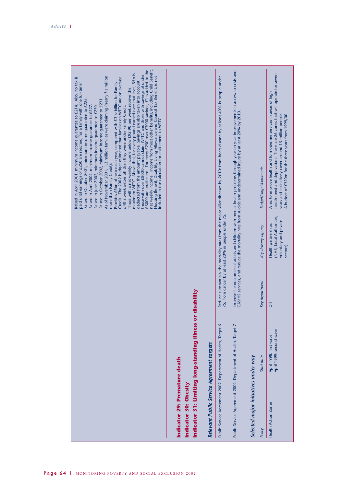| Indicator 29: Premature death |
|-------------------------------|
|                               |

# Relevant Public Service Agreement targets *Relevant Public Service Agreement targets*

|                                      | Public Service Agreement 2002, Department of Health, Target<br><b>The company of the company of the company of the company of the company of the company of the company of the company of the company of the company of the company of the company of the company of the company of the company</b> |                | 75; from cancer by at least 20% in people under 75.                                  | Reduce substantially the mortality rates from the major killer diseases by 2010: from heart disease by at least 40% in people under                                                                                                                               |
|--------------------------------------|-----------------------------------------------------------------------------------------------------------------------------------------------------------------------------------------------------------------------------------------------------------------------------------------------------|----------------|--------------------------------------------------------------------------------------|-------------------------------------------------------------------------------------------------------------------------------------------------------------------------------------------------------------------------------------------------------------------|
|                                      | Public Service Agreement 2002, Department of Health, Target                                                                                                                                                                                                                                         |                |                                                                                      | Improve life outcomes of adults and children with mental health problems through year-on-year improvements in access to crisis and<br>CAMHS services, and reduce the mortality rate from suicide and undetermined injury by at least 20% by 2010.                 |
| Selected major initiatives under way |                                                                                                                                                                                                                                                                                                     |                |                                                                                      |                                                                                                                                                                                                                                                                   |
| Policy                               | Start date                                                                                                                                                                                                                                                                                          | Key department | Key delivery agency                                                                  | <b>Budget/target/comments</b>                                                                                                                                                                                                                                     |
| <b>Health Action Zones</b>           | April 1999: second wave<br>April 1998: first wave                                                                                                                                                                                                                                                   | 품              | (NHS, Local Authorities,<br>voluntary and private<br>Health partnerships<br>sectors) | health need and deprivation. There are 26 zones that will operate for seven<br>Aims to improve health and to modernise services in areas of high<br>A budget of £320m for the three years from 1999/00.<br>years and collectively cover around 13 million people. |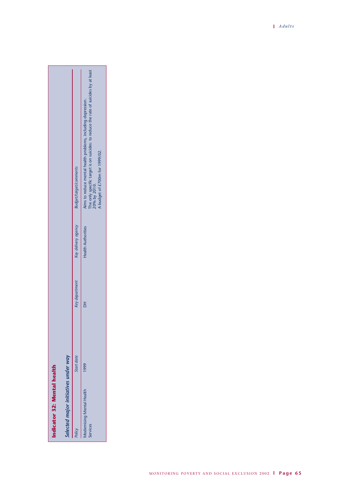|                             |                                      | Budget/target/comments<br>Key delivery agency<br>Key department | The only specific target is on suicides: to reduce the rate of suicides by at least<br>Aims to reduce mental health problems, including depression.<br>A budget of £700m for 1999/02.<br>20% by 2010.<br><b>Health Authorities</b> |
|-----------------------------|--------------------------------------|-----------------------------------------------------------------|------------------------------------------------------------------------------------------------------------------------------------------------------------------------------------------------------------------------------------|
|                             |                                      |                                                                 |                                                                                                                                                                                                                                    |
| Indicator 32: Mental health | Selected major initiatives under way | Start date<br>Policy                                            | 1999<br><b>Modernising Mental Health</b><br>Services                                                                                                                                                                               |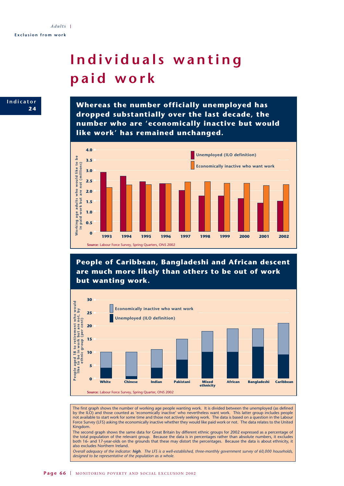# **Individuals wanting paid work**



**Whereas the number officially unemployed has dropped substantially over the last decade, the number who are 'economically inactive but would like work' has remained unchanged.**



**People of Caribbean, Bangladeshi and African descent are much more likely than others to be out of work but wanting work.**



The first graph shows the number of working age people wanting work. It is divided between the unemployed (as defined by the ILO) and those counted as 'economically inactive' who nevertheless want work. This latter group includes people not available to start work for some time and those not actively seeking work. The data is based on a question in the Labour Force Survey (LFS) asking the economically inactive whether they would like paid work or not. The data relates to the United Kingdom.

The second graph shows the same data for Great Britain by different ethnic groups for 2002 expressed as a percentage of the total population of the relevant group. Because the data is in percentages rather than absolute numbers, it excludes both 16- and 17-year-olds on the grounds that these may distort the percentages. Because the data is about ethnicity, it also excludes Northern Ireland.

*Overall adequacy of the indicator: high. The LFS is a well-established, three-monthly government survey of 60,000 households, designed to be representative of the population as a whole.*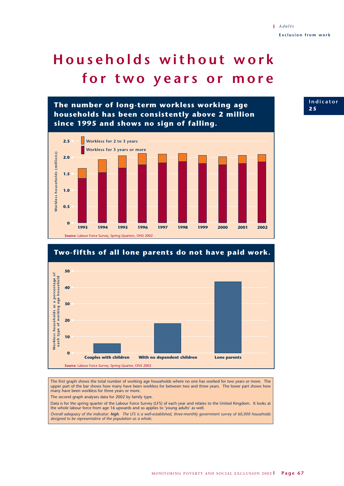# **Households without work for two years or more**





The first graph shows the total number of working age households where no one has worked for two years or more. The upper part of the bar shows how many have been workless for between two and three years. The lower part shows how many have been workless for three years or more.

The second graph analyses data for 2002 by family type.

Data is for the spring quarter of the Labour Force Survey (LFS) of each year and relates to the United Kingdom. It looks at the whole labour force from age 16 upwards and so applies to 'young adults' as well.

*Overall adequacy of the indicator: high. The LFS is a well-established, three-monthly government survey of 60,000 households designed to be representative of the population as a whole.*

**Indicator 2 5**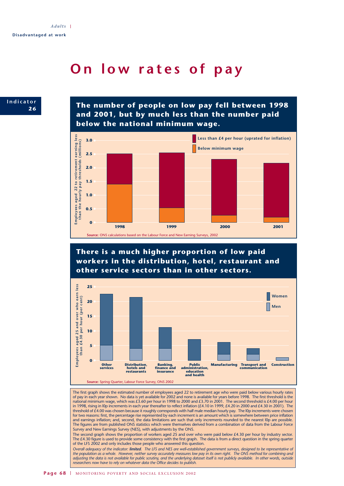## **On low rates of pay**



**The number of people on low pay fell between 1998 and 2001, but by much less than the number paid below the national minimum wage.**



## **There is a much higher proportion of low paid workers in the distribution, hotel, restaurant and other service sectors than in other sectors.**



The first graph shows the estimated number of employees aged 22 to retirement age who were paid below various hourly rates of pay in each year shown. No data is yet available for 2002 and none is available for years before 1998. The first threshold is the national minimum wage, which was £3.60 per hour in 1998 to 2000 and £3.70 in 2001. The second threshold is £4.00 per hour in 1998, rising in l0p increments in each year thereafter to reflect inflation (£4.10 in 1999, £4.20 in 2000 and £4.30 in 2001). The threshold of £4.00 was chosen because it roughly corresponds with half male median hourly pay. The IOp increments were chosen for two reasons: first, the percentage rise represented by each increment is an amount which is somewhere between price inflation and earnings inflation; and, second, the data limitations are such that only increments rounded to the nearest l0p are possible. The figures are from published ONS statistics which were themselves derived from a combination of data from the Labour Force Survey and New Earnings Survey (NES), with adjustments by the ONS.

The second graph shows the proportion of workers aged 25 and over who were paid below £4.30 per hour by industry sector. The £4.30 figure is used to provide some consistency with the first graph. The data is from a direct question in the spring quarter of the LFS 2002 and only includes those people who answered this question.

*Overall adequacy of the indicator: limited. The LFS and NES are well-established government surveys, designed to be representative of the population as a whole. However, neither survey accurately measures low pay in its own right. The ONS method for combining and adjusting the data is not available for public scrutiny, and the underlying dataset itself is not publicly available. In other words, outside researchers now have to rely on whatever data the Office decides to publish.*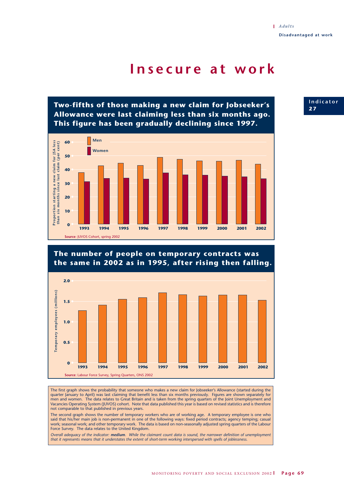## **Insecure at work**

**Two-fifths of those making a new claim for Jobseeker's Allowance were last claiming less than six months ago. This figure has been gradually declining since 1997.**



## **The number of people on temporary contracts was the same in 2002 as in 1995, after rising then falling. 2.0** Temporary employees (millions) **Temporary employees (millions) 1.5 1.0 0.5 0 1999 2000 1993 1994 1995 1996 2001 1997 1998 2002 Source**: Labour Force Survey, Spring Quarters, ONS 2002

The first graph shows the probability that someone who makes a new claim for Jobseeker's Allowance (started during the quarter January to April) was last claiming that benefit less than six months previously. Figures are shown separately for men and women. The data relates to Great Britain and is taken from the spring quarters of the Joint Unemployment and Vacancies Operating System (JUVOS) cohort. Note that data published this year is based on revised statistics and is therefore not comparable to that published in previous years.

The second graph shows the number of temporary workers who are of working age. A temporary employee is one who said that his/her main job is non-permanent in one of the following ways: fixed period contracts; agency temping; casual work; seasonal work; and other temporary work. The data is based on non-seasonally adjusted spring quarters of the Labour Force Survey. The data relates to the United Kingdom.

*Overall adequacy of the indicator: medium. While the claimant count data is sound, the narrower definition of unemployment that it represents means that it understates the extent of short-term working interspersed with spells of joblessness.*

## **Indicator 2 7**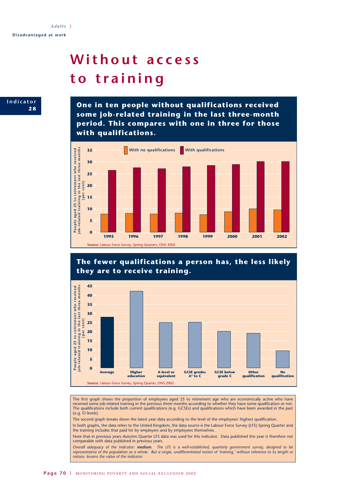# **Without access to training**



**One in ten people without qualifications received some job-related training in the last three-month period. This compares with one in three for those with qualifications.**







The first graph shows the proportion of employees aged 25 to retirement age who are economically active who have received some job-related training in the previous three months according to whether they have some qualification or not. The qualifications include both current qualifications (e.g. GCSEs) and qualifications which have been awarded in the past (e.g. O levels).

The second graph breaks down the latest year data according to the level of the employees' highest qualification.

In both graphs, the data refers to the United Kingdom, the data source is the Labour Force Survey (LFS) Spring Quarter and the training includes that paid for by employers and by employees themselves.

Note that in previous years Autumn Quarter LFS data was used for this indicator. Data published this year is therefore not comparable with data published in previous years.

*Overall adequacy of the indicator: medium. The LFS is a well-established, quarterly government survey, designed to be representative of the population as a whole. But a single, undifferentiated notion of 'training,' without reference to its length or nature, lessens the value of the indicator.*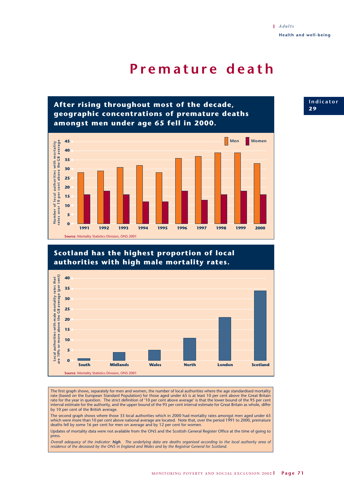## **Premature death**



## **Scotland has the highest proportion of local authorities with high male mortality rates.**



The first graph shows, separately for men and women, the number of local authorities where the age standardised mortality rate (based on the European Standard Population) for those aged under 65 is at least 10 per cent above the Great Britain rate for the year in question. The strict definition of '10 per cent above average' is that the lower bound of the 95 per cent interval estimate for the authority, and the upper bound of the 95 per cent interval estimate for Great Britain as whole, differ by 10 per cent of the British average.

The second graph shows where those 33 local authorities which in 2000 had mortality rates amongst men aged under 65 which were more than 10 per cent above national average are located. Note that, over the period 1991 to 2000, premature deaths fell by some 16 per cent for men on average and by 12 per cent for women.

Updates of mortality data were not available from the ONS and the Scottish General Register Office at the time of going to press.

*Overall adequacy of the indicator: high. The underlying data are deaths organised according to the local authority area of residence of the deceased by the ONS in England and Wales and by the Registrar General for Scotland.*

**Indicator 2 9**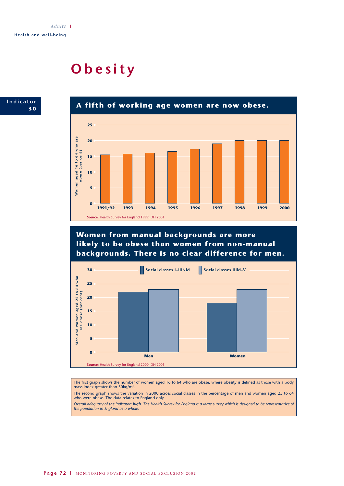## **Obesity**





**Women from manual backgrounds are more likely to be obese than women from non-manual backgrounds. There is no clear difference for men.**



The first graph shows the number of women aged 16 to 64 who are obese, where obesity is defined as those with a body mass index greater than  $30\text{kg/m}^2$ .

The second graph shows the variation in 2000 across social classes in the percentage of men and women aged 25 to 64 who were obese. The data relates to England only.

*Overall adequacy of the indicator: high. The Health Survey for England is a large survey which is designed to be representative of the population in England as a whole.*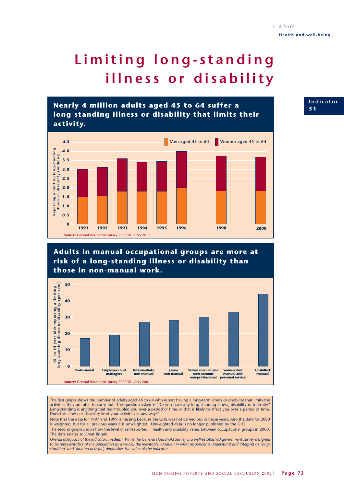# **Limiting long-standing illness or disability**

**Nearly 4 million adults aged 45 to 64 suffer a long-standing illness or disability that limits their activity.**



### **Adults in manual occupational groups are more at risk of a long-standing illness or disability than those in non-manual work.**



The first graph shows the number of adults aged 45 to 64 who report having a long-term illness or disability that limits the activities they are able to carry out. The question asked is "Do you have any long-standing illness, disability or infirmity? Long-standing is anything that has troubled you over a period of time or that is likely to affect you over a period of time. Does this illness or disability limit your activities in any way?"

Note that the data for 1997 and 1999 is missing because the GHS was not carried out in those years. Also the data for 2000 is weighted, but for all previous years it is unweighted. Unweighted data is no longer published by the GHS. The second graph shows how the level of self-reported ill health and disability varies between occupational groups in 2000. The data relates to Great Britain.

*Overall adequacy of the indicator: medium. While the General Household Survey is a well-established government survey designed to be representative of the population as a whole, the inevitable variation in what respondents understand and interpret as 'longstanding' and 'limiting activity', diminishes the value of the indicator.* 

**Indicator 3 1**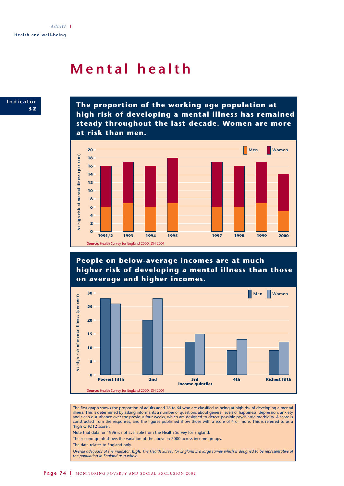## **Mental health**



**The proportion of the working age population at high risk of developing a mental illness has remained steady throughout the last decade. Women are more at risk than men.**



**People on below-average incomes are at much higher risk of developing a mental illness than those on average and higher incomes.**



The first graph shows the proportion of adults aged 16 to 64 who are classified as being at high risk of developing a mental illness. This is determined by asking informants a number of questions about general levels of happiness, depression, anxiety and sleep disturbance over the previous four weeks, which are designed to detect possible psychiatric morbidity. A score is constructed from the responses, and the figures published show those with a score of 4 or more. This is referred to as a 'high GHQ12 score'.

Note that data for 1996 is not available from the Health Survey for England.

The second graph shows the variation of the above in 2000 across income groups.

The data relates to England only.

*Overall adequacy of the indicator: high. The Health Survey for England is a large survey which is designed to be representative of the population in England as a whole.*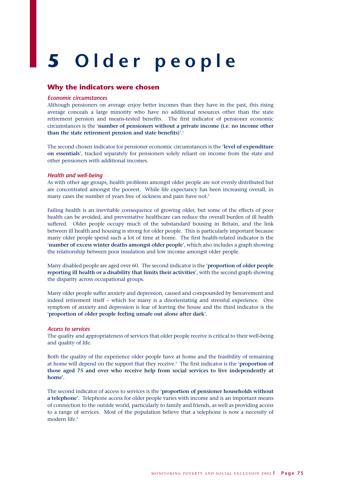# **5 Older people**

#### **Why the indicators were chosen**

#### *Economic circumstances*

Although pensioners on average enjoy better incomes than they have in the past, this rising average conceals a large minority who have no additional resources other than the state retirement pension and means-tested benefits. The first indicator of pensioner economic circumstances is the '**number of pensioners without a private income (i.e. no income other than the state retirement pension and state benefits)**'.1

The second chosen indicator for pensioner economic circumstances is the '**level of expenditure on essentials**', tracked separately for pensioners solely reliant on income from the state and other pensioners with additional incomes.

#### *Health and well-being*

As with other age groups, health problems amongst older people are not evenly distributed but are concentrated amongst the poorest. While life expectancy has been increasing overall, in many cases the number of years free of sickness and pain have not.<sup>2</sup>

Failing health is an inevitable consequence of growing older, but some of the effects of poor health can be avoided, and preventative healthcare can reduce the overall burden of ill health suffered. Older people occupy much of the substandard housing in Britain, and the link between ill health and housing is strong for older people. This is particularly important because many older people spend such a lot of time at home. The first health-related indicator is the '**number of excess winter deaths amongst older people**', which also includes a graph showing the relationship between poor insulation and low income amongst older people.

Many disabled people are aged over 60. The second indicator is the '**proportion of older people reporting ill health or a disability that limits their activities**', with the second graph showing the disparity across occupational groups.

Many older people suffer anxiety and depression, caused and compounded by bereavement and indeed retirement itself – which for many is a disorientating and stressful experience. One symptom of anxiety and depression is fear of leaving the house and the third indicator is the '**proportion of older people feeling unsafe out alone after dark**'.

#### *Access to services*

The quality and appropriateness of services that older people receive is critical to their well-being and quality of life.

Both the quality of the experience older people have at home and the feasibility of remaining at home will depend on the support that they receive.3 The first indicator is the '**proportion of those aged 75 and over who receive help from social services to live independently at home**'.

The second indicator of access to services is the '**proportion of pensioner households without a telephone**'. Telephone access for older people varies with income and is an important means of connection to the outside world, particularly to family and friends, as well as providing access to a range of services. Most of the population believe that a telephone is now a necessity of modern life.4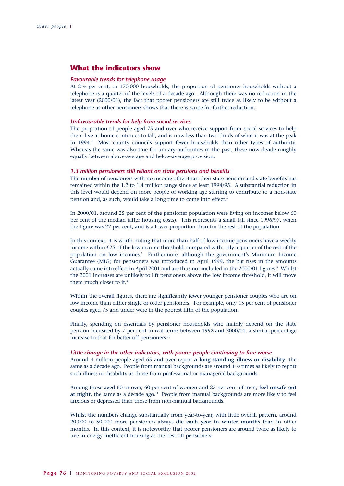### **What the indicators show**

#### *Favourable trends for telephone usage*

At 21/2 per cent, or 170,000 households, the proportion of pensioner households without a telephone is a quarter of the levels of a decade ago. Although there was no reduction in the latest year (2000/01), the fact that poorer pensioners are still twice as likely to be without a telephone as other pensioners shows that there is scope for further reduction.

#### *Unfavourable trends for help from social services*

The proportion of people aged 75 and over who receive support from social services to help them live at home continues to fall, and is now less than two-thirds of what it was at the peak in 1994.<sup>5</sup> Most county councils support fewer households than other types of authority. Whereas the same was also true for unitary authorities in the past, these now divide roughly equally between above-average and below-average provision.

#### *1.3 million pensioners still reliant on state pensions and benefits*

The number of pensioners with no income other than their state pension and state benefits has remained within the 1.2 to 1.4 million range since at least 1994/95. A substantial reduction in this level would depend on more people of working age starting to contribute to a non-state pension and, as such, would take a long time to come into effect.<sup>6</sup>

In 2000/01, around 25 per cent of the pensioner population were living on incomes below 60 per cent of the median (after housing costs). This represents a small fall since 1996/97, when the figure was 27 per cent, and is a lower proportion than for the rest of the population.

In this context, it is worth noting that more than half of low income pensioners have a weekly income within £25 of the low income threshold, compared with only a quarter of the rest of the population on low incomes.7 Furthermore, although the government's Minimum Income Guarantee (MIG) for pensioners was introduced in April 1999, the big rises in the amounts actually came into effect in April 2001 and are thus not included in the 2000/01 figures.<sup>8</sup> Whilst the 2001 increases are unlikely to lift pensioners above the low income threshold, it will move them much closer to it.<sup>9</sup>

Within the overall figures, there are significantly fewer younger pensioner couples who are on low income than either single or older pensioners. For example, only 15 per cent of pensioner couples aged 75 and under were in the poorest fifth of the population.

Finally, spending on essentials by pensioner households who mainly depend on the state pension increased by 7 per cent in real terms between 1992 and 2000/01, a similar percentage increase to that for better-off pensioners.<sup>10</sup>

#### *Little change in the other indicators, with poorer people continuing to fare worse*

Around 4 million people aged 65 and over report **a long-standing illness or disability**, the same as a decade ago. People from manual backgrounds are around 11/2 times as likely to report such illness or disability as those from professional or managerial backgrounds.

Among those aged 60 or over, 60 per cent of women and 25 per cent of men, **feel unsafe out** at night, the same as a decade ago.<sup>11</sup> People from manual backgrounds are more likely to feel anxious or depressed than those from non-manual backgrounds.

Whilst the numbers change substantially from year-to-year, with little overall pattern, around 20,000 to 50,000 more pensioners always **die each year in winter months** than in other months. In this context, it is noteworthy that poorer pensioners are around twice as likely to live in energy inefficient housing as the best-off pensioners.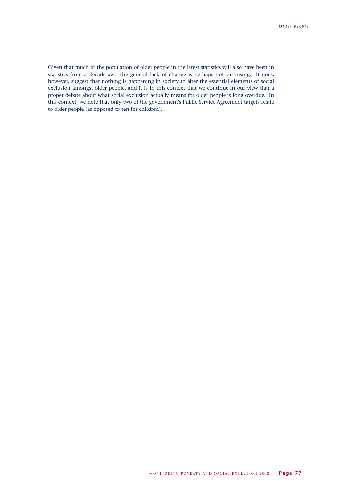Given that much of the population of older people in the latest statistics will also have been in statistics from a decade ago, the general lack of change is perhaps not surprising. It does, however, suggest that nothing is happening in society to alter the essential elements of social exclusion amongst older people, and it is in this context that we continue in our view that a proper debate about what social exclusion actually means for older people is long overdue. In this context, we note that only two of the government's Public Service Agreement targets relate to older people (as opposed to ten for children).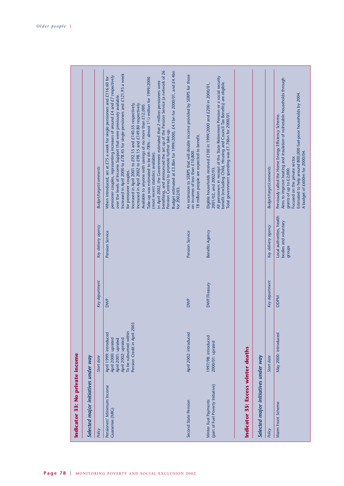| Indicator 33: No private income                           |                                                                                                                                                      |                |                                                             |                                                                                                                                                                                                                                                                                                                                                                                                                                                                                                                                                                                                                                                                                                                                                                                                                                                                                                                                                                    |
|-----------------------------------------------------------|------------------------------------------------------------------------------------------------------------------------------------------------------|----------------|-------------------------------------------------------------|--------------------------------------------------------------------------------------------------------------------------------------------------------------------------------------------------------------------------------------------------------------------------------------------------------------------------------------------------------------------------------------------------------------------------------------------------------------------------------------------------------------------------------------------------------------------------------------------------------------------------------------------------------------------------------------------------------------------------------------------------------------------------------------------------------------------------------------------------------------------------------------------------------------------------------------------------------------------|
| Selected major initiatives under way                      |                                                                                                                                                      |                |                                                             |                                                                                                                                                                                                                                                                                                                                                                                                                                                                                                                                                                                                                                                                                                                                                                                                                                                                                                                                                                    |
| Policy                                                    | Start date                                                                                                                                           | Key department | Key delivery agency                                         | Budget/target/comments                                                                                                                                                                                                                                                                                                                                                                                                                                                                                                                                                                                                                                                                                                                                                                                                                                                                                                                                             |
| Pensioners' Minimum Income<br>Guarantee (MIG)             | Pension Credit in April 2003<br>To be subsumed within<br>April 1999: introduced<br>April 2000: uprated<br>April 2001: uprated<br>April 2002: uprated | <b>DWP</b>     | Pension Service                                             | benefiting, and announced the set up of the Pension Service (a network of 26<br>Budget estimated at £3.8bn for 1999/2000, £4.1bn for 2000/01, and £4.4bn<br>Increased in April 2000 to £78.45 for single pensioners and £121.95 a week<br>pensioner couples, representing increases of around £4 and £7 respectively<br>When introduced, set at £75 a week for single pensioners and £116.60 for<br>Take-up was estimated to be 64-78% - almost 1 <sup>1</sup> /2 million for 1999/2000<br>In April 2002, the Government estimated that 2 million pensioners were<br>over the levels of Income Support that were previously available.<br>Increased in April 2001 to £92.15 and £140.55 respectively.<br>Increased in April 2002 to £98.15 and £149.80 respectively.<br>Available to anyone with savings of no more than £12,000.<br>Pension Centres) to promote further take-up.<br>(most recent statistics available).<br>for pensioner couples.<br>for 2002/03. |
| Second State Pension                                      | April 2002: introduced                                                                                                                               | <b>DWP</b>     | Pension Service                                             | An extension to SERPS that will double income provided by SERPS for those<br>18 million people are expected to benefit.<br>on incomes of less than £10,800.                                                                                                                                                                                                                                                                                                                                                                                                                                                                                                                                                                                                                                                                                                                                                                                                        |
| (part of Fuel Poverty Initiative)<br>Winter Fuel Payments | 1997/98: introduced<br>2000/01: uprated                                                                                                              | DWP/Treasury   | Benefits Agency                                             | All pensioners in receipt of the State Retirement Pension or a social security<br>benefit (excluding Child, Housing and Council Tax Benefits) are eligible.<br>Eligible households received £100 in 1999/2000 and £200 in 2000/01,<br>Total government spending was £1.76bn for 2000/01.<br>2001/02, and 2002/03.                                                                                                                                                                                                                                                                                                                                                                                                                                                                                                                                                                                                                                                  |
| Indicator 35: Excess winter deaths                        |                                                                                                                                                      |                |                                                             |                                                                                                                                                                                                                                                                                                                                                                                                                                                                                                                                                                                                                                                                                                                                                                                                                                                                                                                                                                    |
| Selected major initiatives under way                      |                                                                                                                                                      |                |                                                             |                                                                                                                                                                                                                                                                                                                                                                                                                                                                                                                                                                                                                                                                                                                                                                                                                                                                                                                                                                    |
| Policy                                                    | Start date                                                                                                                                           | Key department | Key delivery agency                                         | <b>Budget/target/comments</b>                                                                                                                                                                                                                                                                                                                                                                                                                                                                                                                                                                                                                                                                                                                                                                                                                                                                                                                                      |
| Warm Front Scheme                                         | May 2000: introduced                                                                                                                                 | ODPM           | Local authorities, health<br>bodies and voluntary<br>groups | Aims to improve heating and insulation of vulnerable households through<br>Estimated to help around 800,000 fuel-poor households by 2004.<br>Previously called the Home Energy Efficiency Scheme.<br>A budget of £600m for 2000/04.<br>Focused on the private sector.<br>grants of up to £2,000.                                                                                                                                                                                                                                                                                                                                                                                                                                                                                                                                                                                                                                                                   |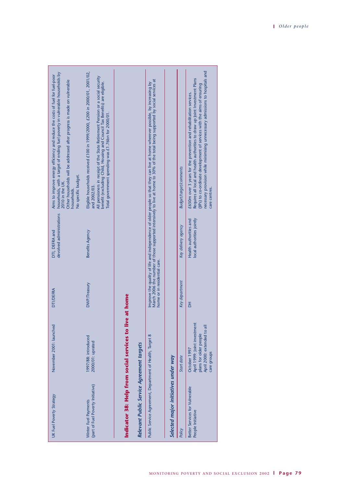| UK Fuel Poverty Strategy                                  | November 2001: launched                                                                                              | <b>DTI/DEFRA</b>             | devolved administrations<br>DTI, DEFRA and          | households, with a target of ending fuel poverty in vulnerable households by<br>Aims to improve energy efficiency and reduce the costs of fuel for fuel-poor<br>Other households will be addressed after progress is made on vulnerable<br>No specific budget.<br>2010 in the UK.<br>households.                              |
|-----------------------------------------------------------|----------------------------------------------------------------------------------------------------------------------|------------------------------|-----------------------------------------------------|-------------------------------------------------------------------------------------------------------------------------------------------------------------------------------------------------------------------------------------------------------------------------------------------------------------------------------|
| (part of Fuel Poverty Initiative)<br>Winter Fuel Payments | 1997/88: introduced<br>2000/01: uprated                                                                              | DWP/Treasury                 | Benefits Agency                                     | Eligible households received £100 in 1999/2000, £200 in 2000/01, 2001/02,<br>All pensioners in receipt of the State Retirement Pension or a social security<br>benefit (excluding Child, Housing and Council Tax Benefits) are eligible.<br>Total government spending was £1.76bn for 2000/01.<br>and 2002/03.                |
| Relevant Public Service Agreement targets                 | Indicator 38: Help from social services to live at home                                                              |                              |                                                     |                                                                                                                                                                                                                                                                                                                               |
| Public Service Agreement, Department of Health, Target 8  |                                                                                                                      | home or in residential care. |                                                     | March 2006 the number of those supported intensively to live at home to 30% of the total being supported by social services at<br>Improve the quality of life and independence of older people so that they can live at home wherever possible, by increasing by                                                              |
| Selected major initiatives under way                      |                                                                                                                      |                              |                                                     |                                                                                                                                                                                                                                                                                                                               |
| Policy                                                    | Start date                                                                                                           | Key department               | Key delivery agency                                 | <b>Budget/target/comments</b>                                                                                                                                                                                                                                                                                                 |
| Better Services for Vulnerable<br>People Initiative       | April 1999: Joint investment<br>April 2000: extended to all<br>plans for older people<br>October 1997<br>care groups | 품                            | local authorities jointly<br>Health authorities and | necessary provision while minimising unnecessary admissions to hospitals and<br>Requires all local and health authorities to draw up Joint Investment Plans<br>(JIPs) to co-ordinate development of services with the aims of ensuring<br>£650m over 3 years for the prevention and rehabilitation services.<br>care centres. |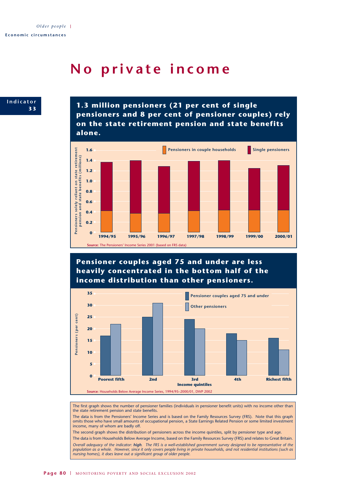## **No private income**

**Indicator 3 3**

**1.3 million pensioners (21 per cent of single pensioners and 8 per cent of pensioner couples) rely on the state retirement pension and state benefits alone.**



**Pensioner couples aged 75 and under are less heavily concentrated in the bottom half of the income distribution than other pensioners.**



The first graph shows the number of pensioner families (individuals in pensioner benefit units) with no income other than the state retirement pension and state benefits.

The data is from the Pensioners' Income Series and is based on the Family Resources Survey (FRS). Note that this graph omits those who have small amounts of occupational pension, a State Earnings Related Pension or some limited investment income, many of whom are badly off.

The second graph shows the distribution of pensioners across the income quintiles, split by pensioner type and age.

The data is from Households Below Average Income, based on the Family Resources Survey (FRS) and relates to Great Britain. *Overall adequacy of the indicator: high. The FRS is a well-established government survey designed to be representative of the population as a whole. However, since it only covers people living in private households, and not residential institutions (such as nursing homes), it does leave out a significant group of older people.*

Page 80 | MONITORING POVERTY AND SOCIAL EXCLUSION 2002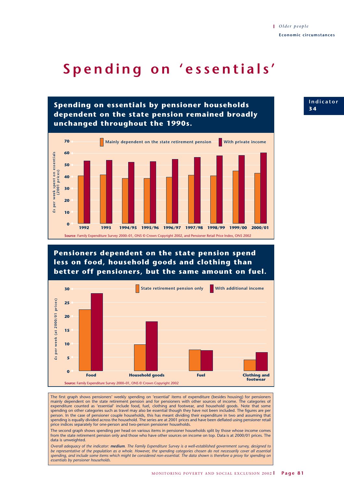## **Spending on 'essentials'**



### **Pensioners dependent on the state pension spend less on food, household goods and clothing than better off pensioners, but the same amount on fuel.**



The first graph shows pensioners' weekly spending on 'essential' items of expenditure (besides housing) for pensioners mainly dependent on the state retirement pension and for pensioners with other sources of income. The categories of expenditure counted as 'essential' include food, fuel, clothing and footwear, and household goods. Note that some spending on other categories such as travel may also be essential though they have not been included. The figures are per person. In the case of pensioner couple households, this has meant dividing their expenditure in two and assuming that spending is equally divided across the household. The series are at 2001 prices and have been deflated using pensioner retail price indices separately for one-person and two-person pensioner households.

The second graph shows spending per head on various items in pensioner households split by those whose income comes from the state retirement pension only and those who have other sources on income on top. Data is at 2000/01 prices. The data is unweighted.

*Overall adequacy of the indicator: medium. The Family Expenditure Survey is a well-established government survey, designed to be representative of the population as a whole. However, the spending categories chosen do not necessarily cover all essential spending, and include some items which might be considered non-essential. The data shown is therefore a proxy for spending on essentials by pensioner households.*

**Indicator 3 4**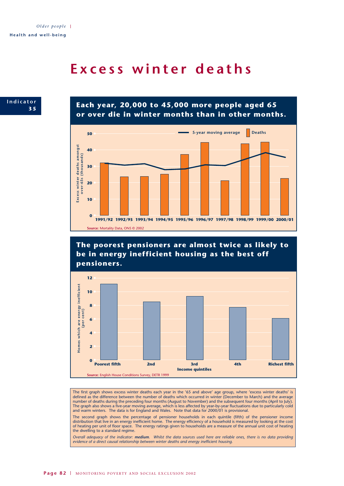### **Excess winter deaths**



**Each year, 20,000 to 45,000 more people aged 65 or over die in winter months than in other months.**



**The poorest pensioners are almost twice as likely to be in energy inefficient housing as the best off pensioners.**



The first graph shows excess winter deaths each year in the '65 and above' age group, where 'excess winter deaths' is defined as the difference between the number of deaths which occurred in winter (December to March) and the average number of deaths during the preceding four months (August to November) and the subsequent four months (April to July). The graph also shows a five-year moving average, which is less affected by year-by-year fluctuations due to particularly cold and warm winters. The data is for England and Wales. Note that data for 2000/01 is provisional.

The second graph shows the percentage of pensioner households in each quintile (fifth) of the pensioner income distribution that live in an energy inefficient home. The energy efficiency of a household is measured by looking at the cost of heating per unit of floor space. The energy ratings given to households are a measure of the annual unit cost of heating the dwelling to a standard regime.

*Overall adequacy of the indicator: medium. Whilst the data sources used here are reliable ones, there is no data providing evidence of a direct causal relationship between winter deaths and energy inefficient housing.*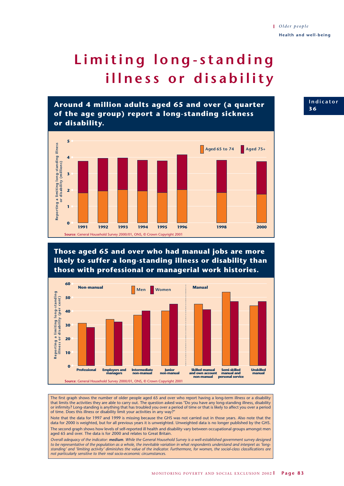## **Limiting long-standing illness or disability**



**Those aged 65 and over who had manual jobs are more likely to suffer a long-standing illness or disability than those with professional or managerial work histories.**



The first graph shows the number of older people aged 65 and over who report having a long-term illness or a disability that limits the activities they are able to carry out. The question asked was "Do you have any long-standing illness, disability<br>or infirmity? Long-standing is anything that has troubled you over a period of time or that i of time. Does this illness or disability limit your activities in any way?

Note that the data for 1997 and 1999 is missing because the GHS was not carried out in those years. Also note that the data for 2000 is weighted, but for all previous years it is unweighted. Unweighted data is no longer published by the GHS. The second graph shows how levels of self-reported ill health and disability vary between occupational groups amongst men aged 65 and over. The data is for 2000 and relates to Great Britain.

*Overall adequacy of the indicator: medium. While the General Household Survey is a well-established government survey designed* to be representative of the population as a whole, the inevitable variation in what respondents understand and interpret as 'long-<br>standing' and 'limiting activity' diminishes the value of the indicator. Furthermore, for w *not particularly sensitive to their real socio-economic circumstances.* 

**Indicator 3 6**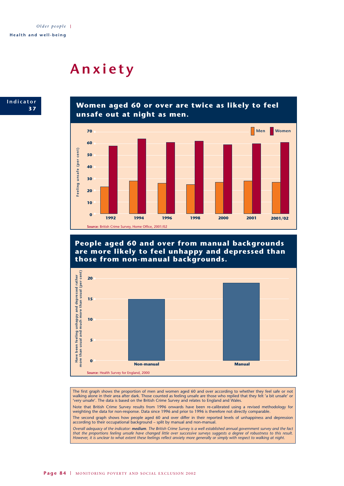## **Anxiety**



**Women aged 60 or over are twice as likely to feel unsafe out at night as men.**



**People aged 60 and over from manual backgrounds are more likely to feel unhappy and depressed than those from non-manual backgrounds.**



The first graph shows the proportion of men and women aged 60 and over according to whether they feel safe or not walking alone in their area after dark. Those counted as feeling unsafe are those who replied that they felt 'a bit unsafe' or 'very unsafe'. The data is based on the British Crime Survey and relates to England and Wales.

Note that British Crime Survey results from 1996 onwards have been re-calibrated using a revised methodology for weighting the data for non-response. Data since 1996 and prior to 1996 is therefore not directly comparable.

The second graph shows how people aged 60 and over differ in their reported levels of unhappiness and depression according to their occupational background – split by manual and non-manual.

*Overall adequacy of the indicator: medium. The British Crime Survey is a well established annual government survey and the fact that the proportions feeling unsafe have changed little over successive surveys suggests a degree of robustness to this result. However, it is unclear to what extent these feelings reflect anxiety more generally or simply with respect to walking at night.*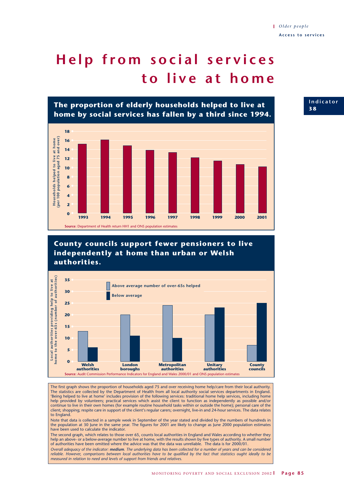# **Help from social services to live at home**



**County councils support fewer pensioners to live independently at home than urban or Welsh authorities.**



The first graph shows the proportion of households aged 75 and over receiving home help/care from their local authority. The statistics are collected by the Department of Health from all local authority social services departments in England. 'Being helped to live at home' includes provision of the following services: traditional home help services, including home help provided by volunteers; practical services which assist the client to function as independently as possible and/or continue to live in their own homes (for example routine household tasks within or outside the home); personal care of the client; shopping; respite care in support of the client's regular carers; overnight, live-in and 24-hour services. The data relates to England.

Note that data is collected in a sample week in September of the year stated and divided by the numbers of hundreds in the population at 30 June in the same year. The figures for 2001 are likely to change as June 2000 population estimates have been used to calculate the indicator.

The second graph, which relates to those over 65, counts local authorities in England and Wales according to whether they help an above- or a below-average number to live at home, with the results shown by five types of authority. A small number of authorities have been omitted where the advice was that the data was unreliable. The data is for 2000/01.

*Overall adequacy of the indicator: medium. The underlying data has been collected for a number of years and can be considered reliable. However, comparisons between local authorities have to be qualified by the fact that statistics ought ideally to be measured in relation to need and levels of support from friends and relatives.* 

**Indicator 3 8**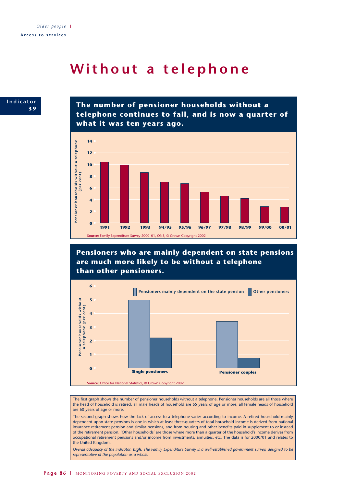### **Without a telephone**



**The number of pensioner households without a telephone continues to fall, and is now a quarter of what it was ten years ago.**



**Pensioners who are mainly dependent on state pensions are much more likely to be without a telephone than other pensioners.**



The first graph shows the number of pensioner households without a telephone. Pensioner households are all those where the head of household is retired: all male heads of household are 65 years of age or more; all female heads of household are 60 years of age or more.

The second graph shows how the lack of access to a telephone varies according to income. A retired household mainly dependent upon state pensions is one in which at least three-quarters of total household income is derived from national insurance retirement pension and similar pensions, and from housing and other benefits paid in supplement to or instead of the retirement pension. 'Other households' are those where more than a quarter of the household's income derives from occupational retirement pensions and/or income from investments, annuities, etc. The data is for 2000/01 and relates to the United Kingdom.

*Overall adequacy of the indicator: high. The Family Expenditure Survey is a well-established government survey, designed to be representative of the population as a whole.*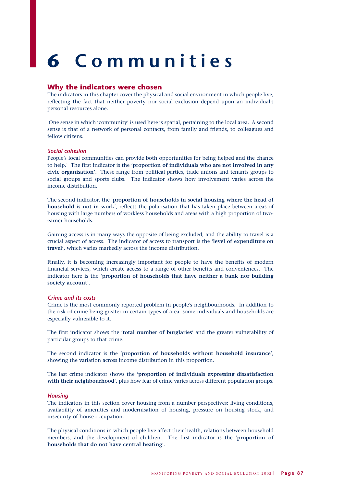# **6 Communities**

#### **Why the indicators were chosen**

The indicators in this chapter cover the physical and social environment in which people live, reflecting the fact that neither poverty nor social exclusion depend upon an individual's personal resources alone.

One sense in which 'community' is used here is spatial, pertaining to the local area. A second sense is that of a network of personal contacts, from family and friends, to colleagues and fellow citizens.

#### *Social cohesion*

People's local communities can provide both opportunities for being helped and the chance to help.1 The first indicator is the '**proportion of individuals who are not involved in any civic organisation**'. These range from political parties, trade unions and tenants groups to social groups and sports clubs. The indicator shows how involvement varies across the income distribution.

The second indicator, the '**proportion of households in social housing where the head of household is not in work**', reflects the polarisation that has taken place between areas of housing with large numbers of workless households and areas with a high proportion of twoearner households.

Gaining access is in many ways the opposite of being excluded, and the ability to travel is a crucial aspect of access. The indicator of access to transport is the '**level of expenditure on travel'**, which varies markedly across the income distribution.

Finally, it is becoming increasingly important for people to have the benefits of modern financial services, which create access to a range of other benefits and conveniences. The indicator here is the '**proportion of households that have neither a bank nor building society account**'.

#### *Crime and its costs*

Crime is the most commonly reported problem in people's neighbourhoods. In addition to the risk of crime being greater in certain types of area, some individuals and households are especially vulnerable to it.

The first indicator shows the '**total number of burglaries**' and the greater vulnerability of particular groups to that crime.

The second indicator is the '**proportion of households without household insurance**', showing the variation across income distribution in this proportion.

The last crime indicator shows the '**proportion of individuals expressing dissatisfaction with their neighbourhood**', plus how fear of crime varies across different population groups.

#### *Housing*

The indicators in this section cover housing from a number perspectives: living conditions, availability of amenities and modernisation of housing, pressure on housing stock, and insecurity of house occupation.

The physical conditions in which people live affect their health, relations between household members, and the development of children. The first indicator is the '**proportion of households that do not have central heating**'.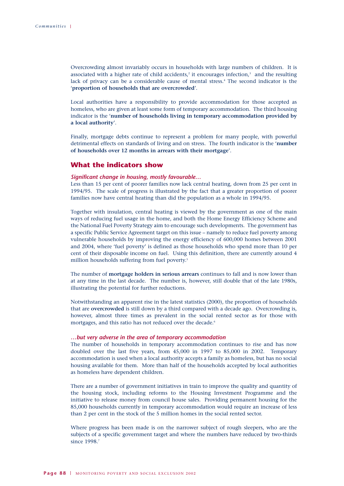Overcrowding almost invariably occurs in households with large numbers of children. It is associated with a higher rate of child accidents, $2$  it encourages infection, $3$  and the resulting lack of privacy can be a considerable cause of mental stress.4 The second indicator is the '**proportion of households that are overcrowded**'.

Local authorities have a responsibility to provide accommodation for those accepted as homeless, who are given at least some form of temporary accommodation. The third housing indicator is the '**number of households living in temporary accommodation provided by a local authority**'.

Finally, mortgage debts continue to represent a problem for many people, with powerful detrimental effects on standards of living and on stress. The fourth indicator is the '**number of households over 12 months in arrears with their mortgage**'.

#### **What the indicators show**

#### *Significant change in housing, mostly favourable…*

Less than 15 per cent of poorer families now lack central heating, down from 25 per cent in 1994/95. The scale of progress is illustrated by the fact that a greater proportion of poorer families now have central heating than did the population as a whole in 1994/95.

Together with insulation, central heating is viewed by the government as one of the main ways of reducing fuel usage in the home, and both the Home Energy Efficiency Scheme and the National Fuel Poverty Strategy aim to encourage such developments. The government has a specific Public Service Agreement target on this issue – namely to reduce fuel poverty among vulnerable households by improving the energy efficiency of 600,000 homes between 2001 and 2004, where 'fuel poverty' is defined as those households who spend more than 10 per cent of their disposable income on fuel. Using this definition, there are currently around 4 million households suffering from fuel poverty.<sup>5</sup>

The number of **mortgage holders in serious arrears** continues to fall and is now lower than at any time in the last decade. The number is, however, still double that of the late 1980s, illustrating the potential for further reductions.

Notwithstanding an apparent rise in the latest statistics (2000), the proportion of households that are **overcrowded** is still down by a third compared with a decade ago. Overcrowding is, however, almost three times as prevalent in the social rented sector as for those with mortgages, and this ratio has not reduced over the decade.<sup>6</sup>

#### *…but very adverse in the area of temporary accommodation*

The number of households in temporary accommodation continues to rise and has now doubled over the last five years, from 45,000 in 1997 to 85,000 in 2002. Temporary accommodation is used when a local authority accepts a family as homeless, but has no social housing available for them. More than half of the households accepted by local authorities as homeless have dependent children.

There are a number of government initiatives in train to improve the quality and quantity of the housing stock, including reforms to the Housing Investment Programme and the initiative to release money from council house sales. Providing permanent housing for the 85,000 households currently in temporary accommodation would require an increase of less than 2 per cent in the stock of the 5 million homes in the social rented sector.

Where progress has been made is on the narrower subject of rough sleepers, who are the subjects of a specific government target and where the numbers have reduced by two-thirds since 1998.<sup>7</sup>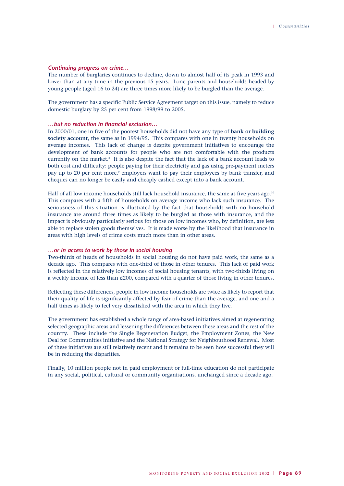#### *Continuing progress on crime…*

The number of burglaries continues to decline, down to almost half of its peak in 1993 and lower than at any time in the previous 15 years. Lone parents and households headed by young people (aged 16 to 24) are three times more likely to be burgled than the average.

The government has a specific Public Service Agreement target on this issue, namely to reduce domestic burglary by 25 per cent from 1998/99 to 2005.

#### *…but no reduction in financial exclusion…*

In 2000/01, one in five of the poorest households did not have any type of **bank or building society account**, the same as in 1994/95. This compares with one in twenty households on average incomes. This lack of change is despite government initiatives to encourage the development of bank accounts for people who are not comfortable with the products currently on the market.<sup>8</sup> It is also despite the fact that the lack of a bank account leads to both cost and difficulty: people paying for their electricity and gas using pre-payment meters pay up to 20 per cent more,<sup>9</sup> employers want to pay their employees by bank transfer, and cheques can no longer be easily and cheaply cashed except into a bank account.

Half of all low income households still lack household insurance, the same as five years ago.<sup>10</sup> This compares with a fifth of households on average income who lack such insurance. The seriousness of this situation is illustrated by the fact that households with no household insurance are around three times as likely to be burgled as those with insurance, and the impact is obviously particularly serious for those on low incomes who, by definition, are less able to replace stolen goods themselves. It is made worse by the likelihood that insurance in areas with high levels of crime costs much more than in other areas.

#### *…or in access to work by those in social housing*

Two-thirds of heads of households in social housing do not have paid work, the same as a decade ago. This compares with one-third of those in other tenures. This lack of paid work is reflected in the relatively low incomes of social housing tenants, with two-thirds living on a weekly income of less than £200, compared with a quarter of those living in other tenures.

Reflecting these differences, people in low income households are twice as likely to report that their quality of life is significantly affected by fear of crime than the average, and one and a half times as likely to feel very dissatisfied with the area in which they live.

The government has established a whole range of area-based initiatives aimed at regenerating selected geographic areas and lessening the differences between these areas and the rest of the country. These include the Single Regeneration Budget, the Employment Zones, the New Deal for Communities initiative and the National Strategy for Neighbourhood Renewal. Most of these initiatives are still relatively recent and it remains to be seen how successful they will be in reducing the disparities.

Finally, 10 million people not in paid employment or full-time education do not participate in any social, political, cultural or community organisations, unchanged since a decade ago.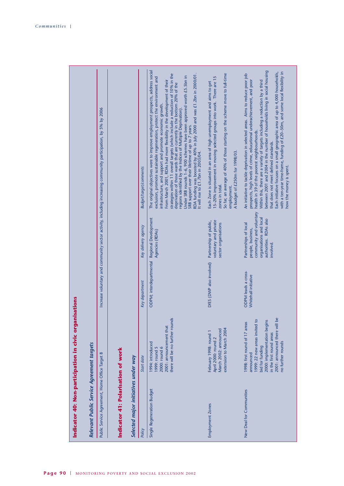|                                                        |                                           | Increase voluntary and community sector activity, including increasing community participation, by 5% by 2006 |                                    |                                      | <b>Budget/target/comments</b> | The original objectives were to improve employment prospects, address social<br>strategies within 11 overall targets (which include a reduction of 10% in the<br>RDA funding was boosted by 40% in July 2000 and was £1.2bn in 2000/01.<br>Under SRB rounds 1-6, 900 schemes have been approved worth £5.5bn in<br>exclusion, promote sustainable regeneration, protect the environment and<br>From March 2001, RDAs had more flexibility in the development of their<br>deprivation of those wards that are currently in the bottom 20% of the<br>infrastructure, and support and promote economic growth.<br>regions identified by the Indices of Multiple Deprivation)<br>SRB support over their lifetime of up to 7 years.<br>It will rise to £1.7bn in 2003/04. | So far, an average of 40% of those starting on the scheme move to full-time<br>15-20% improvement in moving selected groups into work. There are 15<br>Each Zone is situated in an area of high unemployment and aims to get<br>A budget of £250m for 1998/03.<br>zones in total.<br>employment. | between 2001 and 2004 in the number of households living in social housing<br>with a ten-year time-frame, funding of £20-50m, and some local flexibility in<br>Each initiative focuses on a small geographic area of up to 4,000 households,<br>An initiative to tackle deprivation in selected areas. Aims to reduce poor job<br>prospects, high levels of crime, educational underachievement, and poor<br>Within this, there are a variety of targets including a reduction by a third<br>health in 39 of the poorest neighbourhoods.<br>that does not meet defined standards. |
|--------------------------------------------------------|-------------------------------------------|---------------------------------------------------------------------------------------------------------------|------------------------------------|--------------------------------------|-------------------------------|----------------------------------------------------------------------------------------------------------------------------------------------------------------------------------------------------------------------------------------------------------------------------------------------------------------------------------------------------------------------------------------------------------------------------------------------------------------------------------------------------------------------------------------------------------------------------------------------------------------------------------------------------------------------------------------------------------------------------------------------------------------------|--------------------------------------------------------------------------------------------------------------------------------------------------------------------------------------------------------------------------------------------------------------------------------------------------|-----------------------------------------------------------------------------------------------------------------------------------------------------------------------------------------------------------------------------------------------------------------------------------------------------------------------------------------------------------------------------------------------------------------------------------------------------------------------------------------------------------------------------------------------------------------------------------|
|                                                        |                                           |                                                                                                               |                                    |                                      | Key delivery agency           | Regional Development<br>Agencies (RDAs)                                                                                                                                                                                                                                                                                                                                                                                                                                                                                                                                                                                                                                                                                                                              | voluntary and private<br>Partnership of public,<br>sector organisations                                                                                                                                                                                                                          | community and voluntary<br>organisations and local<br>authorities. RDAs also<br>Partnerships of local<br>people, business,<br>involved                                                                                                                                                                                                                                                                                                                                                                                                                                            |
|                                                        |                                           |                                                                                                               |                                    |                                      | Key department                | ODPM; interdepartmental                                                                                                                                                                                                                                                                                                                                                                                                                                                                                                                                                                                                                                                                                                                                              | DfES (DWP also involved)                                                                                                                                                                                                                                                                         | <b>ODPM</b> leads a cross-<br>Whitehall initiative                                                                                                                                                                                                                                                                                                                                                                                                                                                                                                                                |
|                                                        |                                           |                                                                                                               |                                    |                                      | Start date                    | there will be no further rounds<br>2001: announcement that<br>1994: introduced<br>2000: round 6<br>1999: round 5                                                                                                                                                                                                                                                                                                                                                                                                                                                                                                                                                                                                                                                     | extension to March 2004<br>March 2002: announced<br>February 1998: round 1<br>April 2000: round 2                                                                                                                                                                                                | 2001: announced there will be<br>1999: 22 new areas invited to<br>2000: implementation begins<br>1998: first round of 17 areas<br>in the first round areas<br>no further rounds<br>bid for funding<br>announced                                                                                                                                                                                                                                                                                                                                                                   |
| Indicator 40: Non-participation in civic organisations | Relevant Public Service Agreement targets | Public Service Agreement, Home Office Target 8                                                                | Indicator 41: Polarisation of work | Selected major initiatives under way | Policy                        | Single Regeneration Budget                                                                                                                                                                                                                                                                                                                                                                                                                                                                                                                                                                                                                                                                                                                                           | <b>Employment Zones</b>                                                                                                                                                                                                                                                                          | New Deal for Communities                                                                                                                                                                                                                                                                                                                                                                                                                                                                                                                                                          |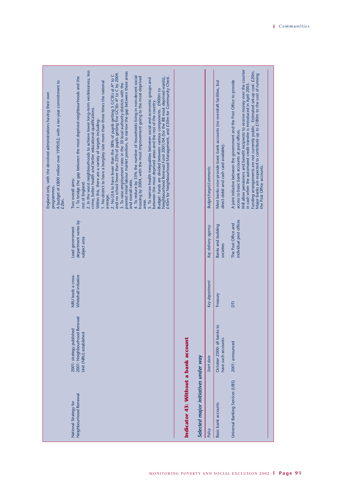| A budget of £800 million over 1999/02, with a ten-year commitment to<br>England only, with the devolved administrations having their own<br>programmes.<br>£2bn. | 2. In the worst neighbourhoods to achieve lower long-term worklessness, less<br>poorest initial labour market position, to narrow the gap between these areas<br>2. No LEA to have fewer than the 38% of pupils getting 5 GCSEs at A* to C<br>and no school fewer than 25% of pupils getting five GCSEs A* to C by 2004.<br>4. To reduce by 33% the number of households living in non-decent social<br>1. To bridge the gap between the most deprived neighbourhoods and the<br>housing by 2004, with the most improvement going to the most deprived<br>£45m for Neighbourhood Management, and £50m for Community Chest.<br>Neighbourhood Renewal Fund 2001/04 (for the 88 most deprived wards),<br>5. To narrow health inequalities between social and economic groups and<br>1. No district to have a burglary rate more than three times the national<br>3. To raise employment rates in the 30 local authority districts with the<br>Budget: funds are divided between various components. £900m to<br>between the most deprived areas and the rest of the country.<br>crime, better health and better educational qualifications.<br>Within this, there are a variety of targets including:<br>Two overall aims:<br>and overall rates.<br>rest of England.<br>average.<br>areas. |                                                                              | <b>Budget/target/comments</b> | Most banks now provide basic bank accounts (no overdraft facilities, but<br>direct debit and cash card available). | Will allow pensioners and benefit recipients to receive money over the counter<br>Funding arrangements are not currently public. Estimated set-up cost: £20m.<br>Major banks are expected to contribute up to £180m to the cost of running<br>A joint initiative between the government and the Post Office to provide<br>in cash when the automated credit transfer is introduced in April 2003.<br>access to basic bank accounts at post offices.<br>the Post Office accounts. |
|------------------------------------------------------------------------------------------------------------------------------------------------------------------|-----------------------------------------------------------------------------------------------------------------------------------------------------------------------------------------------------------------------------------------------------------------------------------------------------------------------------------------------------------------------------------------------------------------------------------------------------------------------------------------------------------------------------------------------------------------------------------------------------------------------------------------------------------------------------------------------------------------------------------------------------------------------------------------------------------------------------------------------------------------------------------------------------------------------------------------------------------------------------------------------------------------------------------------------------------------------------------------------------------------------------------------------------------------------------------------------------------------------------------------------------------------------------------------|------------------------------------------------------------------------------|-------------------------------|--------------------------------------------------------------------------------------------------------------------|----------------------------------------------------------------------------------------------------------------------------------------------------------------------------------------------------------------------------------------------------------------------------------------------------------------------------------------------------------------------------------------------------------------------------------------------------------------------------------|
|                                                                                                                                                                  | department varies by<br>Lead government<br>subject area                                                                                                                                                                                                                                                                                                                                                                                                                                                                                                                                                                                                                                                                                                                                                                                                                                                                                                                                                                                                                                                                                                                                                                                                                                 |                                                                              | Key delivery agency           | Banks and building<br>societies                                                                                    | individual post offices<br>The Post Office and                                                                                                                                                                                                                                                                                                                                                                                                                                   |
|                                                                                                                                                                  | Whitehall initiative<br>NRU leads a cross-                                                                                                                                                                                                                                                                                                                                                                                                                                                                                                                                                                                                                                                                                                                                                                                                                                                                                                                                                                                                                                                                                                                                                                                                                                              |                                                                              | Key department                | Treasury                                                                                                           | $\overline{5}$                                                                                                                                                                                                                                                                                                                                                                                                                                                                   |
|                                                                                                                                                                  | 2001: Neighbourhood Renewal<br>2001: strategy published<br>Unit (NRU) established                                                                                                                                                                                                                                                                                                                                                                                                                                                                                                                                                                                                                                                                                                                                                                                                                                                                                                                                                                                                                                                                                                                                                                                                       |                                                                              | Start date                    | October 2000: all banks to<br>have such accounts                                                                   | 2001: announced                                                                                                                                                                                                                                                                                                                                                                                                                                                                  |
|                                                                                                                                                                  | Neighbourhood Renewal<br>National Strategy for                                                                                                                                                                                                                                                                                                                                                                                                                                                                                                                                                                                                                                                                                                                                                                                                                                                                                                                                                                                                                                                                                                                                                                                                                                          | Indicator 43: Without a bank account<br>Selected major initiatives under way | Policy                        | Basic bank accounts                                                                                                | Universal Banking Services (UBS)                                                                                                                                                                                                                                                                                                                                                                                                                                                 |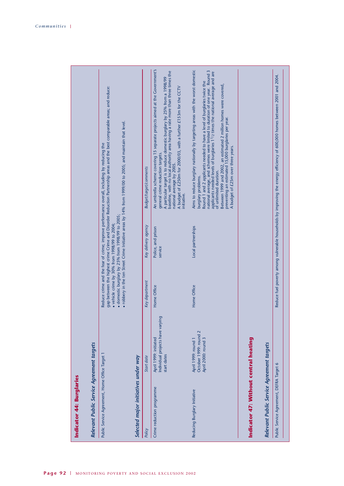| April 1999: initiated<br>Relevant Public Service Agreement targets<br>Public Service Agreement, Home Office Target 1<br>Selected major initiatives under way<br>Start date<br>Crime reduction programme<br>Policy |                |                                                                                                  |                                                                                                                                                                                                                                                                                                                                                                                                                                                                                                                                                          |
|-------------------------------------------------------------------------------------------------------------------------------------------------------------------------------------------------------------------|----------------|--------------------------------------------------------------------------------------------------|----------------------------------------------------------------------------------------------------------------------------------------------------------------------------------------------------------------------------------------------------------------------------------------------------------------------------------------------------------------------------------------------------------------------------------------------------------------------------------------------------------------------------------------------------------|
|                                                                                                                                                                                                                   |                | · domestic burglary by 25% from 1998/99 to 2005;<br>· vehicle crime by 30% from 1998/99 to 2004; | gap between the highest crime Crime and Disorder Reduction Partnership areas and the best comparable areas; and reduce:<br>· robbery in the ten Street Crime Initiative areas by 14% from 1999/00 to 2005; and maintain that level.<br>Reduce crime and the fear of crime; improve performance overall, including by reducing the                                                                                                                                                                                                                        |
|                                                                                                                                                                                                                   | Key department | Key delivery agency                                                                              | <b>Budget/target/comments</b>                                                                                                                                                                                                                                                                                                                                                                                                                                                                                                                            |
| Individual projects have varying<br>start dates                                                                                                                                                                   | Home Office    | Police, and prison<br>service                                                                    | An umbrella scheme covering 15 separate projects aimed at the Government's<br>baseline, with no local authority area having a rate more than three times the<br>A particular target is to reduce domestic burglary by 25% from a 1998/99<br>A budget of £250m for 2000/03, with a further £153m for the CCTV<br>general crime reduction targets.<br>national average by 2005.<br>initiative.                                                                                                                                                             |
| 2<br>October 1999: round<br>April 2000: round 3<br>April 1999: round 1<br>Reducing Burglary Initiative                                                                                                            | Home Office    | Local partnerships                                                                               | Aims to reduce burglary nationally by targeting areas with the worst domestic<br>national average, and schemes were limited to duration of one year. Round 3<br>applicants needed levels of burglaries 1 <sup>1</sup> /2 times the national average and are<br>Round 1 and 2 applicants needed to have a level of burglaries twice the<br>Between 1999 and 2002, an estimated 2 million homes were covered,<br>preventing an estimated 15,000 burglaries per year.<br>A budget of £25m over three years.<br>of unlimited duration.<br>burglary problems. |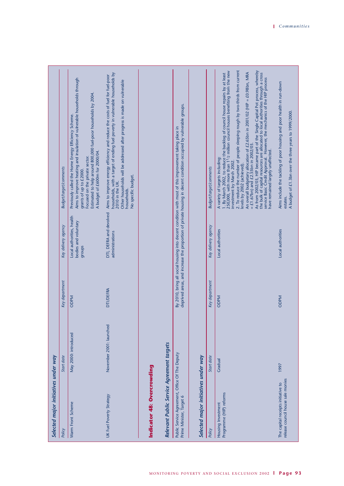| Selected major initiatives under way                                       |                         |                  |                                                             |                                                                                                                                                                                                                                                                                                                                                                                                                                                                                                                                                                                                                                                                                                                                                        |
|----------------------------------------------------------------------------|-------------------------|------------------|-------------------------------------------------------------|--------------------------------------------------------------------------------------------------------------------------------------------------------------------------------------------------------------------------------------------------------------------------------------------------------------------------------------------------------------------------------------------------------------------------------------------------------------------------------------------------------------------------------------------------------------------------------------------------------------------------------------------------------------------------------------------------------------------------------------------------------|
| Policy                                                                     | Start date              | Key department   | Key delivery agency                                         | Budget/target/comments                                                                                                                                                                                                                                                                                                                                                                                                                                                                                                                                                                                                                                                                                                                                 |
| Warm Front Scheme                                                          | May 2000: introduced    | <b>NdQO</b>      | Local authorities, health<br>bodies and voluntary<br>groups | Aims to improve heating and insulation of vulnerable households through<br>Estimated to help around 800,000 fuel-poor households by 2004.<br>Previously called the Home Energy Efficiency Scheme.<br>A budget of £600m for 2000/04.<br>Focused on the private sector.<br>grants of up to £2000.                                                                                                                                                                                                                                                                                                                                                                                                                                                        |
| UK Fuel Poverty Strategy                                                   | November 2001: launched | <b>DTI/DEFRA</b> | DTI, DEFRA and devolved<br>administrations                  | households, with a target of ending fuel poverty in vulnerable households by<br>Aims to improve energy efficiency and reduce the costs of fuel for fuel-poor<br>Other households will be addressed after progress is made on vulnerable<br>No specific budget.<br>2010 in the UK.<br>households.                                                                                                                                                                                                                                                                                                                                                                                                                                                       |
| Indicator 48: Overcrowding                                                 |                         |                  |                                                             |                                                                                                                                                                                                                                                                                                                                                                                                                                                                                                                                                                                                                                                                                                                                                        |
| Relevant Public Service Agreement targets                                  |                         |                  |                                                             |                                                                                                                                                                                                                                                                                                                                                                                                                                                                                                                                                                                                                                                                                                                                                        |
| Public Service Agreement, Office Of The Deputy<br>Prime Minister, Target 6 |                         |                  |                                                             | deprived areas, and increase the proportion of private housing in decent condition occupied by vulnerable groups.<br>By 2010, bring all social housing into decent condition with most of this improvement taking place in                                                                                                                                                                                                                                                                                                                                                                                                                                                                                                                             |
| Selected major initiatives under way                                       |                         |                  |                                                             |                                                                                                                                                                                                                                                                                                                                                                                                                                                                                                                                                                                                                                                                                                                                                        |
| Policy                                                                     | Start date              | Key department   | Key delivery agency                                         | <b>Budget/target/comments</b>                                                                                                                                                                                                                                                                                                                                                                                                                                                                                                                                                                                                                                                                                                                          |
| Programme (HIP) reforms<br>Housing Investment                              | Gradual                 | <b>ODPM</b>      | Local authorities                                           | 2. To reduce the number of people sleeping rough by two-thirds from current<br>As from 2002/03, HIP became part of the Single Capital Pot process, whereby<br>1. By March 2002, to reduce the backlog of council house repairs by at least<br>250,000, with more than $1^{1}/2$ million council houses benefiting from the new<br>An overall budgetary allocation of £2.65bn in 2001/02 (HIP = £0.98bn, MRA<br>the bulk of capital resources are allocated to local authorities through a cross<br>service Basic Credit Approval. However, the mechanics of the HIP process<br>have remained largely unaffected.<br>$=$ £1.67bn) and £2.55bn in 2002/03.<br>A variety of targets including:<br>investment by March 2002.<br>levels by 2002 (achieved). |
| release council house sale monies<br>The capital receipts initiative to    | 1997                    | <b>ODPM</b>      | Local authorities                                           | Aims include the tackling of poor housing and poor health in run-down<br>A budget of £1.3bn over the three years to 1999/2000.<br>estates.                                                                                                                                                                                                                                                                                                                                                                                                                                                                                                                                                                                                             |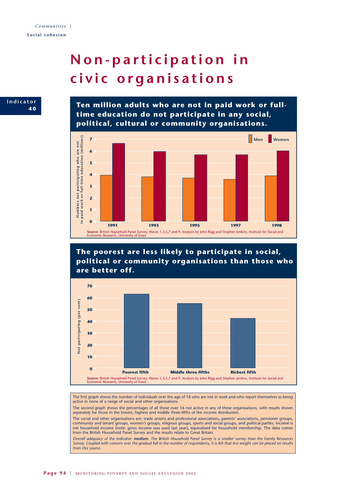# **Non-participation in civic organisations**

<sup>tor</sup> **Ten million adults who are not in paid work or fulltime education do not participate in any social, political, cultural or community organisations.**



**The poorest are less likely to participate in social, political or community organisations than those who are better off.**



The first graph shows the number of individuals over the age of 16 who are not in work and who report themselves as being active in none of a range of social and other organisations.

The second graph shows the percentages of all those over 16 not active in any of these organisations, with results shown separately for those in the lowest, highest and middle three-fifths of the income distribution.

The social and other organisations are: trade unions and professional associations, parents' associations, pensioner groups, community and tenant groups, women's groups, religious groups, sports and social groups, and political parties. Income is net household income (note: gross income was used last year), equivalised for household membership. The data comes from the British Household Panel Survey and the results relate to Great Britain.

*Overall adequacy of the indicator: medium. The British Household Panel Survey is a smaller survey than the Family Resources Survey. Coupled with concern over the gradual fall in the number of respondents, it is felt that less weight can be placed on results from this source.*

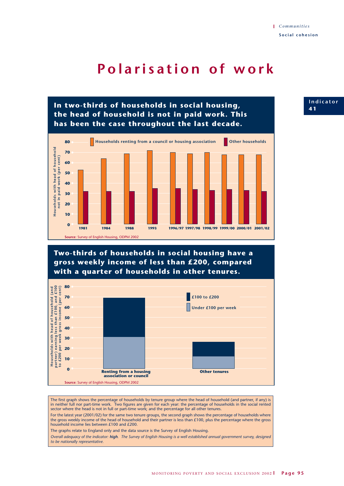## **Polarisation of work**





The first graph shows the percentage of households by tenure group where the head of household (and partner, if any) is in neither full nor part-time work. Two figures are given for each year: the percentage of households in the social rented sector where the head is not in full or part-time work; and the percentage for all other tenures.

For the latest year (2001/02) for the same two tenure groups, the second graph shows the percentage of households where the gross weekly income of the head of household and their partner is less than £100, plus the percentage where the gross household income lies between £100 and £200.

The graphs relate to England only and the data source is the Survey of English Housing.

*Overall adequacy of the indicator: high. The Survey of English Housing is a well established annual government survey, designed to be nationally representative.*

**Indicator 4 1**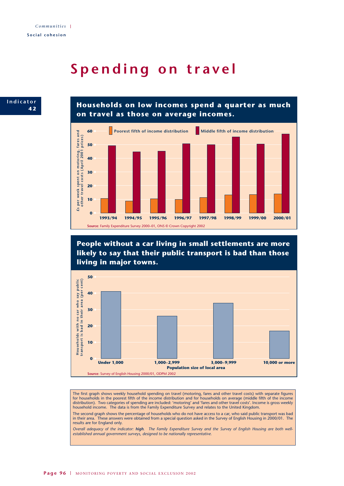## **Spending on travel**



**Households on low incomes spend a quarter as much on travel as those on average incomes.**



**People without a car living in small settlements are more likely to say that their public transport is bad than those living in major towns.**



The first graph shows weekly household spending on travel (motoring, fares and other travel costs) with separate figures for households in the poorest fifth of the income distribution and for households on average (middle fifth of the income distribution). Two categories of spending are included: 'motoring' and 'fares and other travel costs'. Income is gross weekly household income. The data is from the Family Expenditure Survey and relates to the United Kingdom.

The second graph shows the percentage of households who do not have access to a car, who said public transport was bad in their area. These answers were obtained from a special question asked in the Survey of English Housing in 2000/01. The results are for England only.

*Overall adequacy of the indicator: high. The Family Expenditure Survey and the Survey of English Housing are both wellestablished annual government surveys, designed to be nationally representative.*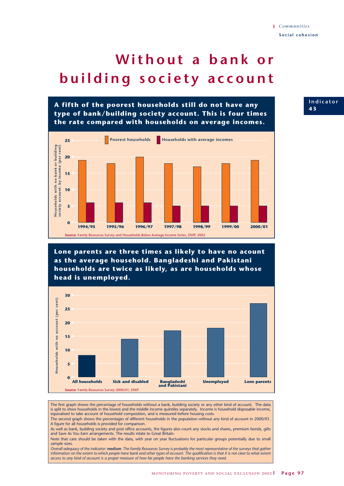# **Without a bank or building society account**

**A fifth of the poorest households still do not have any type of bank/building society account. This is four times the rate compared with households on average incomes.**



**Lone parents are three times as likely to have no acount as the average household. Bangladeshi and Pakistani households are twice as likely, as are households whose head is unemployed.**



The first graph shows the percentage of households without a bank, building society or any other kind of account. The data is split to show households in the lowest and the middle income quintiles separately. Income is household disposable income, equivalised to take account of household composition, and is measured before housing costs.

The second graph shows the percentages of different households in the population without any kind of account in 2000/01. A figure for all households is provided for comparison.

As well as bank, building society and post office accounts, the figures also count any stocks and shares, premium bonds, gilts and Save As You Earn arrangements. The results relate to Great Britain.

Note that care should be taken with the data, with year on year fluctuations for particular groups potentially due to small sample sizes.

*Overall adequacy of the indicator: medium. The Family Resources Survey is probably the most representative of the surveys that gather information on the extent to which people have bank and other types of account. The qualification is that it is not clear to what extent access to any kind of account is a proper measure of how far people have the banking services they need.* 

**Indicator 4 3**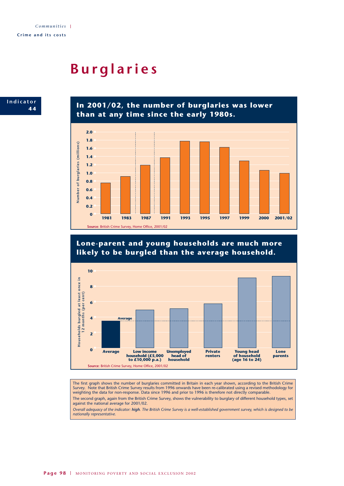## **Burglaries**



**In 2001/02, the number of burglaries was lower than at any time since the early 1980s.**



**Lone-parent and young households are much more likely to be burgled than the average household.**



The first graph shows the number of burglaries committed in Britain in each year shown, according to the British Crime Survey. Note that British Crime Survey results from 1996 onwards have been re-calibrated using a revised methodology for weighting the data for non-response. Data since 1996 and prior to 1996 is therefore not directly comparable.

The second graph, again from the British Crime Survey, shows the vulnerability to burglary of different household types, set against the national average for 2001/02.

*Overall adequacy of the indicator: high. The British Crime Survey is a well-established government survey, which is designed to be nationally representative.*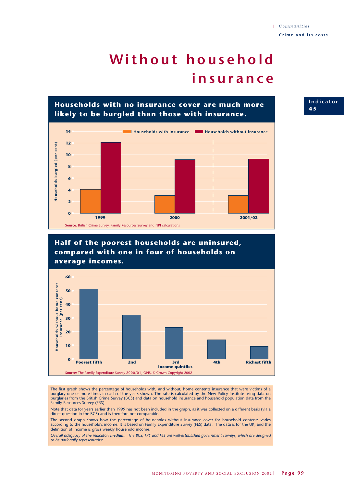# **Without household insurance**

**Households with no insurance cover are much more likely to be burgled than those with insurance.**



### **Half of the poorest households are uninsured, compared with one in four of households on average incomes.**



The first graph shows the percentage of households with, and without, home contents insurance that were victims of a burglary one or more times in each of the years shown. The rate is calculated by the New Policy Institute using data on burglaries from the British Crime Survey (BCS) and data on household insurance and household population data from the Family Resources Survey (FRS).

Note that data for years earlier than 1999 has not been included in the graph, as it was collected on a different basis (via a direct question in the BCS) and is therefore not comparable.

The second graph shows how the percentage of households without insurance cover for household contents varies according to the household's income. It is based on Family Expenditure Survey (FES) data. The data is for the UK, and the definition of income is gross weekly household income.

*Overall adequacy of the indicator: medium. The BCS, FRS and FES are well-established government surveys, which are designed to be nationally representative.*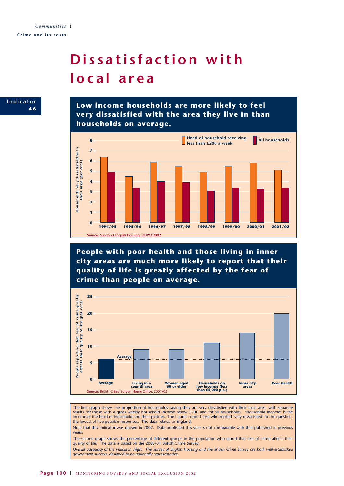# **Dissatisfaction with local area**

**Indicator 4 6**

**Low income households are more likely to feel very dissatisfied with the area they live in than households on average.**



**People with poor health and those living in inner city areas are much more likely to report that their quality of life is greatly affected by the fear of crime than people on average.**



The first graph shows the proportion of households saying they are very dissatisfied with their local area, with separate results for those with a gross weekly household income below £200 and for all households. 'Household income' is the income of the head of household and their partner. The figures count those who replied 'very dissatisfied' to the question, the lowest of five possible responses. The data relates to England.

Note that this indicator was revised in 2002. Data published this year is not comparable with that published in previous years.

The second graph shows the percentage of different groups in the population who report that fear of crime affects their quality of life. The data is based on the 2000/01 British Crime Survey.

*Overall adequacy of the indicator: high. The Survey of English Housing and the British Crime Survey are both well-established government surveys, designed to be nationally representative.*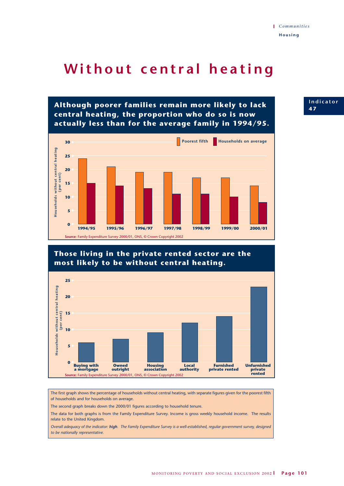### Without central heating

**Although poorer families remain more likely to lack central heating, the proportion who do so is now actually less than for the average family in 1994/95.**



### **Those living in the private rented sector are the most likely to be without central heating.**



The first graph shows the percentage of households without central heating, with separate figures given for the poorest fifth of households and for households on average.

The second graph breaks down the 2000/01 figures according to household tenure.

The data for both graphs is from the Family Expenditure Survey. Income is gross weekly household income. The results relate to the United Kingdom.

*Overall adequacy of the indicator: high. The Family Expenditure Survey is a well-established, regular government survey, designed to be nationally representative.*

#### **Indicator 4 7**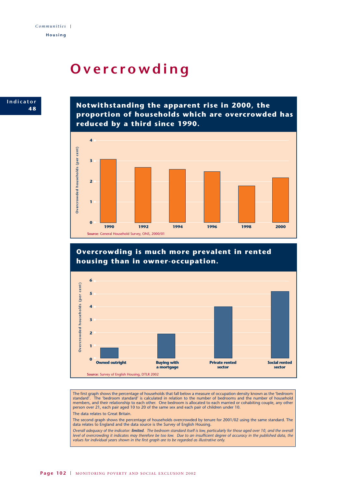## **Overcrowding**



**Notwithstanding the apparent rise in 2000, the proportion of households which are overcrowded has reduced by a third since 1990.**



### **Overcrowding is much more prevalent in rented housing than in owner-occupation.**



The first graph shows the percentage of households that fall below a measure of occupation density known as the 'bedroom<br>standard' The 'bedroom standard' is calculated in relation to the number of bedrooms and the number o The 'bedroom standard' is calculated in relation to the number of bedrooms and the number of household members, and their relationship to each other. One bedroom is allocated to each married or cohabiting couple, any other person over 21, each pair aged 10 to 20 of the same sex and each pair of children under 10. The data relates to Great Britain.

The second graph shows the percentage of households overcrowded by tenure for 2001/02 using the same standard. The data relates to England and the data source is the Survey of English Housing.

*Overall adequacy of the indicator: limited. The bedroom standard itself is low, particularly for those aged over 10, and the overall level of overcrowding it indicates may therefore be too low. Due to an insufficient degree of accuracy in the published data, the values for individual years shown in the first graph are to be regarded as illustrative only.*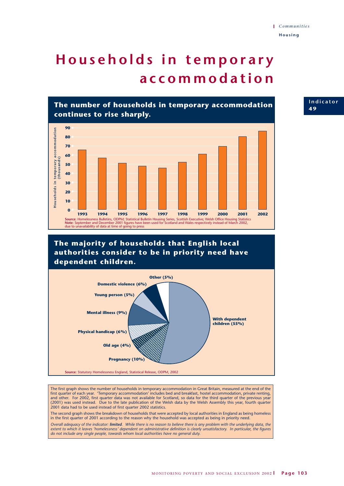## **Households in temporary accommodation**



### **The majority of households that English local authorities consider to be in priority need have dependent children.**



The first graph shows the number of households in temporary accommodation in Great Britain, measured at the end of the first quarter of each year. 'Temporary accommodation' includes bed and breakfast, hostel accommodation, private renting, and other. For 2002, first quarter data was not available for Scotland, so data for the third quarter of the previous year (2001) was used instead. Due to the late publication of the Welsh data by the Welsh Assembly this year, fourth quarter 2001 data had to be used instead of first quarter 2002 statistics.

The second graph shows the breakdown of households that were accepted by local authorities in England as being homeless in the first quarter of 2001 according to the reason why the household was accepted as being in priority need.

*Overall adequacy of the indicator: limited. While there is no reason to believe there is any problem with the underlying data, the extent to which it leaves 'homelessness' dependent on administrative definition is clearly unsatisfactory. In particular, the figures do not include any single people, towards whom local authorities have no general duty.*

#### **Indicator 4 9**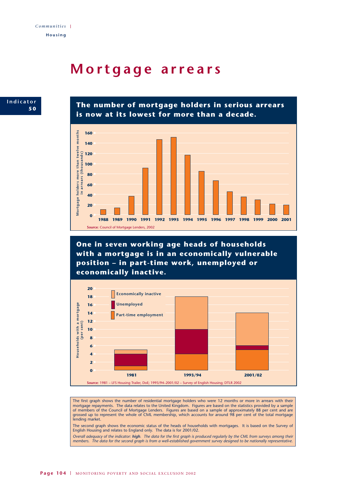### **Mortgage arrears**



**The number of mortgage holders in serious arrears is now at its lowest for more than a decade.**



**One in seven working age heads of households with a mortgage is in an economically vulnerable position – in part-time work, unemployed or economically inactive.**



The first graph shows the number of residential mortgage holders who were 12 months or more in arrears with their mortgage repayments. The data relates to the United Kingdom. Figures are based on the statistics provided by a sample of members of the Council of Mortgage Lenders. Figures are based on a sample of approximately 88 per cen of members of the Council of Mortgage Lenders. Figures are based on a sample of approximately 88 per cent and are grossed up to represent the whole of CML membership, which accounts for around 98 per cent of the total mortgage lending market.

The second graph shows the economic status of the heads of households with mortgages. It is based on the Survey of English Housing and relates to England only. The data is for 2001/02.

*Overall adequacy of the indicator: high. The data for the first graph is produced regularly by the CML from surveys among their members. The data for the second graph is from a well-established government survey designed to be nationally representative.*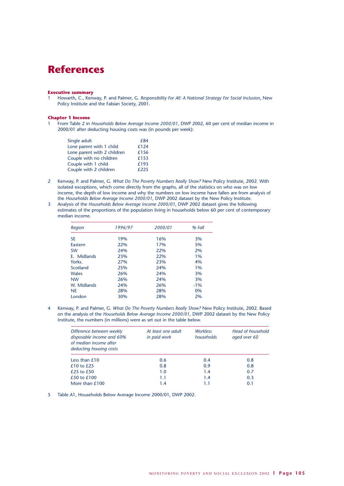### **References**

#### **Executive summary**

1 Howarth, C., Kenway, P. and Palmer, G. *Responsibility For All: A National Strategy For Social Inclusion*, New Policy Institute and the Fabian Society, 2001.

#### **Chapter 1 Income**

1 From Table 2 in *Households Below Average Income 2000/01*, DWP 2002, 60 per cent of median income in 2000/01 after deducting housing costs was (in pounds per week):

| Single adult                | £84  |
|-----------------------------|------|
| Lone parent with 1 child    | £124 |
| Lone parent with 2 children | £156 |
| Couple with no children     | £153 |
| Couple with 1 child         | £193 |
| Couple with 2 children      | £225 |

- 2 Kenway, P. and Palmer, G. *What Do The Poverty Numbers Really Show?* New Policy Institute, 2002. With isolated exceptions, which come directly from the graphs, all of the statistics on who was on low income, the depth of low income and why the numbers on low income have fallen are from analysis of the *Households Below Average Income 2000/01*, DWP 2002 dataset by the New Policy Institute.
- 3 Analysis of the *Households Below Average Income 2000/01*, DWP 2002 dataset gives the following estimates of the proportions of the population living in households below 60 per cent of contemporary median income.

| Region         | 1996/97 | 2000/01 | % Fall |
|----------------|---------|---------|--------|
| <b>SE</b>      | 19%     | 16%     | 3%     |
| <b>Fastern</b> | 22%     | 17%     | 5%     |
| <b>SW</b>      | 24%     | 22%     | 2%     |
| E. Midlands    | 23%     | 22%     | 1%     |
| Yorks.         | 27%     | 23%     | 4%     |
| Scotland       | 25%     | 24%     | 1%     |
| <b>Wales</b>   | 26%     | 24%     | 3%     |
| <b>NW</b>      | 26%     | 24%     | 3%     |
| W. Midlands    | 24%     | 26%     | $-1\%$ |
| <b>NE</b>      | 28%     | 28%     | 0%     |
| London         | 30%     | 28%     | 2%     |

4 Kenway, P. and Palmer, G. *What Do The Poverty Numbers Really Show?* New Policy Institute, 2002. Based on the analysis of the *Households Below Average Income 2000/01*, DWP 2002 dataset by the New Policy Institute, the numbers (in millions) were as set out in the table below.

| Difference between weekly<br>disposable income and 60%<br>of median income after<br>deducting housing costs | At least one adult<br>in paid work | <b>Workless</b><br>households | Head of household<br>aged over 60 |
|-------------------------------------------------------------------------------------------------------------|------------------------------------|-------------------------------|-----------------------------------|
| Less than $£10$                                                                                             | 0.6                                | 0.4                           | 0.8                               |
| $£10$ to $£25$                                                                                              | 0.8                                | 0.9                           | 0.8                               |
| £25 to $£50$                                                                                                | 1.0                                | 1.4                           | 0.7                               |
| £50 to £100                                                                                                 | 1.1                                | 1.4                           | 0.3                               |
| More than £100                                                                                              | 1.4                                |                               | 0.1                               |

5 Table A1, Households Below Average Income 2000/01, DWP 2002.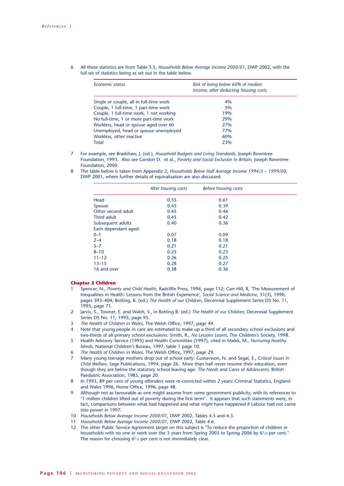6 All these statistics are from Table 3.5, *Households Below Average Income 2000/01*, DWP 2002, with the full set of statistics being as set out in the table below.

| Economic status                         | Risk of being below 60% of median<br>income, after deducting housing costs |  |
|-----------------------------------------|----------------------------------------------------------------------------|--|
| Single or couple, all in full-time work | 4%                                                                         |  |
| Couple, 1 full-time, 1 part-time work   | 5%                                                                         |  |
| Couple, 1 full-time work, 1 not working | 19%                                                                        |  |
| No full-time, 1 or more part-time work  | 29%                                                                        |  |
| Workless, head or spouse aged over 60   | 27%                                                                        |  |
| Unemployed, head or spouse unemployed   | 77%                                                                        |  |
| Workless, other inactive                | 60%                                                                        |  |
| Total                                   | 23%                                                                        |  |

- 7 For example, see Bradshaw, J. (ed.), *Household Budgets and Living Standards*, Joseph Rowntree Foundation, 1993. Also see Gordon D. et al., *Poverty and Social Exclusion In Britain*, Joseph Rowntree Foundation, 2000.
- 8 The table below is taken from Appendix 2, *Households Below Half Average Income 1994/5 1999/00*, DWP 2001, where further details of equivalisation are also discussed.

|                      | After housing costs | Before housing costs |  |
|----------------------|---------------------|----------------------|--|
| Head                 | 0.55                | 0.61                 |  |
| Spouse               | 0.45                | 0.39                 |  |
| Other second adult   | 0.45                | 0.46                 |  |
| Third adult          | 0.45                | 0.42                 |  |
| Subsequent adults    | 0.40                | 0.36                 |  |
| Each dependant aged: |                     |                      |  |
| $0 - 1$              | 0.07                | 0.09                 |  |
| $2 - 4$              | 0.18                | 0.18                 |  |
| $5 - 7$              | 0.21                | 0.21                 |  |
| $8 - 10$             | 0.23                | 0.23                 |  |
| $11 - 12$            | 0.26                | 0.25                 |  |
| $13 - 15$            | 0.28                | 0.27                 |  |
| 16 and over          | 0.38                | 0.36                 |  |

#### **Chapter 2 Children**

- 1 Spencer, N., *Poverty and Child Health*, Radcliffe Press, 1996, page 112; Carr-Hill, R, 'The Measurement of Inequalities in Health: Lessons from the British Experience', *Social Science and Medicine*, 31(3), 1990, pages 393–404; Botting, B. (ed.) *The Health of our Children*, Decennial Supplement Series DS No. 11, 1995, page 71.
- 2 Jarvis, S., Towner, E. and Walsh, S., in Botting B. (ed.) *The Health of our Children*, Decennial Supplement Series DS No. 11, 1995, page 95.
- 3 *The Health of Children in Wales*, The Welsh Office, 1997, page 49.
- 4 Note that young people in care are estimated to make up a third of all secondary school exclusions and two-thirds of all primary school exclusions: Smith, R., *No Lessons Learnt*, The Children's Society, 1998.
- 5 Health Advisory Service (1995) and Health Committee (1997), cited in Malek, M., *Nurturing Healthy Minds*, National Children's Bureau, 1997, table 1 page 10.
- 6 *The Health of Children in Wales*, The Welsh Office, 1997, page 29.
- 7 Many young teenage mothers drop out of school early: Gustavsson, N. and Segal, E., *Critical Issues in Child Welfare*, Sage Publications, 1994, page 26. More than half never resume their education, even though they are below the statutory school leaving age: *The Needs and Cares of Adolescents*, British Paediatric Association, 1985, page 20.
- 8 In 1993, 89 per cent of young offenders were re-convicted within 2 years: Criminal Statistics, England and Wales 1996, Home Office, 1996, page 48.
- 9 Although not as favourable as one might assume from some government publicity, with its references to "1 million children lifted out of poverty during the first term". It appears that such statements were, in fact, comparisons between what had happened and what *might* have happened if Labour had not come into power in 1997.
- 10 *Households Below Average Income 2000/01*, DWP 2002, Tables 4.5 and 4.3.
- 11 *Households Below Average Income 2000/01*, DWP 2002, Table 4.6.
- 12 The other Public Service Agreement target on this subject is "To reduce the proportion of children in households with no one in work over the 3 years from Spring 2003 to Spring 2006 by 61/2 per cent." The reason for choosing 6<sup>1</sup>/<sub>2</sub> per cent is not immediately clear.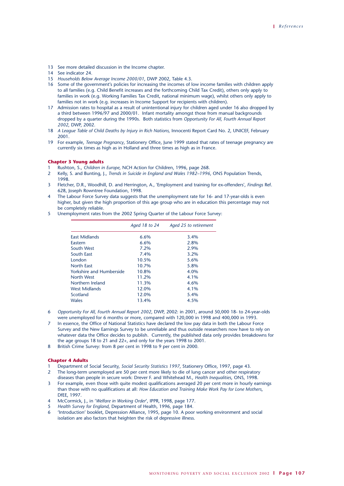- 13 See more detailed discussion in the Income chapter.
- 14 See indicator 24.
- 15 *Households Below Average Income 2000/01*, DWP 2002, Table 4.3.
- 16 Some of the government's policies for increasing the incomes of low income families with children apply to all families (e.g. Child Benefit increases and the forthcoming Child Tax Credit), others only apply to families in work (e.g. Working Families Tax Credit, national minimum wage), whilst others only apply to families not in work (e.g. increases in Income Support for recipients with children).
- 17 Admission rates to hospital as a result of unintentional injury for children aged under 16 also dropped by a third between 1996/97 and 2000/01. Infant mortality amongst those from manual backgrounds dropped by a quarter during the 1990s. Both statistics from *Opportunity For All, Fourth Annual Report 2002*, DWP, 2002.
- 18 *A League Table of Child Deaths by Injury in Rich Nations,* Innocenti Report Card No. 2, UNICEF, February 2001.
- 19 For example, *Teenage Pregnancy*, Stationery Office, June 1999 stated that rates of teenage pregnancy are currently six times as high as in Holland and three times as high as in France.

#### **Chapter 3 Young adults**

- 1 Rushton, S., *Children in Europe*, NCH Action for Children, 1996, page 268.
- 2 Kelly, S. and Bunting, J., *Trends in Suicide in England and Wales 1982–1996*, ONS Population Trends, 1998.
- 3 Fletcher, D.R., Woodhill, D. and Herrington, A., 'Employment and training for ex-offenders', *Findings* Ref. 628, Joseph Rowntree Foundation, 1998.
- The Labour Force Survey data suggests that the unemployment rate for 16- and 17-year-olds is even higher, but given the high proportion of this age group who are in education this percentage may not be completely reliable.
- 5 Unemployment rates from the 2002 Spring Quarter of the Labour Force Survey:

|                          | Aged 18 to 24 | Aged 25 to retirement |
|--------------------------|---------------|-----------------------|
| East Midlands            | 6.6%          | 3.4%                  |
| Eastern                  | 6.6%          | 2.8%                  |
| South West               | 7.2%          | 2.9%                  |
| South East               | 7.4%          | $3.2\%$               |
| London                   | 10.5%         | 5.6%                  |
| <b>North East</b>        | 10.7%         | 5.8%                  |
| Yorkshire and Humberside | 10.8%         | 4.0%                  |
| North West               | 11.2%         | 4.1%                  |
| Northern Ireland         | 11.3%         | 4.6%                  |
| <b>West Midlands</b>     | 12.0%         | 4.1%                  |
| Scotland                 | 12.0%         | 5.4%                  |
| Wales                    | 13.4%         | 4.5%                  |

- 6 *Opportunity For All, Fourth Annual Report 2002*, DWP, 2002: in 2001, around 50,000 18- to 24-year-olds were unemployed for 6 months or more, compared with 120,000 in 1998 and 400,000 in 1993.
- In essence, the Office of National Statistics have declared the low pay data in both the Labour Force Survey and the New Earnings Survey to be unreliable and thus outside researchers now have to rely on whatever data the Office decides to publish. Currently, the published data only provides breakdowns for the age groups 18 to 21 and 22+, and only for the years 1998 to 2001.
- 8 British Crime Survey: from 8 per cent in 1998 to 9 per cent in 2000.

#### **Chapter 4 Adults**

- 1 Department of Social Security, *Social Security Statistics 1997*, Stationery Office, 1997, page 43.
- 2 The long-term unemployed are 50 per cent more likely to die of lung cancer and other respiratory
- diseases than people in secure work: Drever F. and Whitehead M., *Health Inequalities*, ONS, 1998. 3 For example, even those with quite modest qualifications averaged 20 per cent more in hourly earnings
- than those with no qualifications at all: *How Education and Training Make Work Pay for Lone Mothers*, DfEE, 1997.
- 4 McCormick, J., in '*Welfare in Working Order*', IPPR, 1998, page 177.
- 5 *Health Survey for England*, Department of Health, 1996, page 184.
- 6 'Introduction' booklet, Depression Alliance, 1995, page 10. A poor working environment and social isolation are also factors that heighten the risk of depressive illness.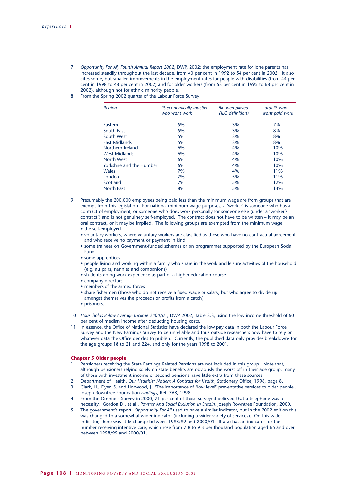- 7 *Opportunity For All, Fourth Annual Report 2002*, DWP, 2002: the employment rate for lone parents has increased steadily throughout the last decade, from 40 per cent in 1992 to 54 per cent in 2002. It also cites some, but smaller, improvements in the employment rates for people with disabilities (from 44 per cent in 1998 to 48 per cent in 2002) and for older workers (from 63 per cent in 1995 to 68 per cent in 2002), although not for ethnic minority people.
- 8 From the Spring 2002 quarter of the Labour Force Survey:

| Region                   | % economically inactive<br>who want work | % unemployed<br>(ILO definition) | Total % who<br>want paid work |
|--------------------------|------------------------------------------|----------------------------------|-------------------------------|
| Eastern                  | 5%                                       | 3%                               | 7%                            |
| South East               | 5%                                       | 3%                               | 8%                            |
| South West               | 5%                                       | 3%                               | 8%                            |
| <b>East Midlands</b>     | 5%                                       | 3%                               | 8%                            |
| Northern Ireland         | 6%                                       | 4%                               | 10%                           |
| West Midlands            | 6%                                       | 4%                               | 10%                           |
| North West               | 6%                                       | 4%                               | 10%                           |
| Yorkshire and the Humber | 6%                                       | 4%                               | 10%                           |
| Wales                    | 7%                                       | 4%                               | 11%                           |
| London                   | 7%                                       | 5%                               | 11%                           |
| Scotland                 | 7%                                       | 5%                               | 12%                           |
| <b>North East</b>        | 8%                                       | 5%                               | 13%                           |

- 9 Presumably the 200,000 employees being paid less than the minimum wage are from groups that are exempt from this legislation. For national minimum wage purposes, a 'worker' is someone who has a contract of employment, or someone who does work personally for someone else (under a 'worker's contract') and is not genuinely self-employed. The contract does not have to be written – it may be an oral contract, or it may be implied. The following groups are exempted from the minimum wage:
	- the self-employed
	- voluntary workers, where voluntary workers are classified as those who have no contractual agreement and who receive no payment or payment in kind
	- some trainees on Government-funded schemes or on programmes supported by the European Social Fund
	- some apprentices
	- people living and working within a family who share in the work and leisure activities of the household (e.g. au pairs, nannies and companions)
	- students doing work experience as part of a higher education course
	- company directors
	- members of the armed forces
	- share fishermen (those who do not receive a fixed wage or salary, but who agree to divide up amongst themselves the proceeds or profits from a catch)
	- prisoners.
- 10 *Households Below Average Income 2000/01*, DWP 2002, Table 3.3, using the low income threshold of 60 per cent of median income after deducting housing costs.
- 11 In essence, the Office of National Statistics have declared the low pay data in both the Labour Force Survey and the New Earnings Survey to be unreliable and thus outside researchers now have to rely on whatever data the Office decides to publish. Currently, the published data only provides breakdowns for the age groups 18 to 21 and 22+, and only for the years 1998 to 2001.

#### **Chapter 5 Older people**

- 1 Pensioners receiving the State Earnings Related Pensions are not included in this group. Note that, although pensioners relying solely on state benefits are obviously the worst off in their age group, many of those with investment income or second pensions have little extra from these sources.
- 2 Department of Health, *Our Healthier Nation: A Contract for Health*, Stationery Office, 1998, page 8. 3 Clark, H., Dyer, S. and Horwood, J., 'The importance of "low level" preventative services to older people', Joseph Rowntree Foundation *Findings*, Ref. 768, 1998.
- 4 From the Omnibus Survey in 2000, 71 per cent of those surveyed believed that a telephone was a necessity. Gordon D., et al., *Poverty And Social Exclusion In Britain*, Joseph Rowntree Foundation, 2000.
- 5 The government's report, *Opportunity For All* used to have a similar indicator, but in the 2002 edition this was changed to a somewhat wider indicator (including a wider variety of services). On this wider indicator, there was little change between 1998/99 and 2000/01. It also has an indicator for the number receiving intensive care, which rose from 7.8 to 9.3 per thousand population aged 65 and over between 1998/99 and 2000/01.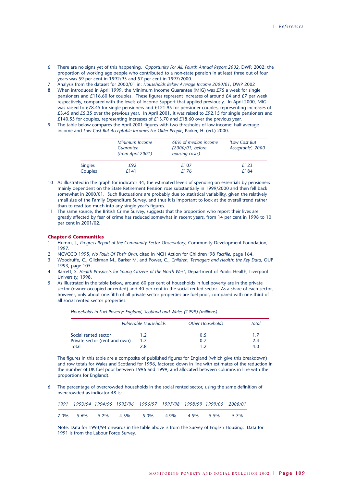- 6 There are no signs yet of this happening. *Opportunity For All, Fourth Annual Report 2002*, DWP, 2002: the proportion of working age people who contributed to a non-state pension in at least three out of four years was 59 per cent in 1992/95 and 57 per cent in 1997/2000.
- 7 Analysis from the dataset for 2000/01 in: *Households Below Average Income 2000/01*, DWP 2002
- 8 When introduced in April 1999, the Minimum Income Guarantee (MIG) was  $E$ 75 a week for single pensioners and £116.60 for couples. These figures represent increases of around £4 and £7 per week respectively, compared with the levels of Income Support that applied previously. In April 2000, MIG was raised to £78.45 for single pensioners and £121.95 for pensioner couples, representing increases of £3.45 and £5.35 over the previous year. In April 2001, it was raised to £92.15 for single pensioners and £140.55 for couples, representing increases of £13.70 and £18.60 over the previous year.
- 9 The table below compares the April 2001 figures with two thresholds of low income: half average income and *Low Cost But Acceptable Incomes For Older People*, Parker, H. (ed.) 2000.

|                | Minimum Income<br>Guarantee<br>(from April 2001) | 60% of median income<br>(2000/01, before<br>housing costs) | 'Low Cost But<br>Acceptable', 2000<br>£123 |  |
|----------------|--------------------------------------------------|------------------------------------------------------------|--------------------------------------------|--|
| <b>Singles</b> | £92                                              | £107                                                       |                                            |  |
| Couples        | f 141                                            | £176                                                       | £184                                       |  |

- 10 As illustrated in the graph for indicator 34, the estimated levels of spending on essentials by pensioners mainly dependent on the State Retirement Pension rose substantially in 1999/2000 and then fell back somewhat in 2000/01. Such fluctuations are probably due to statistical variability, given the relatively small size of the Family Expenditure Survey, and thus it is important to look at the overall trend rather than to read too much into any single year's figures.
- 11 The same source, the British Crime Survey, suggests that the proportion who report their lives are greatly affected by fear of crime has reduced somewhat in recent years, from 14 per cent in 1998 to 10 per cent in 2001/02.

## **Chapter 6 Communities**

- 1 Humm, J., *Progress Report of the Community Sector Observatory*, Community Development Foundation, 1997.
- 2 NCVCCO 1995, *No Fault Of Their Own*, cited in NCH Action for Children '98 *Factfile*, page 164.
- 3 Woodruffe, C., Glickman M., Barker M. and Power, C., *Children, Teenagers and Health: the Key Data*, OUP 1993, page 105.
- 4 Barrett, S. *Health Prospects for Young Citizens of the North West*, Department of Public Health, Liverpool University, 1998.
- 5 As illustrated in the table below, around 60 per cent of households in fuel poverty are in the private sector (owner occupied or rented) and 40 per cent in the social rented sector. As a share of each sector, however, only about one-fifth of all private sector properties are fuel poor, compared with one-third of all social rented sector properties.

*Households in Fuel Poverty: England, Scotland and Wales (1999) (millions)*

|                               | Vulnerable Households | Other Households | Total |  |
|-------------------------------|-----------------------|------------------|-------|--|
| Social rented sector          | 1.2                   | 0.5              | 1.7   |  |
| Private sector (rent and own) | 1.7                   | 0.7              | 2.4   |  |
| <b>Total</b>                  | 2.8                   |                  | 4.0   |  |

The figures in this table are a composite of published figures for England (which give this breakdown) and row totals for Wales and Scotland for 1996, factored down in line with estimates of the reduction in the number of UK fuel-poor between 1996 and 1999, and allocated between columns in line with the proportions for England).

The percentage of overcrowded households in the social rented sector, using the same definition of overcrowded as indicator 48 is:

|  |  | 1991 1993/94 1994/95 1995/96 1996/97 1997/98 1998/99 1999/00 2000/01 |  |  |
|--|--|----------------------------------------------------------------------|--|--|
|  |  | 7.0% 5.6% 5.2% 4.5% 5.0% 4.9% 4.5% 5.5% 5.7%                         |  |  |

Note: Data for 1993/94 onwards in the table above is from the Survey of English Housing. Data for 1991 is from the Labour Force Survey.